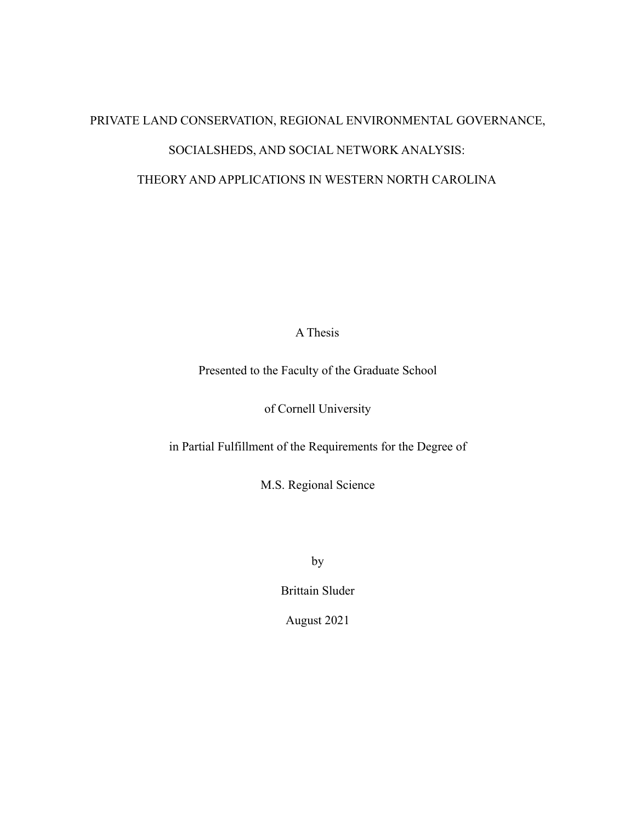# PRIVATE LAND CONSERVATION, REGIONAL ENVIRONMENTAL GOVERNANCE, SOCIALSHEDS, AND SOCIAL NETWORK ANALYSIS: THEORY AND APPLICATIONS IN WESTERN NORTH CAROLINA

A Thesis

Presented to the Faculty of the Graduate School

of Cornell University

in Partial Fulfillment of the Requirements for the Degree of

M.S. Regional Science

by

Brittain Sluder

August 2021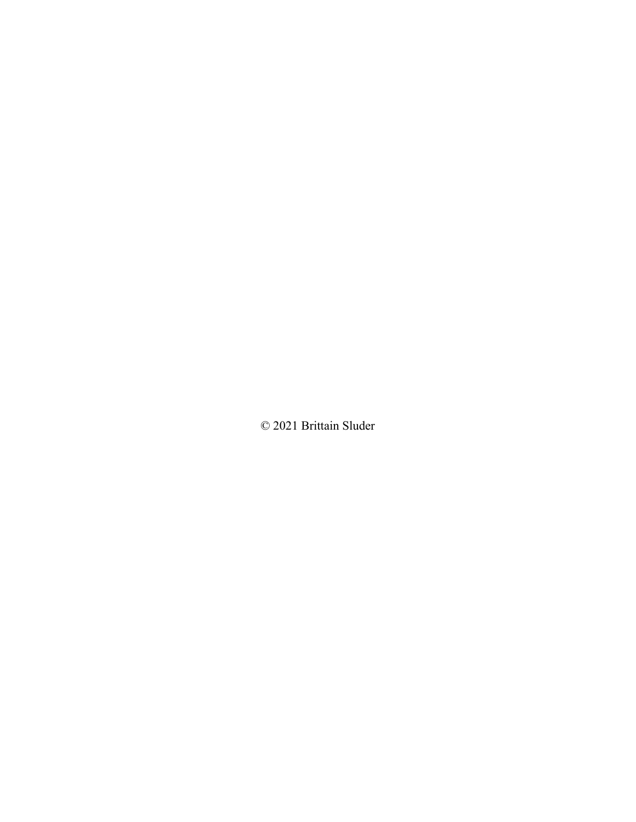© 2021 Brittain Sluder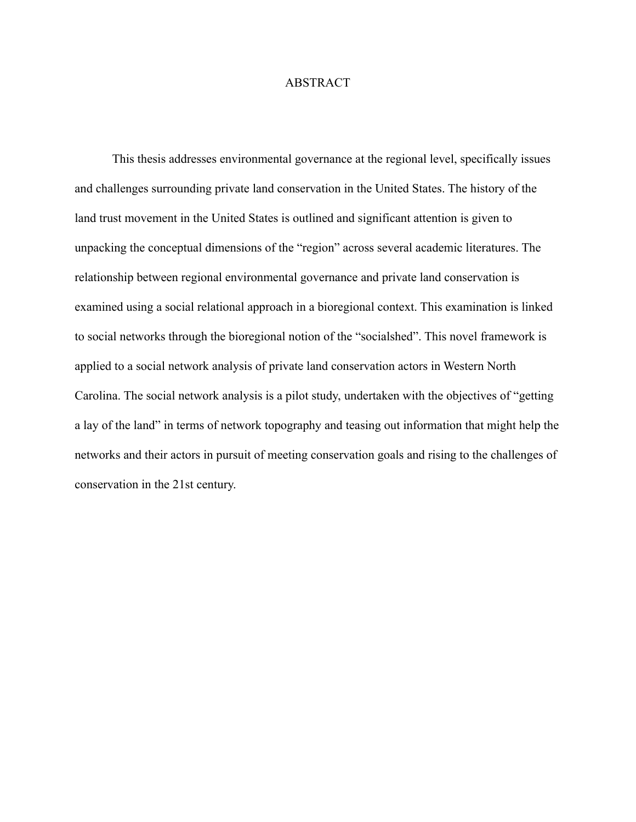# ABSTRACT

This thesis addresses environmental governance at the regional level, specifically issues and challenges surrounding private land conservation in the United States. The history of the land trust movement in the United States is outlined and significant attention is given to unpacking the conceptual dimensions of the "region" across several academic literatures. The relationship between regional environmental governance and private land conservation is examined using a social relational approach in a bioregional context. This examination is linked to social networks through the bioregional notion of the "socialshed". This novel framework is applied to a social network analysis of private land conservation actors in Western North Carolina. The social network analysis is a pilot study, undertaken with the objectives of "getting a lay of the land" in terms of network topography and teasing out information that might help the networks and their actors in pursuit of meeting conservation goals and rising to the challenges of conservation in the 21st century.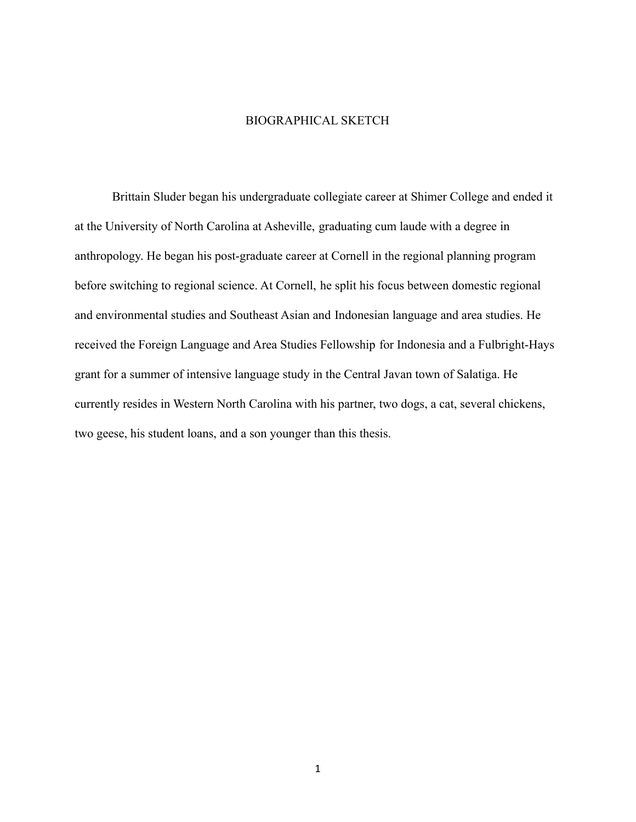# BIOGRAPHICAL SKETCH

<span id="page-3-0"></span>Brittain Sluder began his undergraduate collegiate career at Shimer College and ended it at the University of North Carolina at Asheville, graduating cum laude with a degree in anthropology. He began his post-graduate career at Cornell in the regional planning program before switching to regional science. At Cornell, he split his focus between domestic regional and environmental studies and Southeast Asian and Indonesian language and area studies. He received the Foreign Language and Area Studies Fellowship for Indonesia and a Fulbright-Hays grant for a summer of intensive language study in the Central Javan town of Salatiga. He currently resides in Western North Carolina with his partner, two dogs, a cat, several chickens, two geese, his student loans, and a son younger than this thesis.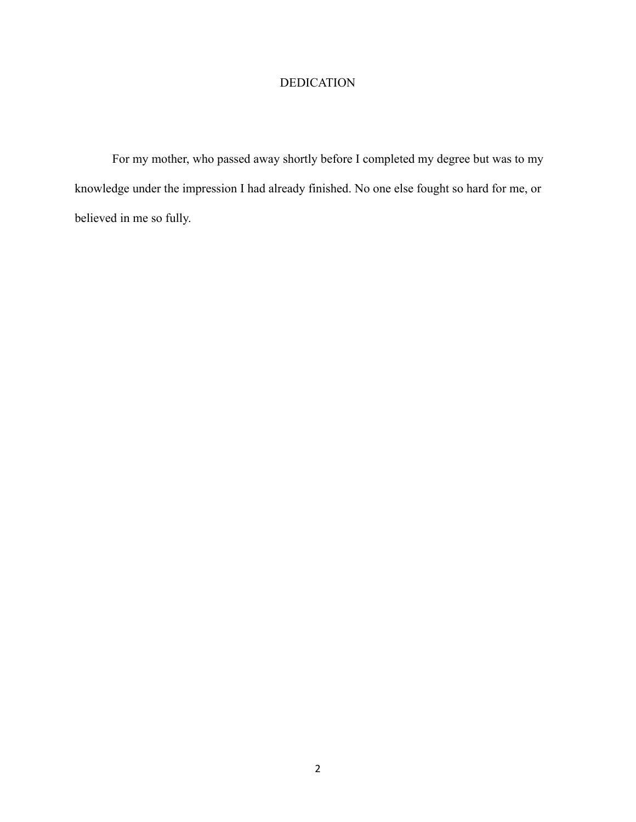# DEDICATION

<span id="page-4-0"></span>For my mother, who passed away shortly before I completed my degree but was to my knowledge under the impression I had already finished. No one else fought so hard for me, or believed in me so fully.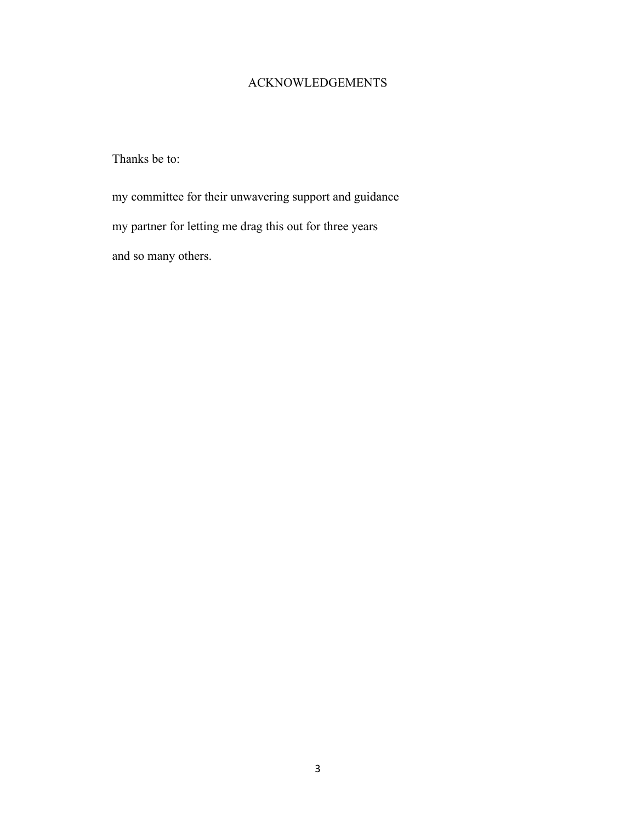# ACKNOWLEDGEMENTS

<span id="page-5-0"></span>Thanks be to:

my committee for their unwavering support and guidance my partner for letting me drag this out for three years and so many others.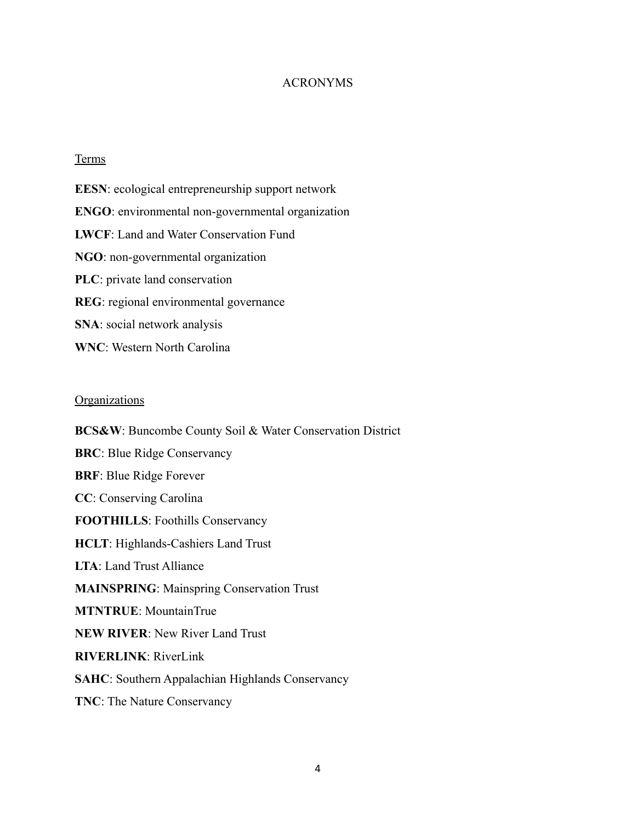# ACRONYMS

# <span id="page-6-0"></span>**Terms**

**EESN**: ecological entrepreneurship support network **ENGO**: environmental non-governmental organization **LWCF**: Land and Water Conservation Fund **NGO**: non-governmental organization **PLC**: private land conservation **REG**: regional environmental governance **SNA**: social network analysis **WNC**: Western North Carolina

#### **Organizations**

**BCS&W**: Buncombe County Soil & Water Conservation District **BRC**: Blue Ridge Conservancy **BRF**: Blue Ridge Forever **CC**: Conserving Carolina **FOOTHILLS**: Foothills Conservancy **HCLT**: Highlands-Cashiers Land Trust **LTA**: Land Trust Alliance **MAINSPRING**: Mainspring Conservation Trust **MTNTRUE**: MountainTrue **NEW RIVER**: New River Land Trust **RIVERLINK**: RiverLink **SAHC**: Southern Appalachian Highlands Conservancy **TNC**: The Nature Conservancy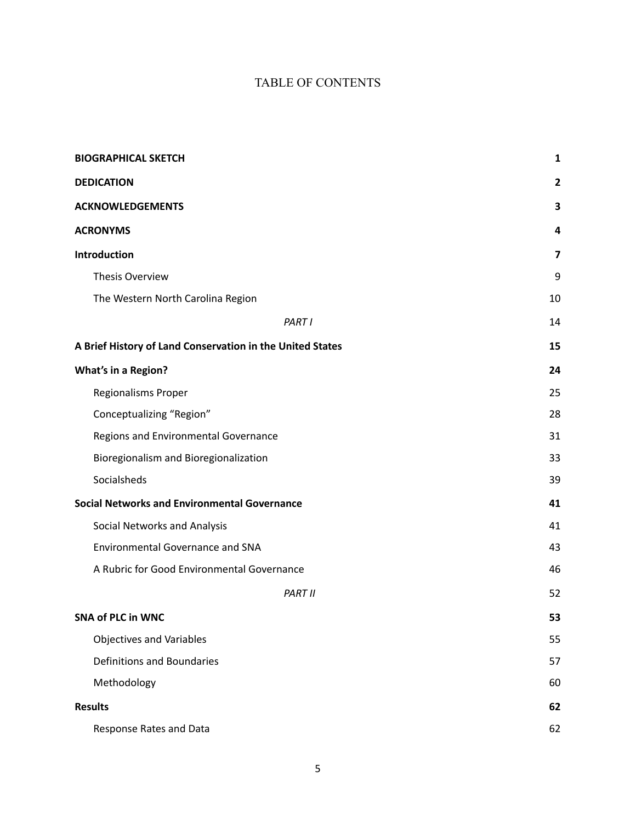# TABLE OF CONTENTS

| <b>BIOGRAPHICAL SKETCH</b>                                | 1  |
|-----------------------------------------------------------|----|
| <b>DEDICATION</b>                                         | 2  |
| <b>ACKNOWLEDGEMENTS</b>                                   | 3  |
| <b>ACRONYMS</b>                                           | 4  |
| Introduction                                              | 7  |
| Thesis Overview                                           | 9  |
| The Western North Carolina Region                         | 10 |
| PART I                                                    | 14 |
| A Brief History of Land Conservation in the United States | 15 |
| <b>What's in a Region?</b>                                | 24 |
| Regionalisms Proper                                       | 25 |
| Conceptualizing "Region"                                  | 28 |
| Regions and Environmental Governance                      | 31 |
| Bioregionalism and Bioregionalization                     | 33 |
| Socialsheds                                               | 39 |
| <b>Social Networks and Environmental Governance</b>       | 41 |
| Social Networks and Analysis                              | 41 |
| <b>Environmental Governance and SNA</b>                   | 43 |
| A Rubric for Good Environmental Governance                | 46 |
| <b>PART II</b>                                            | 52 |
| <b>SNA of PLC in WNC</b>                                  | 53 |
| <b>Objectives and Variables</b>                           | 55 |
| Definitions and Boundaries                                | 57 |
| Methodology                                               | 60 |
| <b>Results</b>                                            | 62 |
| Response Rates and Data                                   | 62 |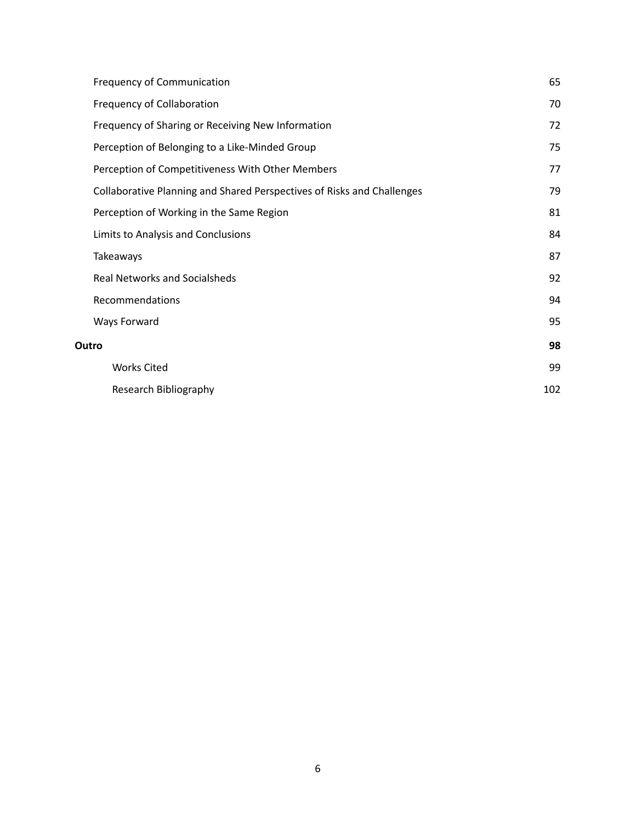| <b>Frequency of Communication</b>                                      | 65  |
|------------------------------------------------------------------------|-----|
| Frequency of Collaboration                                             | 70  |
| Frequency of Sharing or Receiving New Information                      | 72  |
| Perception of Belonging to a Like-Minded Group                         | 75  |
| Perception of Competitiveness With Other Members                       | 77  |
| Collaborative Planning and Shared Perspectives of Risks and Challenges | 79  |
| Perception of Working in the Same Region                               | 81  |
| Limits to Analysis and Conclusions                                     | 84  |
| Takeaways                                                              | 87  |
| <b>Real Networks and Socialsheds</b>                                   | 92  |
| Recommendations                                                        | 94  |
| Ways Forward                                                           | 95  |
| Outro                                                                  | 98  |
| <b>Works Cited</b>                                                     | 99  |
| Research Bibliography                                                  | 102 |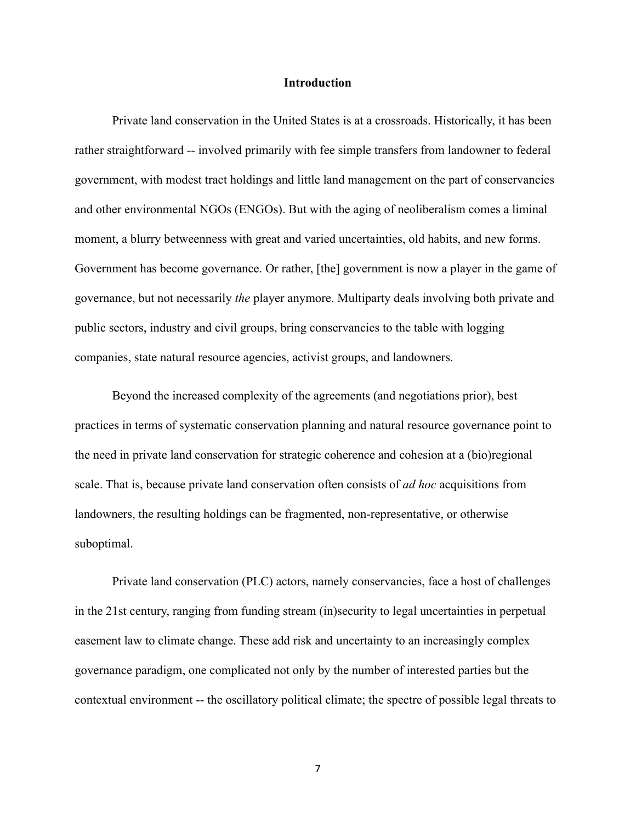## **Introduction**

<span id="page-9-0"></span>Private land conservation in the United States is at a crossroads. Historically, it has been rather straightforward -- involved primarily with fee simple transfers from landowner to federal government, with modest tract holdings and little land management on the part of conservancies and other environmental NGOs (ENGOs). But with the aging of neoliberalism comes a liminal moment, a blurry betweenness with great and varied uncertainties, old habits, and new forms. Government has become governance. Or rather, [the] government is now a player in the game of governance, but not necessarily *the* player anymore. Multiparty deals involving both private and public sectors, industry and civil groups, bring conservancies to the table with logging companies, state natural resource agencies, activist groups, and landowners.

Beyond the increased complexity of the agreements (and negotiations prior), best practices in terms of systematic conservation planning and natural resource governance point to the need in private land conservation for strategic coherence and cohesion at a (bio)regional scale. That is, because private land conservation often consists of *ad hoc* acquisitions from landowners, the resulting holdings can be fragmented, non-representative, or otherwise suboptimal.

Private land conservation (PLC) actors, namely conservancies, face a host of challenges in the 21st century, ranging from funding stream (in)security to legal uncertainties in perpetual easement law to climate change. These add risk and uncertainty to an increasingly complex governance paradigm, one complicated not only by the number of interested parties but the contextual environment -- the oscillatory political climate; the spectre of possible legal threats to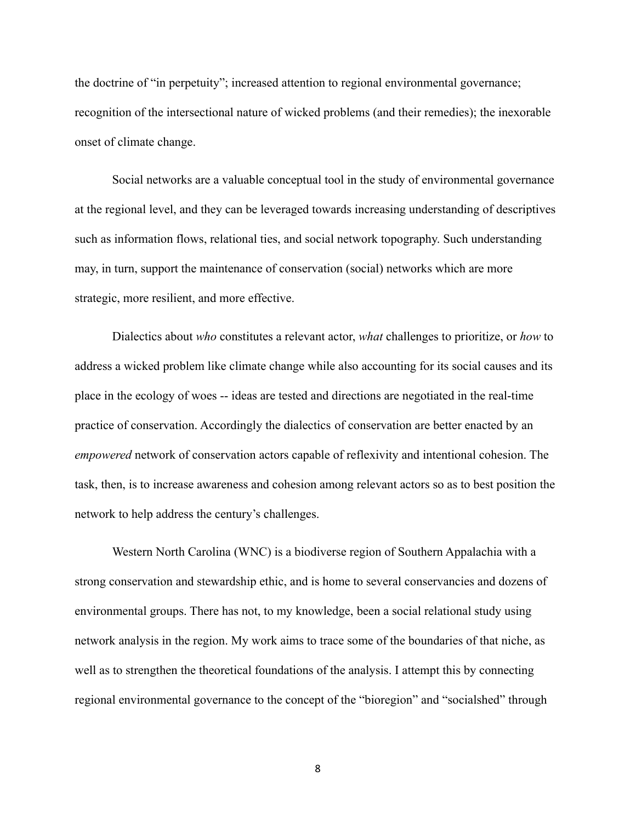the doctrine of "in perpetuity"; increased attention to regional environmental governance; recognition of the intersectional nature of wicked problems (and their remedies); the inexorable onset of climate change.

Social networks are a valuable conceptual tool in the study of environmental governance at the regional level, and they can be leveraged towards increasing understanding of descriptives such as information flows, relational ties, and social network topography. Such understanding may, in turn, support the maintenance of conservation (social) networks which are more strategic, more resilient, and more effective.

Dialectics about *who* constitutes a relevant actor, *what* challenges to prioritize, or *how* to address a wicked problem like climate change while also accounting for its social causes and its place in the ecology of woes -- ideas are tested and directions are negotiated in the real-time practice of conservation. Accordingly the dialectics of conservation are better enacted by an *empowered* network of conservation actors capable of reflexivity and intentional cohesion. The task, then, is to increase awareness and cohesion among relevant actors so as to best position the network to help address the century's challenges.

Western North Carolina (WNC) is a biodiverse region of Southern Appalachia with a strong conservation and stewardship ethic, and is home to several conservancies and dozens of environmental groups. There has not, to my knowledge, been a social relational study using network analysis in the region. My work aims to trace some of the boundaries of that niche, as well as to strengthen the theoretical foundations of the analysis. I attempt this by connecting regional environmental governance to the concept of the "bioregion" and "socialshed" through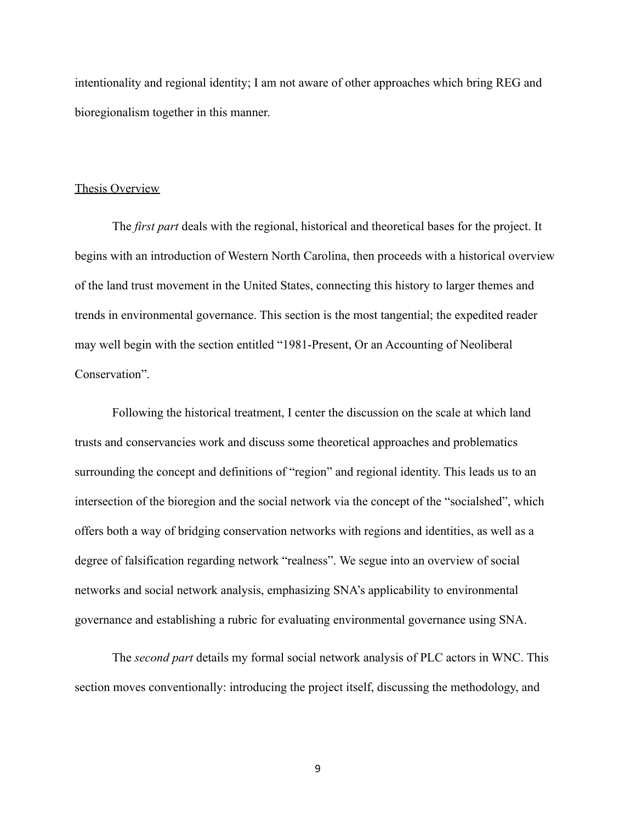intentionality and regional identity; I am not aware of other approaches which bring REG and bioregionalism together in this manner.

# <span id="page-11-0"></span>Thesis Overview

The *first part* deals with the regional, historical and theoretical bases for the project. It begins with an introduction of Western North Carolina, then proceeds with a historical overview of the land trust movement in the United States, connecting this history to larger themes and trends in environmental governance. This section is the most tangential; the expedited reader may well begin with the section entitled "1981-Present, Or an Accounting of Neoliberal Conservation".

Following the historical treatment, I center the discussion on the scale at which land trusts and conservancies work and discuss some theoretical approaches and problematics surrounding the concept and definitions of "region" and regional identity. This leads us to an intersection of the bioregion and the social network via the concept of the "socialshed", which offers both a way of bridging conservation networks with regions and identities, as well as a degree of falsification regarding network "realness". We segue into an overview of social networks and social network analysis, emphasizing SNA's applicability to environmental governance and establishing a rubric for evaluating environmental governance using SNA.

The *second part* details my formal social network analysis of PLC actors in WNC. This section moves conventionally: introducing the project itself, discussing the methodology, and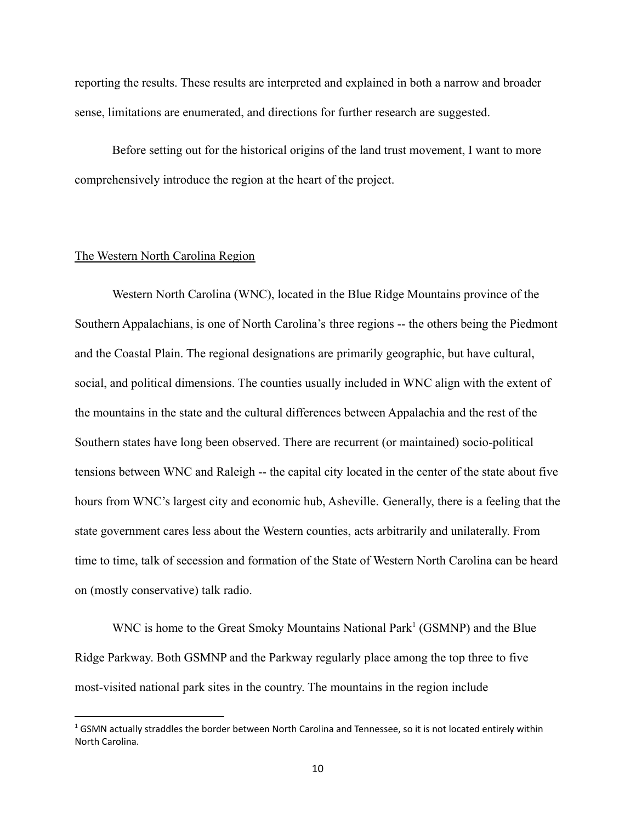reporting the results. These results are interpreted and explained in both a narrow and broader sense, limitations are enumerated, and directions for further research are suggested.

Before setting out for the historical origins of the land trust movement, I want to more comprehensively introduce the region at the heart of the project.

# <span id="page-12-0"></span>The Western North Carolina Region

Western North Carolina (WNC), located in the Blue Ridge Mountains province of the Southern Appalachians, is one of North Carolina's three regions -- the others being the Piedmont and the Coastal Plain. The regional designations are primarily geographic, but have cultural, social, and political dimensions. The counties usually included in WNC align with the extent of the mountains in the state and the cultural differences between Appalachia and the rest of the Southern states have long been observed. There are recurrent (or maintained) socio-political tensions between WNC and Raleigh -- the capital city located in the center of the state about five hours from WNC's largest city and economic hub, Asheville. Generally, there is a feeling that the state government cares less about the Western counties, acts arbitrarily and unilaterally. From time to time, talk of secession and formation of the State of Western North Carolina can be heard on (mostly conservative) talk radio.

WNC is home to the Great Smoky Mountains National Park<sup>1</sup> (GSMNP) and the Blue Ridge Parkway. Both GSMNP and the Parkway regularly place among the top three to five most-visited national park sites in the country. The mountains in the region include

 $1$  GSMN actually straddles the border between North Carolina and Tennessee, so it is not located entirely within North Carolina.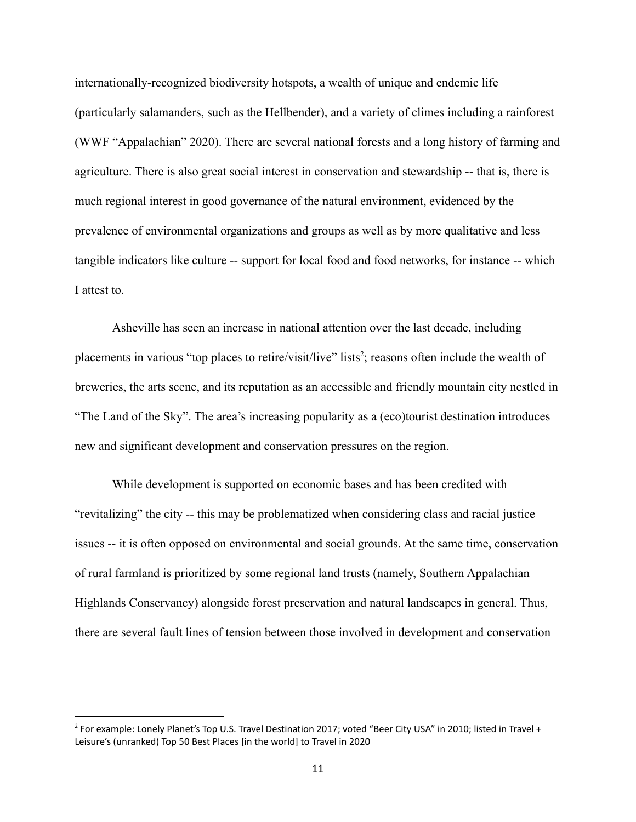internationally-recognized biodiversity hotspots, a wealth of unique and endemic life (particularly salamanders, such as the Hellbender), and a variety of climes including a rainforest (WWF "Appalachian" 2020). There are several national forests and a long history of farming and agriculture. There is also great social interest in conservation and stewardship -- that is, there is much regional interest in good governance of the natural environment, evidenced by the prevalence of environmental organizations and groups as well as by more qualitative and less tangible indicators like culture -- support for local food and food networks, for instance -- which I attest to.

Asheville has seen an increase in national attention over the last decade, including placements in various "top places to retire/visit/live" lists<sup>2</sup>; reasons often include the wealth of breweries, the arts scene, and its reputation as an accessible and friendly mountain city nestled in "The Land of the Sky". The area's increasing popularity as a (eco)tourist destination introduces new and significant development and conservation pressures on the region.

While development is supported on economic bases and has been credited with "revitalizing" the city -- this may be problematized when considering class and racial justice issues -- it is often opposed on environmental and social grounds. At the same time, conservation of rural farmland is prioritized by some regional land trusts (namely, Southern Appalachian Highlands Conservancy) alongside forest preservation and natural landscapes in general. Thus, there are several fault lines of tension between those involved in development and conservation

<sup>&</sup>lt;sup>2</sup> For example: Lonely Planet's Top U.S. Travel Destination 2017; voted "Beer City USA" in 2010; listed in Travel + Leisure's (unranked) Top 50 Best Places [in the world] to Travel in 2020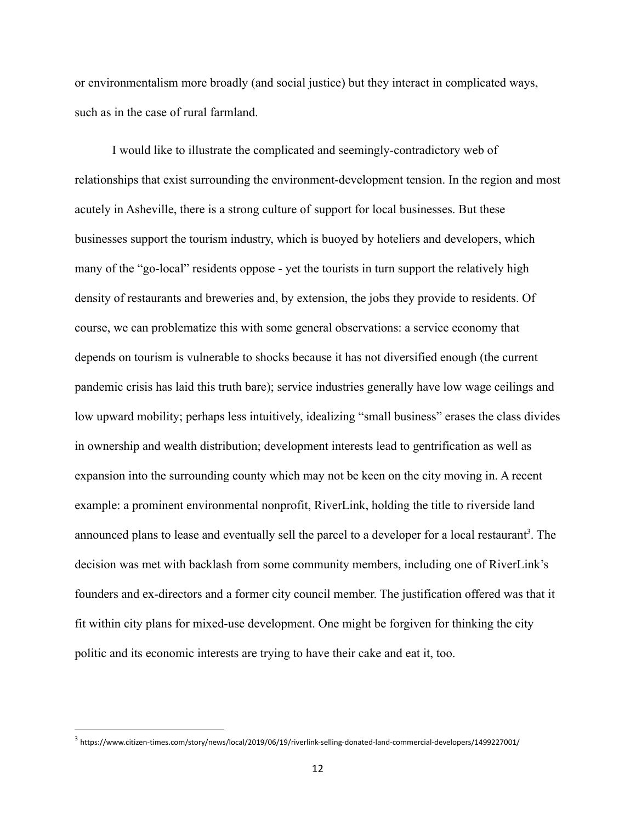or environmentalism more broadly (and social justice) but they interact in complicated ways, such as in the case of rural farmland.

I would like to illustrate the complicated and seemingly-contradictory web of relationships that exist surrounding the environment-development tension. In the region and most acutely in Asheville, there is a strong culture of support for local businesses. But these businesses support the tourism industry, which is buoyed by hoteliers and developers, which many of the "go-local" residents oppose - yet the tourists in turn support the relatively high density of restaurants and breweries and, by extension, the jobs they provide to residents. Of course, we can problematize this with some general observations: a service economy that depends on tourism is vulnerable to shocks because it has not diversified enough (the current pandemic crisis has laid this truth bare); service industries generally have low wage ceilings and low upward mobility; perhaps less intuitively, idealizing "small business" erases the class divides in ownership and wealth distribution; development interests lead to gentrification as well as expansion into the surrounding county which may not be keen on the city moving in. A recent example: a prominent environmental nonprofit, RiverLink, holding the title to riverside land announced plans to lease and eventually sell the parcel to a developer for a local restaurant<sup>3</sup>. The decision was met with backlash from some community members, including one of RiverLink's founders and ex-directors and a former city council member. The justification offered was that it fit within city plans for mixed-use development. One might be forgiven for thinking the city politic and its economic interests are trying to have their cake and eat it, too.

<sup>3</sup> https://www.citizen-times.com/story/news/local/2019/06/19/riverlink-selling-donated-land-commercial-developers/1499227001/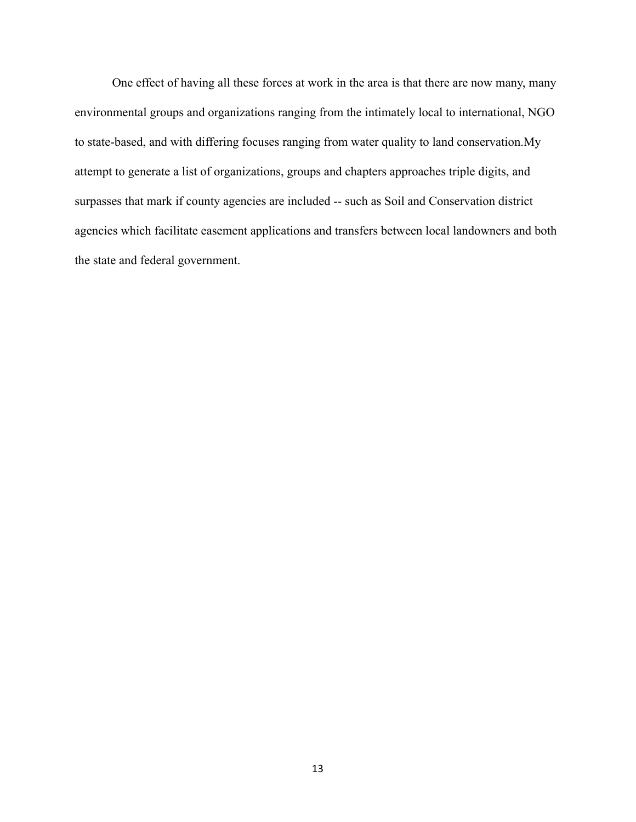One effect of having all these forces at work in the area is that there are now many, many environmental groups and organizations ranging from the intimately local to international, NGO to state-based, and with differing focuses ranging from water quality to land conservation.My attempt to generate a list of organizations, groups and chapters approaches triple digits, and surpasses that mark if county agencies are included -- such as Soil and Conservation district agencies which facilitate easement applications and transfers between local landowners and both the state and federal government.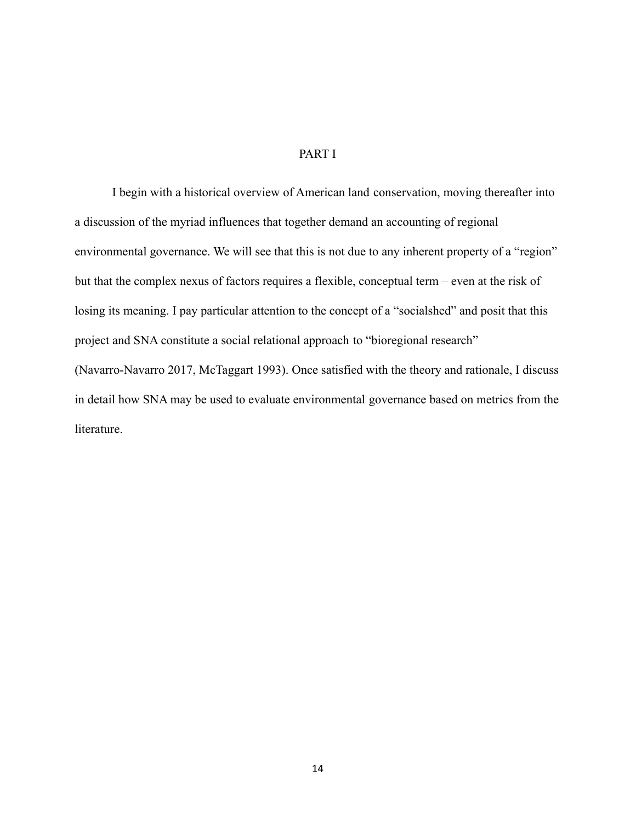# PART I

<span id="page-16-0"></span>I begin with a historical overview of American land conservation, moving thereafter into a discussion of the myriad influences that together demand an accounting of regional environmental governance. We will see that this is not due to any inherent property of a "region" but that the complex nexus of factors requires a flexible, conceptual term – even at the risk of losing its meaning. I pay particular attention to the concept of a "socialshed" and posit that this project and SNA constitute a social relational approach to "bioregional research" (Navarro-Navarro 2017, McTaggart 1993). Once satisfied with the theory and rationale, I discuss in detail how SNA may be used to evaluate environmental governance based on metrics from the literature.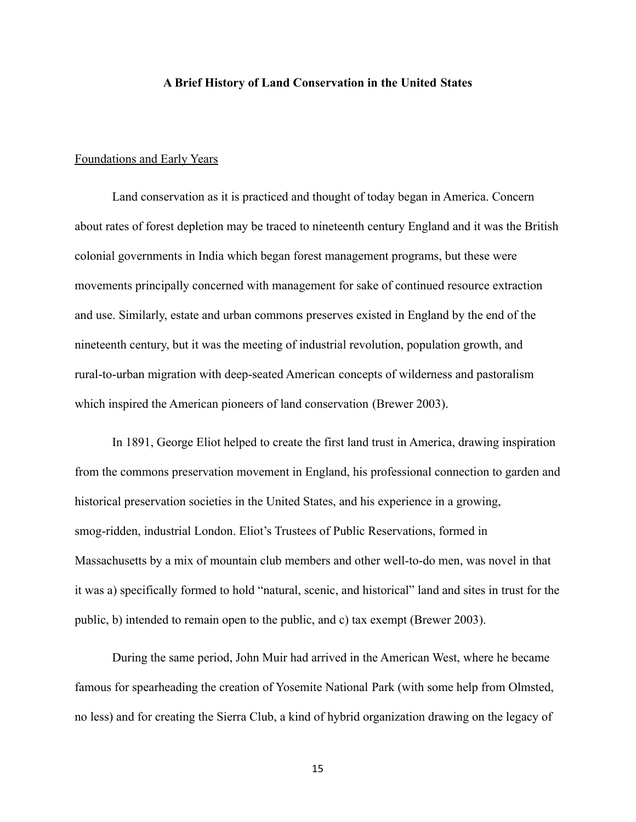# **A Brief History of Land Conservation in the United States**

#### <span id="page-17-0"></span>Foundations and Early Years

Land conservation as it is practiced and thought of today began in America. Concern about rates of forest depletion may be traced to nineteenth century England and it was the British colonial governments in India which began forest management programs, but these were movements principally concerned with management for sake of continued resource extraction and use. Similarly, estate and urban commons preserves existed in England by the end of the nineteenth century, but it was the meeting of industrial revolution, population growth, and rural-to-urban migration with deep-seated American concepts of wilderness and pastoralism which inspired the American pioneers of land conservation (Brewer 2003).

In 1891, George Eliot helped to create the first land trust in America, drawing inspiration from the commons preservation movement in England, his professional connection to garden and historical preservation societies in the United States, and his experience in a growing, smog-ridden, industrial London. Eliot's Trustees of Public Reservations, formed in Massachusetts by a mix of mountain club members and other well-to-do men, was novel in that it was a) specifically formed to hold "natural, scenic, and historical" land and sites in trust for the public, b) intended to remain open to the public, and c) tax exempt (Brewer 2003).

During the same period, John Muir had arrived in the American West, where he became famous for spearheading the creation of Yosemite National Park (with some help from Olmsted, no less) and for creating the Sierra Club, a kind of hybrid organization drawing on the legacy of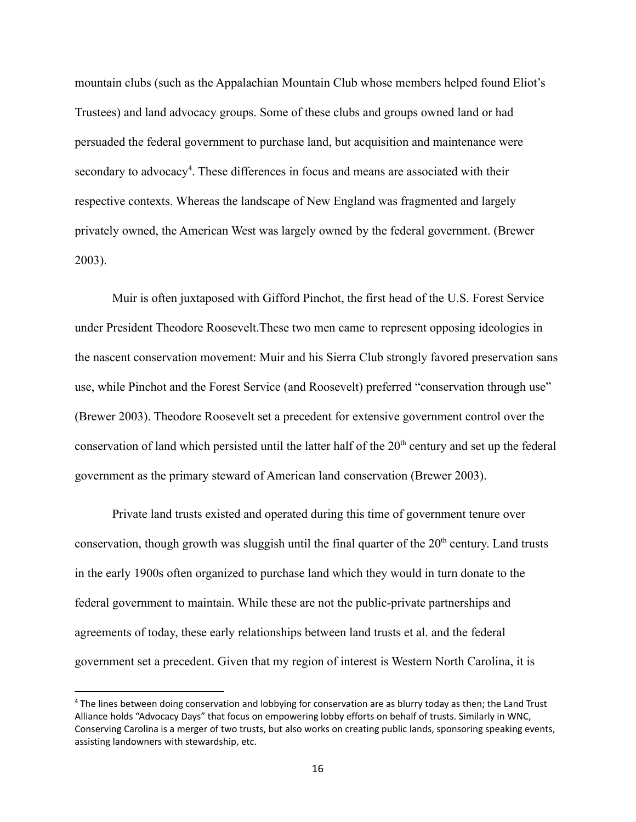mountain clubs (such as the Appalachian Mountain Club whose members helped found Eliot's Trustees) and land advocacy groups. Some of these clubs and groups owned land or had persuaded the federal government to purchase land, but acquisition and maintenance were secondary to advocacy<sup>4</sup>. These differences in focus and means are associated with their respective contexts. Whereas the landscape of New England was fragmented and largely privately owned, the American West was largely owned by the federal government. (Brewer 2003).

Muir is often juxtaposed with Gifford Pinchot, the first head of the U.S. Forest Service under President Theodore Roosevelt.These two men came to represent opposing ideologies in the nascent conservation movement: Muir and his Sierra Club strongly favored preservation sans use, while Pinchot and the Forest Service (and Roosevelt) preferred "conservation through use" (Brewer 2003). Theodore Roosevelt set a precedent for extensive government control over the conservation of land which persisted until the latter half of the  $20<sup>th</sup>$  century and set up the federal government as the primary steward of American land conservation (Brewer 2003).

Private land trusts existed and operated during this time of government tenure over conservation, though growth was sluggish until the final quarter of the  $20<sup>th</sup>$  century. Land trusts in the early 1900s often organized to purchase land which they would in turn donate to the federal government to maintain. While these are not the public-private partnerships and agreements of today, these early relationships between land trusts et al. and the federal government set a precedent. Given that my region of interest is Western North Carolina, it is

<sup>4</sup> The lines between doing conservation and lobbying for conservation are as blurry today as then; the Land Trust Alliance holds "Advocacy Days" that focus on empowering lobby efforts on behalf of trusts. Similarly in WNC, Conserving Carolina is a merger of two trusts, but also works on creating public lands, sponsoring speaking events, assisting landowners with stewardship, etc.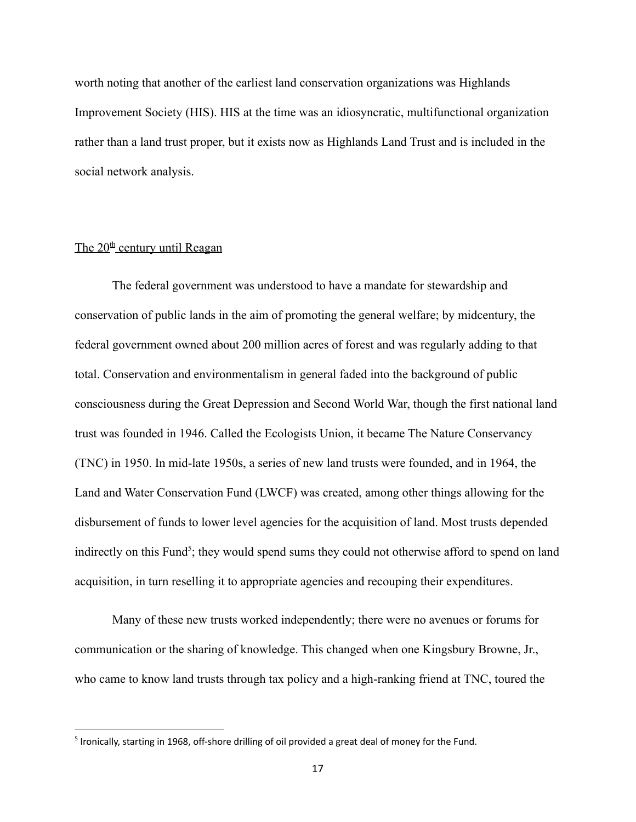worth noting that another of the earliest land conservation organizations was Highlands Improvement Society (HIS). HIS at the time was an idiosyncratic, multifunctional organization rather than a land trust proper, but it exists now as Highlands Land Trust and is included in the social network analysis.

# The  $20<sup>th</sup>$  century until Reagan

The federal government was understood to have a mandate for stewardship and conservation of public lands in the aim of promoting the general welfare; by midcentury, the federal government owned about 200 million acres of forest and was regularly adding to that total. Conservation and environmentalism in general faded into the background of public consciousness during the Great Depression and Second World War, though the first national land trust was founded in 1946. Called the Ecologists Union, it became The Nature Conservancy (TNC) in 1950. In mid-late 1950s, a series of new land trusts were founded, and in 1964, the Land and Water Conservation Fund (LWCF) was created, among other things allowing for the disbursement of funds to lower level agencies for the acquisition of land. Most trusts depended indirectly on this Fund<sup>5</sup>; they would spend sums they could not otherwise afford to spend on land acquisition, in turn reselling it to appropriate agencies and recouping their expenditures.

Many of these new trusts worked independently; there were no avenues or forums for communication or the sharing of knowledge. This changed when one Kingsbury Browne, Jr., who came to know land trusts through tax policy and a high-ranking friend at TNC, toured the

<sup>&</sup>lt;sup>5</sup> Ironically, starting in 1968, off-shore drilling of oil provided a great deal of money for the Fund.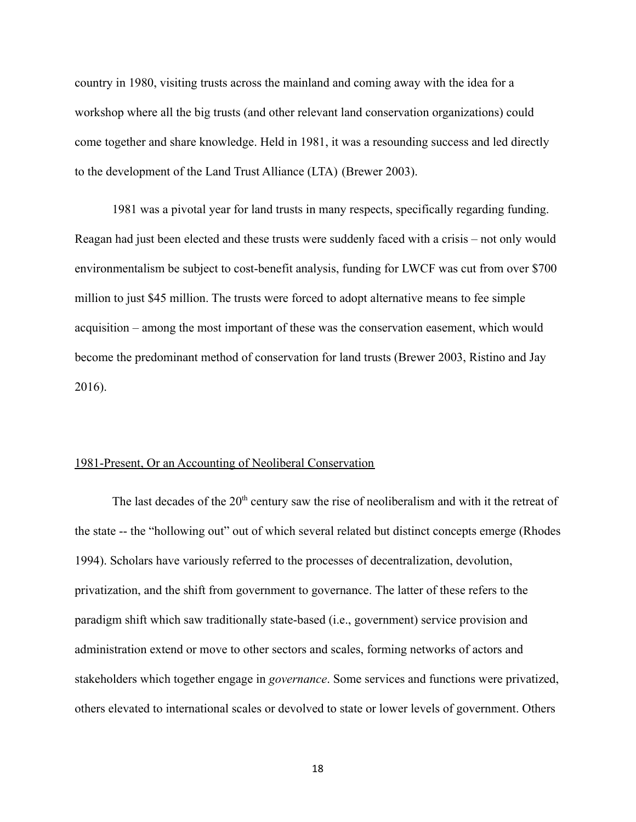country in 1980, visiting trusts across the mainland and coming away with the idea for a workshop where all the big trusts (and other relevant land conservation organizations) could come together and share knowledge. Held in 1981, it was a resounding success and led directly to the development of the Land Trust Alliance (LTA) (Brewer 2003).

1981 was a pivotal year for land trusts in many respects, specifically regarding funding. Reagan had just been elected and these trusts were suddenly faced with a crisis – not only would environmentalism be subject to cost-benefit analysis, funding for LWCF was cut from over \$700 million to just \$45 million. The trusts were forced to adopt alternative means to fee simple acquisition – among the most important of these was the conservation easement, which would become the predominant method of conservation for land trusts (Brewer 2003, Ristino and Jay 2016).

### 1981-Present, Or an Accounting of Neoliberal Conservation

The last decades of the  $20<sup>th</sup>$  century saw the rise of neoliberalism and with it the retreat of the state -- the "hollowing out" out of which several related but distinct concepts emerge (Rhodes 1994). Scholars have variously referred to the processes of decentralization, devolution, privatization, and the shift from government to governance. The latter of these refers to the paradigm shift which saw traditionally state-based (i.e., government) service provision and administration extend or move to other sectors and scales, forming networks of actors and stakeholders which together engage in *governance*. Some services and functions were privatized, others elevated to international scales or devolved to state or lower levels of government. Others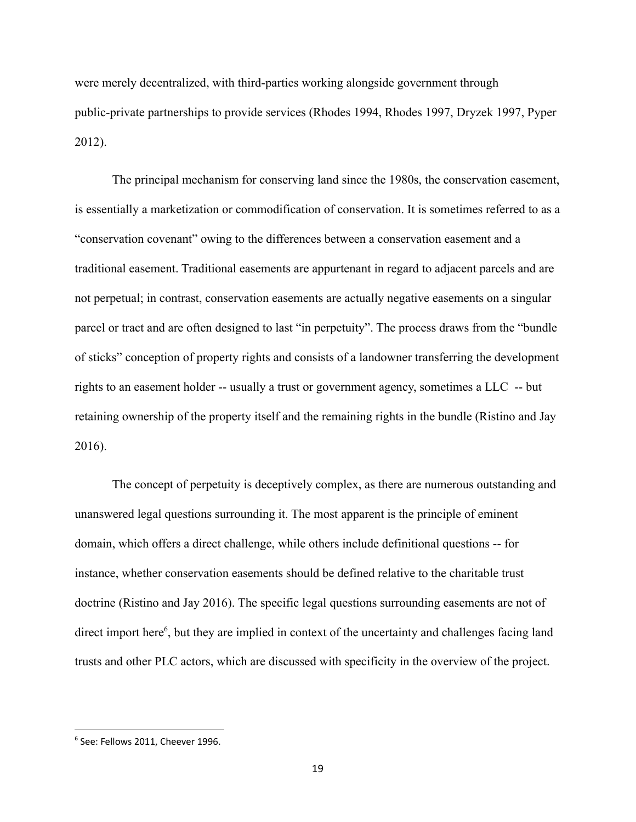were merely decentralized, with third-parties working alongside government through public-private partnerships to provide services (Rhodes 1994, Rhodes 1997, Dryzek 1997, Pyper 2012).

The principal mechanism for conserving land since the 1980s, the conservation easement, is essentially a marketization or commodification of conservation. It is sometimes referred to as a "conservation covenant" owing to the differences between a conservation easement and a traditional easement. Traditional easements are appurtenant in regard to adjacent parcels and are not perpetual; in contrast, conservation easements are actually negative easements on a singular parcel or tract and are often designed to last "in perpetuity". The process draws from the "bundle of sticks" conception of property rights and consists of a landowner transferring the development rights to an easement holder -- usually a trust or government agency, sometimes a LLC -- but retaining ownership of the property itself and the remaining rights in the bundle (Ristino and Jay 2016).

The concept of perpetuity is deceptively complex, as there are numerous outstanding and unanswered legal questions surrounding it. The most apparent is the principle of eminent domain, which offers a direct challenge, while others include definitional questions -- for instance, whether conservation easements should be defined relative to the charitable trust doctrine (Ristino and Jay 2016). The specific legal questions surrounding easements are not of direct import here<sup>6</sup>, but they are implied in context of the uncertainty and challenges facing land trusts and other PLC actors, which are discussed with specificity in the overview of the project.

<sup>6</sup> See: Fellows 2011, Cheever 1996.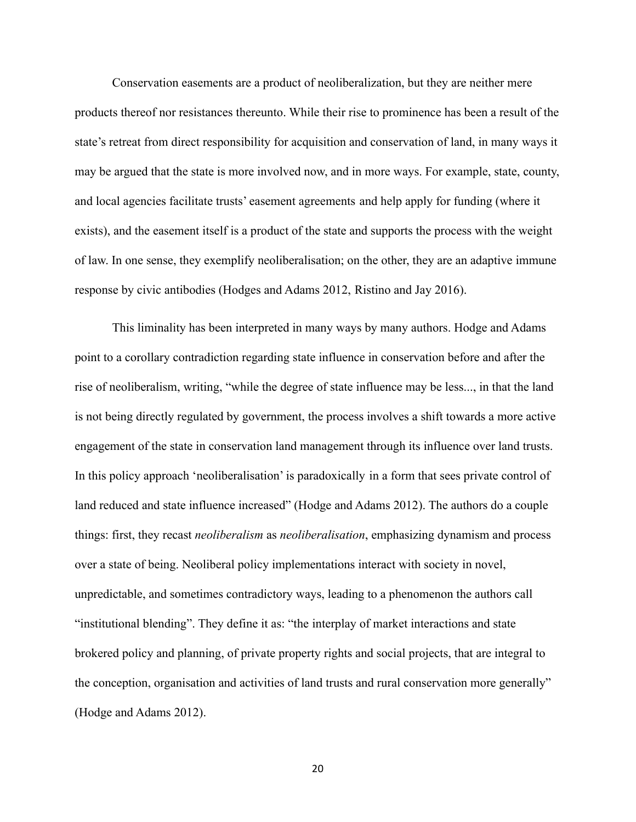Conservation easements are a product of neoliberalization, but they are neither mere products thereof nor resistances thereunto. While their rise to prominence has been a result of the state's retreat from direct responsibility for acquisition and conservation of land, in many ways it may be argued that the state is more involved now, and in more ways. For example, state, county, and local agencies facilitate trusts' easement agreements and help apply for funding (where it exists), and the easement itself is a product of the state and supports the process with the weight of law. In one sense, they exemplify neoliberalisation; on the other, they are an adaptive immune response by civic antibodies (Hodges and Adams 2012, Ristino and Jay 2016).

This liminality has been interpreted in many ways by many authors. Hodge and Adams point to a corollary contradiction regarding state influence in conservation before and after the rise of neoliberalism, writing, "while the degree of state influence may be less..., in that the land is not being directly regulated by government, the process involves a shift towards a more active engagement of the state in conservation land management through its influence over land trusts. In this policy approach 'neoliberalisation' is paradoxically in a form that sees private control of land reduced and state influence increased" (Hodge and Adams 2012). The authors do a couple things: first, they recast *neoliberalism* as *neoliberalisation*, emphasizing dynamism and process over a state of being. Neoliberal policy implementations interact with society in novel, unpredictable, and sometimes contradictory ways, leading to a phenomenon the authors call "institutional blending". They define it as: "the interplay of market interactions and state brokered policy and planning, of private property rights and social projects, that are integral to the conception, organisation and activities of land trusts and rural conservation more generally" (Hodge and Adams 2012).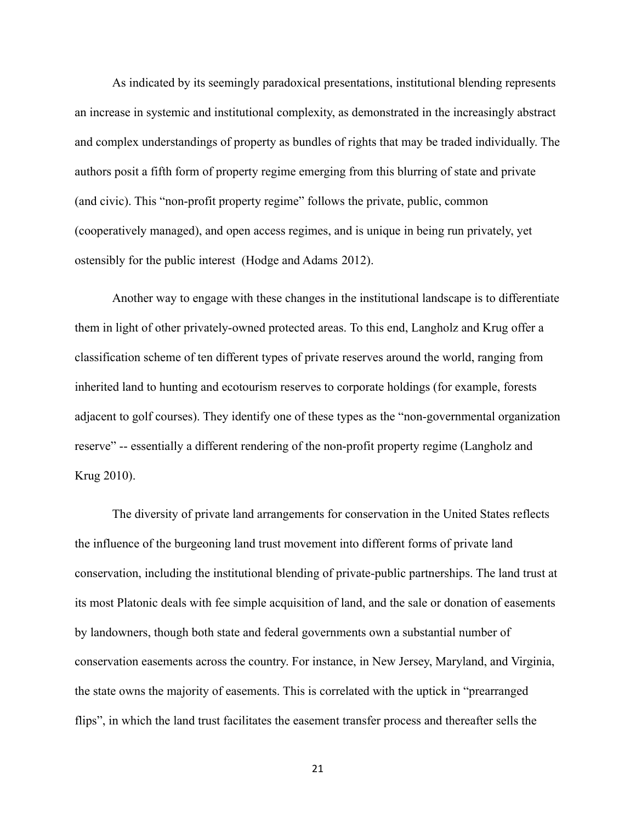As indicated by its seemingly paradoxical presentations, institutional blending represents an increase in systemic and institutional complexity, as demonstrated in the increasingly abstract and complex understandings of property as bundles of rights that may be traded individually. The authors posit a fifth form of property regime emerging from this blurring of state and private (and civic). This "non-profit property regime" follows the private, public, common (cooperatively managed), and open access regimes, and is unique in being run privately, yet ostensibly for the public interest (Hodge and Adams 2012).

Another way to engage with these changes in the institutional landscape is to differentiate them in light of other privately-owned protected areas. To this end, Langholz and Krug offer a classification scheme of ten different types of private reserves around the world, ranging from inherited land to hunting and ecotourism reserves to corporate holdings (for example, forests adjacent to golf courses). They identify one of these types as the "non-governmental organization reserve" -- essentially a different rendering of the non-profit property regime (Langholz and Krug 2010).

The diversity of private land arrangements for conservation in the United States reflects the influence of the burgeoning land trust movement into different forms of private land conservation, including the institutional blending of private-public partnerships. The land trust at its most Platonic deals with fee simple acquisition of land, and the sale or donation of easements by landowners, though both state and federal governments own a substantial number of conservation easements across the country. For instance, in New Jersey, Maryland, and Virginia, the state owns the majority of easements. This is correlated with the uptick in "prearranged flips", in which the land trust facilitates the easement transfer process and thereafter sells the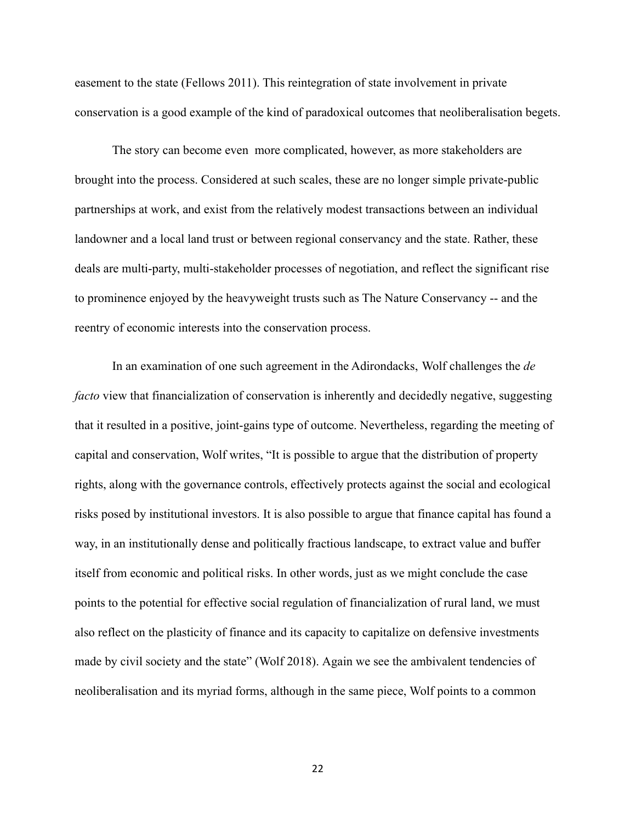easement to the state (Fellows 2011). This reintegration of state involvement in private conservation is a good example of the kind of paradoxical outcomes that neoliberalisation begets.

The story can become even more complicated, however, as more stakeholders are brought into the process. Considered at such scales, these are no longer simple private-public partnerships at work, and exist from the relatively modest transactions between an individual landowner and a local land trust or between regional conservancy and the state. Rather, these deals are multi-party, multi-stakeholder processes of negotiation, and reflect the significant rise to prominence enjoyed by the heavyweight trusts such as The Nature Conservancy -- and the reentry of economic interests into the conservation process.

In an examination of one such agreement in the Adirondacks, Wolf challenges the *de facto* view that financialization of conservation is inherently and decidedly negative, suggesting that it resulted in a positive, joint-gains type of outcome. Nevertheless, regarding the meeting of capital and conservation, Wolf writes, "It is possible to argue that the distribution of property rights, along with the governance controls, effectively protects against the social and ecological risks posed by institutional investors. It is also possible to argue that finance capital has found a way, in an institutionally dense and politically fractious landscape, to extract value and buffer itself from economic and political risks. In other words, just as we might conclude the case points to the potential for effective social regulation of financialization of rural land, we must also reflect on the plasticity of finance and its capacity to capitalize on defensive investments made by civil society and the state" (Wolf 2018). Again we see the ambivalent tendencies of neoliberalisation and its myriad forms, although in the same piece, Wolf points to a common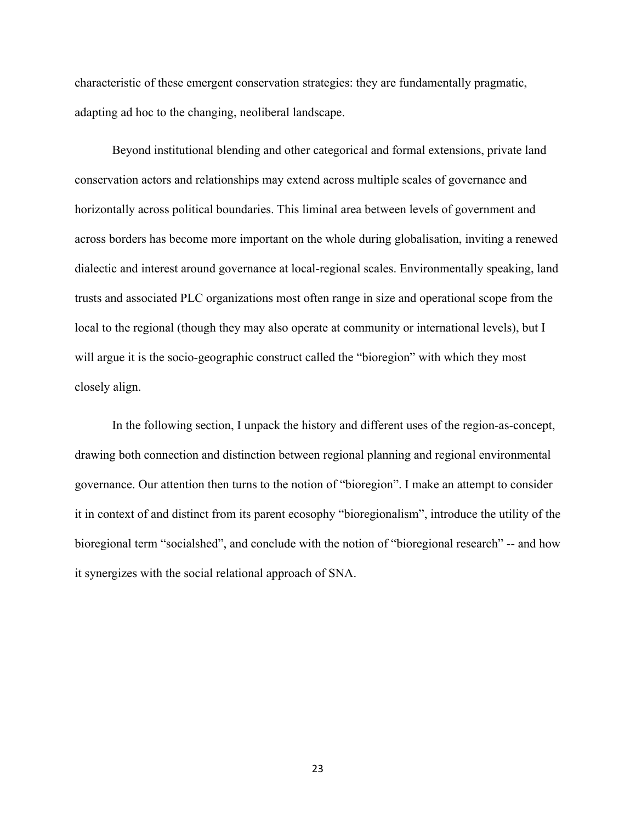characteristic of these emergent conservation strategies: they are fundamentally pragmatic, adapting ad hoc to the changing, neoliberal landscape.

Beyond institutional blending and other categorical and formal extensions, private land conservation actors and relationships may extend across multiple scales of governance and horizontally across political boundaries. This liminal area between levels of government and across borders has become more important on the whole during globalisation, inviting a renewed dialectic and interest around governance at local-regional scales. Environmentally speaking, land trusts and associated PLC organizations most often range in size and operational scope from the local to the regional (though they may also operate at community or international levels), but I will argue it is the socio-geographic construct called the "bioregion" with which they most closely align.

In the following section, I unpack the history and different uses of the region-as-concept, drawing both connection and distinction between regional planning and regional environmental governance. Our attention then turns to the notion of "bioregion". I make an attempt to consider it in context of and distinct from its parent ecosophy "bioregionalism", introduce the utility of the bioregional term "socialshed", and conclude with the notion of "bioregional research" -- and how it synergizes with the social relational approach of SNA.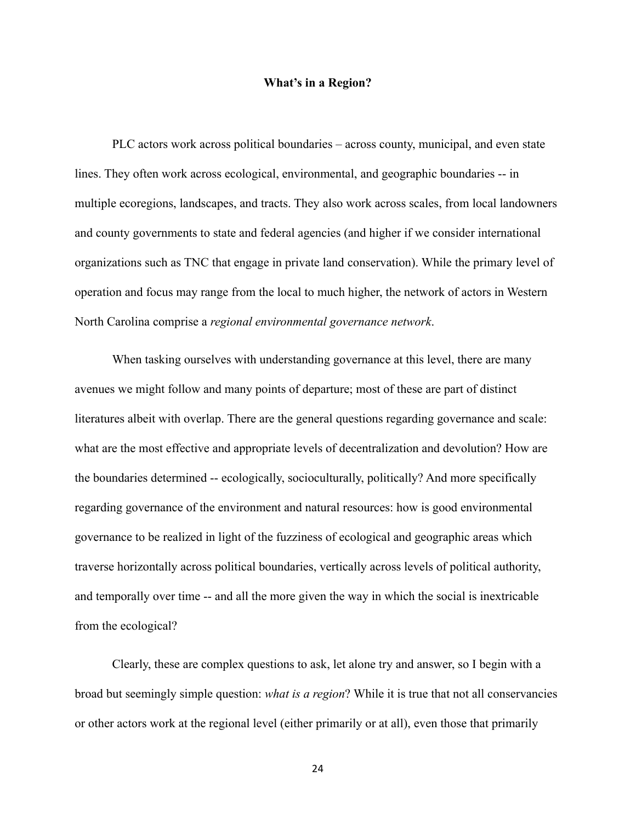# **What's in a Region?**

<span id="page-26-0"></span>PLC actors work across political boundaries – across county, municipal, and even state lines. They often work across ecological, environmental, and geographic boundaries -- in multiple ecoregions, landscapes, and tracts. They also work across scales, from local landowners and county governments to state and federal agencies (and higher if we consider international organizations such as TNC that engage in private land conservation). While the primary level of operation and focus may range from the local to much higher, the network of actors in Western North Carolina comprise a *regional environmental governance network*.

When tasking ourselves with understanding governance at this level, there are many avenues we might follow and many points of departure; most of these are part of distinct literatures albeit with overlap. There are the general questions regarding governance and scale: what are the most effective and appropriate levels of decentralization and devolution? How are the boundaries determined -- ecologically, socioculturally, politically? And more specifically regarding governance of the environment and natural resources: how is good environmental governance to be realized in light of the fuzziness of ecological and geographic areas which traverse horizontally across political boundaries, vertically across levels of political authority, and temporally over time -- and all the more given the way in which the social is inextricable from the ecological?

Clearly, these are complex questions to ask, let alone try and answer, so I begin with a broad but seemingly simple question: *what is a region*? While it is true that not all conservancies or other actors work at the regional level (either primarily or at all), even those that primarily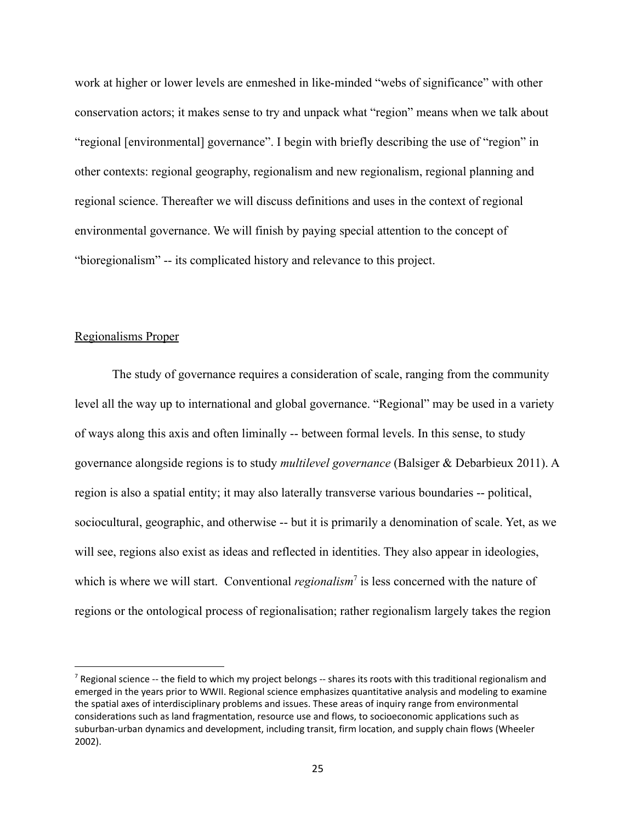work at higher or lower levels are enmeshed in like-minded "webs of significance" with other conservation actors; it makes sense to try and unpack what "region" means when we talk about "regional [environmental] governance". I begin with briefly describing the use of "region" in other contexts: regional geography, regionalism and new regionalism, regional planning and regional science. Thereafter we will discuss definitions and uses in the context of regional environmental governance. We will finish by paying special attention to the concept of "bioregionalism" -- its complicated history and relevance to this project.

# <span id="page-27-0"></span>Regionalisms Proper

The study of governance requires a consideration of scale, ranging from the community level all the way up to international and global governance. "Regional" may be used in a variety of ways along this axis and often liminally -- between formal levels. In this sense, to study governance alongside regions is to study *multilevel governance* (Balsiger & Debarbieux 2011). A region is also a spatial entity; it may also laterally transverse various boundaries -- political, sociocultural, geographic, and otherwise -- but it is primarily a denomination of scale. Yet, as we will see, regions also exist as ideas and reflected in identities. They also appear in ideologies, which is where we will start. Conventional *regionalism*<sup> $7$ </sup> is less concerned with the nature of regions or the ontological process of regionalisation; rather regionalism largely takes the region

 $<sup>7</sup>$  Regional science -- the field to which my project belongs -- shares its roots with this traditional regionalism and</sup> emerged in the years prior to WWII. Regional science emphasizes quantitative analysis and modeling to examine the spatial axes of interdisciplinary problems and issues. These areas of inquiry range from environmental considerations such as land fragmentation, resource use and flows, to socioeconomic applications such as suburban-urban dynamics and development, including transit, firm location, and supply chain flows (Wheeler 2002).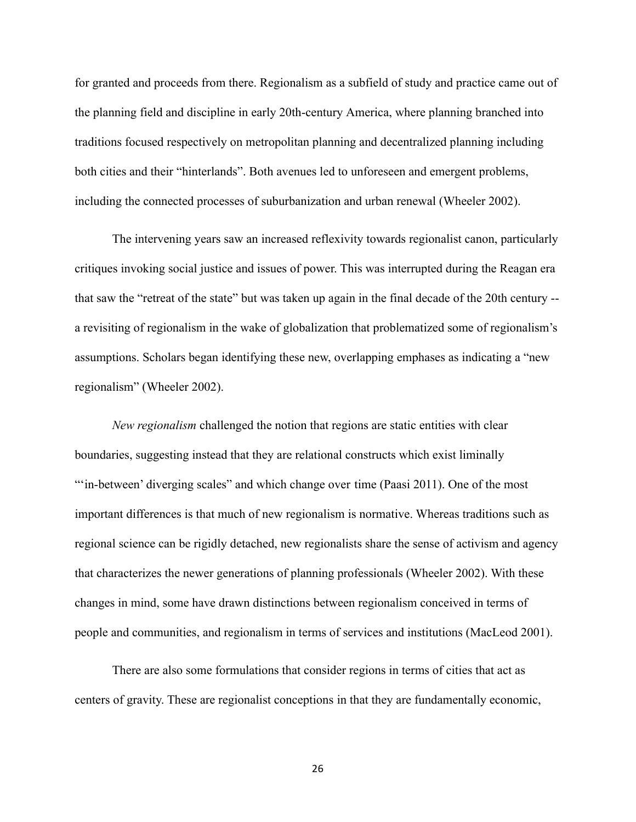for granted and proceeds from there. Regionalism as a subfield of study and practice came out of the planning field and discipline in early 20th-century America, where planning branched into traditions focused respectively on metropolitan planning and decentralized planning including both cities and their "hinterlands". Both avenues led to unforeseen and emergent problems, including the connected processes of suburbanization and urban renewal (Wheeler 2002).

The intervening years saw an increased reflexivity towards regionalist canon, particularly critiques invoking social justice and issues of power. This was interrupted during the Reagan era that saw the "retreat of the state" but was taken up again in the final decade of the 20th century - a revisiting of regionalism in the wake of globalization that problematized some of regionalism's assumptions. Scholars began identifying these new, overlapping emphases as indicating a "new regionalism" (Wheeler 2002).

*New regionalism* challenged the notion that regions are static entities with clear boundaries, suggesting instead that they are relational constructs which exist liminally ""in-between' diverging scales" and which change over time (Paasi 2011). One of the most important differences is that much of new regionalism is normative. Whereas traditions such as regional science can be rigidly detached, new regionalists share the sense of activism and agency that characterizes the newer generations of planning professionals (Wheeler 2002). With these changes in mind, some have drawn distinctions between regionalism conceived in terms of people and communities, and regionalism in terms of services and institutions (MacLeod 2001).

There are also some formulations that consider regions in terms of cities that act as centers of gravity. These are regionalist conceptions in that they are fundamentally economic,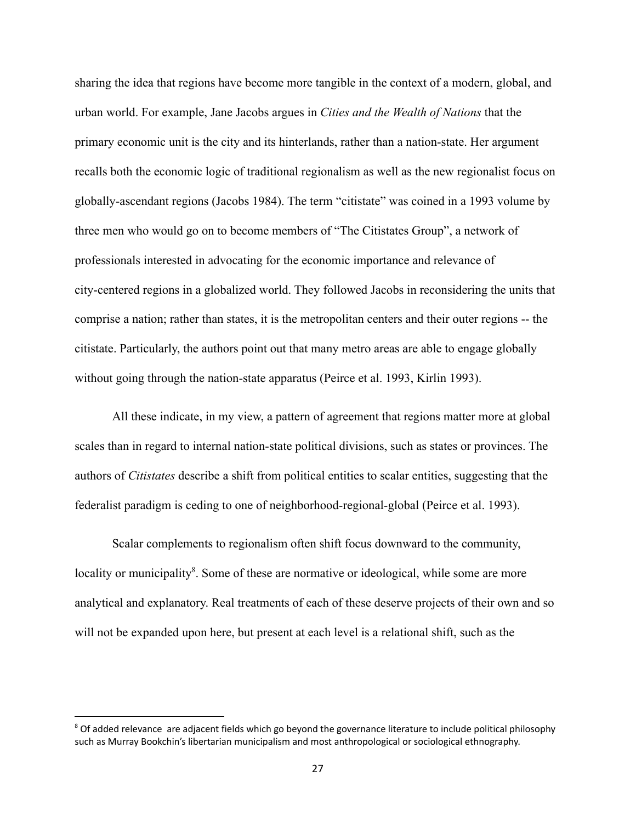sharing the idea that regions have become more tangible in the context of a modern, global, and urban world. For example, Jane Jacobs argues in *Cities and the Wealth of Nations* that the primary economic unit is the city and its hinterlands, rather than a nation-state. Her argument recalls both the economic logic of traditional regionalism as well as the new regionalist focus on globally-ascendant regions (Jacobs 1984). The term "citistate" was coined in a 1993 volume by three men who would go on to become members of "The Citistates Group", a network of professionals interested in advocating for the economic importance and relevance of city-centered regions in a globalized world. They followed Jacobs in reconsidering the units that comprise a nation; rather than states, it is the metropolitan centers and their outer regions -- the citistate. Particularly, the authors point out that many metro areas are able to engage globally without going through the nation-state apparatus (Peirce et al. 1993, Kirlin 1993).

All these indicate, in my view, a pattern of agreement that regions matter more at global scales than in regard to internal nation-state political divisions, such as states or provinces. The authors of *Citistates* describe a shift from political entities to scalar entities, suggesting that the federalist paradigm is ceding to one of neighborhood-regional-global (Peirce et al. 1993).

Scalar complements to regionalism often shift focus downward to the community, locality or municipality<sup>8</sup>. Some of these are normative or ideological, while some are more analytical and explanatory. Real treatments of each of these deserve projects of their own and so will not be expanded upon here, but present at each level is a relational shift, such as the

<sup>&</sup>lt;sup>8</sup> Of added relevance are adjacent fields which go beyond the governance literature to include political philosophy such as Murray Bookchin's libertarian municipalism and most anthropological or sociological ethnography.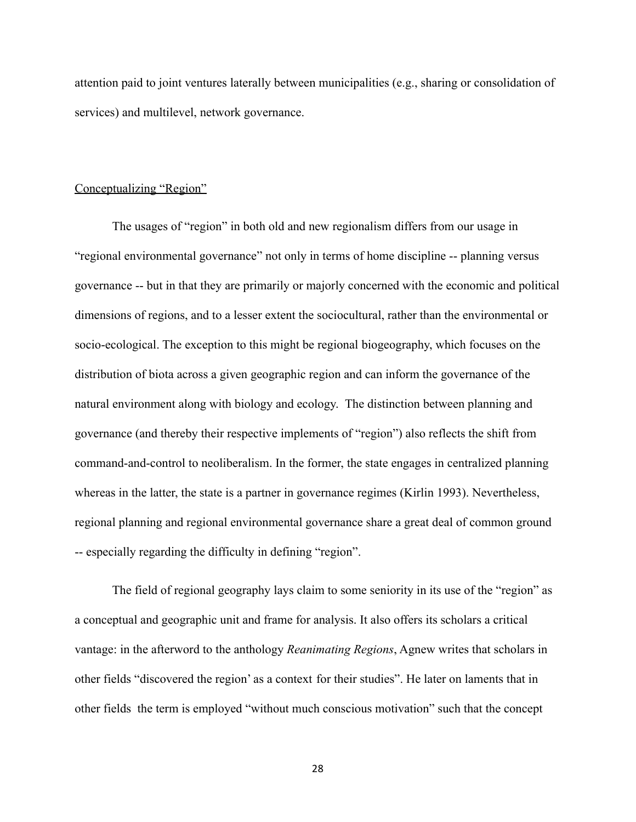attention paid to joint ventures laterally between municipalities (e.g., sharing or consolidation of services) and multilevel, network governance.

# <span id="page-30-0"></span>Conceptualizing "Region"

The usages of "region" in both old and new regionalism differs from our usage in "regional environmental governance" not only in terms of home discipline -- planning versus governance -- but in that they are primarily or majorly concerned with the economic and political dimensions of regions, and to a lesser extent the sociocultural, rather than the environmental or socio-ecological. The exception to this might be regional biogeography, which focuses on the distribution of biota across a given geographic region and can inform the governance of the natural environment along with biology and ecology. The distinction between planning and governance (and thereby their respective implements of "region") also reflects the shift from command-and-control to neoliberalism. In the former, the state engages in centralized planning whereas in the latter, the state is a partner in governance regimes (Kirlin 1993). Nevertheless, regional planning and regional environmental governance share a great deal of common ground -- especially regarding the difficulty in defining "region".

The field of regional geography lays claim to some seniority in its use of the "region" as a conceptual and geographic unit and frame for analysis. It also offers its scholars a critical vantage: in the afterword to the anthology *Reanimating Regions*, Agnew writes that scholars in other fields "discovered the region' as a context for their studies". He later on laments that in other fields the term is employed "without much conscious motivation" such that the concept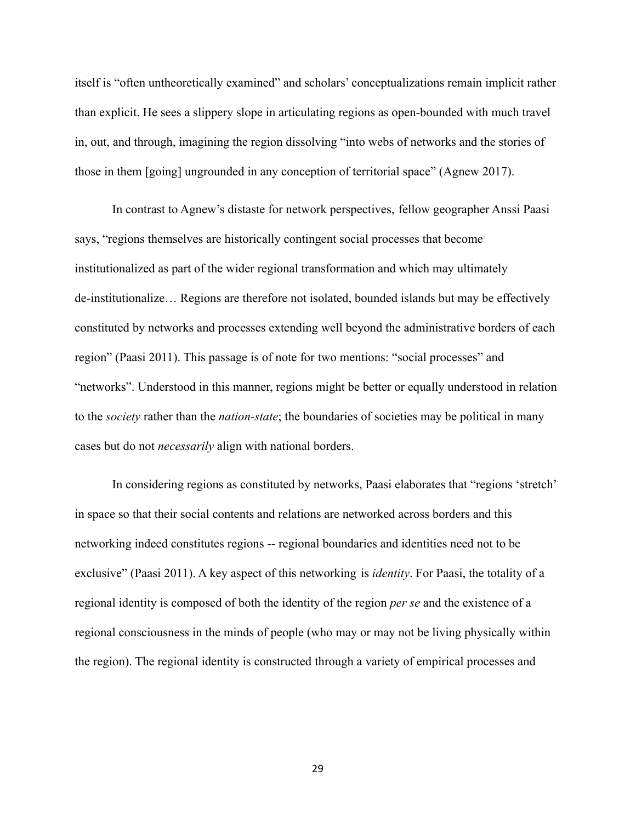itself is "often untheoretically examined" and scholars' conceptualizations remain implicit rather than explicit. He sees a slippery slope in articulating regions as open-bounded with much travel in, out, and through, imagining the region dissolving "into webs of networks and the stories of those in them [going] ungrounded in any conception of territorial space" (Agnew 2017).

In contrast to Agnew's distaste for network perspectives, fellow geographer Anssi Paasi says, "regions themselves are historically contingent social processes that become institutionalized as part of the wider regional transformation and which may ultimately de-institutionalize… Regions are therefore not isolated, bounded islands but may be effectively constituted by networks and processes extending well beyond the administrative borders of each region" (Paasi 2011). This passage is of note for two mentions: "social processes" and "networks". Understood in this manner, regions might be better or equally understood in relation to the *society* rather than the *nation-state*; the boundaries of societies may be political in many cases but do not *necessarily* align with national borders.

In considering regions as constituted by networks, Paasi elaborates that "regions 'stretch' in space so that their social contents and relations are networked across borders and this networking indeed constitutes regions -- regional boundaries and identities need not to be exclusive" (Paasi 2011). A key aspect of this networking is *identity*. For Paasi, the totality of a regional identity is composed of both the identity of the region *per se* and the existence of a regional consciousness in the minds of people (who may or may not be living physically within the region). The regional identity is constructed through a variety of empirical processes and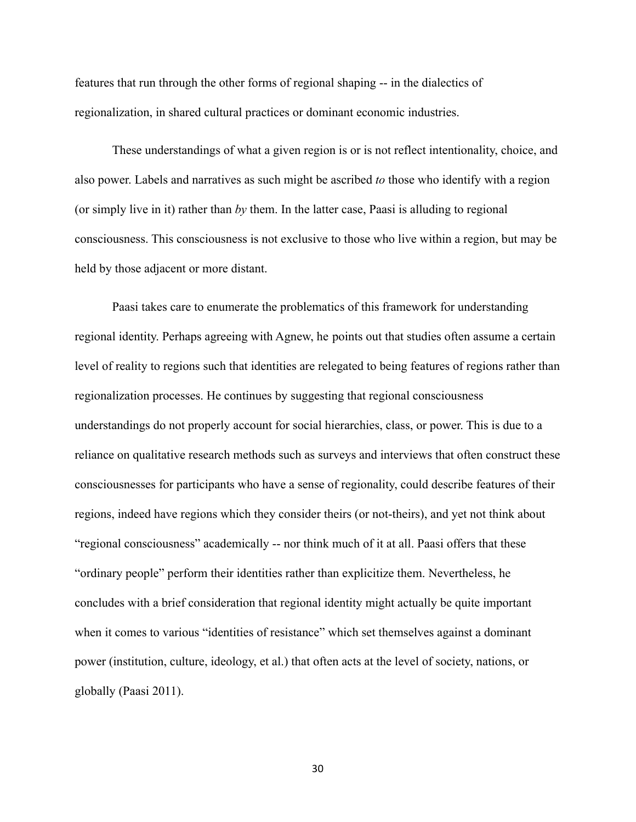features that run through the other forms of regional shaping -- in the dialectics of regionalization, in shared cultural practices or dominant economic industries.

These understandings of what a given region is or is not reflect intentionality, choice, and also power. Labels and narratives as such might be ascribed *to* those who identify with a region (or simply live in it) rather than *by* them. In the latter case, Paasi is alluding to regional consciousness. This consciousness is not exclusive to those who live within a region, but may be held by those adjacent or more distant.

Paasi takes care to enumerate the problematics of this framework for understanding regional identity. Perhaps agreeing with Agnew, he points out that studies often assume a certain level of reality to regions such that identities are relegated to being features of regions rather than regionalization processes. He continues by suggesting that regional consciousness understandings do not properly account for social hierarchies, class, or power. This is due to a reliance on qualitative research methods such as surveys and interviews that often construct these consciousnesses for participants who have a sense of regionality, could describe features of their regions, indeed have regions which they consider theirs (or not-theirs), and yet not think about "regional consciousness" academically -- nor think much of it at all. Paasi offers that these "ordinary people" perform their identities rather than explicitize them. Nevertheless, he concludes with a brief consideration that regional identity might actually be quite important when it comes to various "identities of resistance" which set themselves against a dominant power (institution, culture, ideology, et al.) that often acts at the level of society, nations, or globally (Paasi 2011).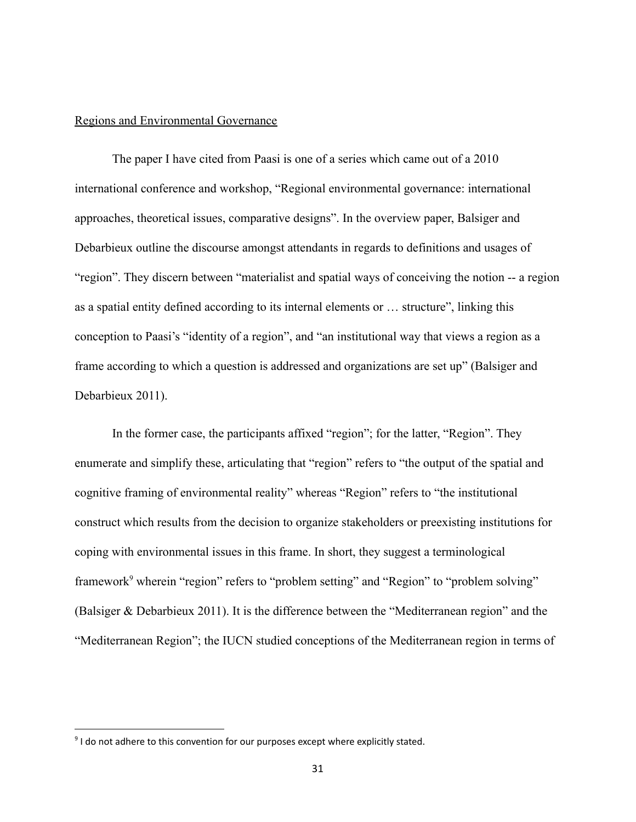## <span id="page-33-0"></span>Regions and Environmental Governance

The paper I have cited from Paasi is one of a series which came out of a 2010 international conference and workshop, "Regional environmental governance: international approaches, theoretical issues, comparative designs". In the overview paper, Balsiger and Debarbieux outline the discourse amongst attendants in regards to definitions and usages of "region". They discern between "materialist and spatial ways of conceiving the notion -- a region as a spatial entity defined according to its internal elements or … structure", linking this conception to Paasi's "identity of a region", and "an institutional way that views a region as a frame according to which a question is addressed and organizations are set up" (Balsiger and Debarbieux 2011).

In the former case, the participants affixed "region"; for the latter, "Region". They enumerate and simplify these, articulating that "region" refers to "the output of the spatial and cognitive framing of environmental reality" whereas "Region" refers to "the institutional construct which results from the decision to organize stakeholders or preexisting institutions for coping with environmental issues in this frame. In short, they suggest a terminological framework<sup>9</sup> wherein "region" refers to "problem setting" and "Region" to "problem solving" (Balsiger & Debarbieux 2011). It is the difference between the "Mediterranean region" and the "Mediterranean Region"; the IUCN studied conceptions of the Mediterranean region in terms of

 $9$  I do not adhere to this convention for our purposes except where explicitly stated.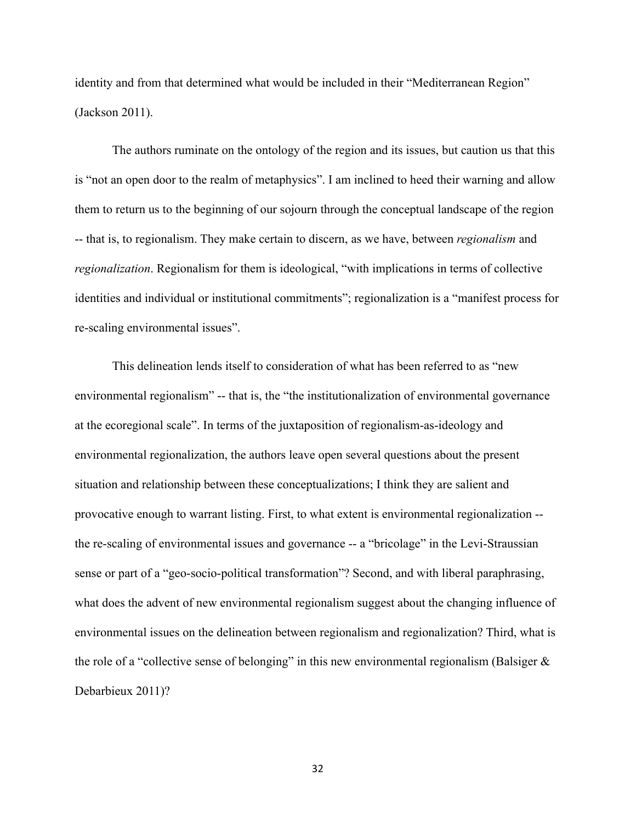identity and from that determined what would be included in their "Mediterranean Region" (Jackson 2011).

The authors ruminate on the ontology of the region and its issues, but caution us that this is "not an open door to the realm of metaphysics". I am inclined to heed their warning and allow them to return us to the beginning of our sojourn through the conceptual landscape of the region -- that is, to regionalism. They make certain to discern, as we have, between *regionalism* and *regionalization*. Regionalism for them is ideological, "with implications in terms of collective identities and individual or institutional commitments"; regionalization is a "manifest process for re-scaling environmental issues".

This delineation lends itself to consideration of what has been referred to as "new environmental regionalism" -- that is, the "the institutionalization of environmental governance at the ecoregional scale". In terms of the juxtaposition of regionalism-as-ideology and environmental regionalization, the authors leave open several questions about the present situation and relationship between these conceptualizations; I think they are salient and provocative enough to warrant listing. First, to what extent is environmental regionalization - the re-scaling of environmental issues and governance -- a "bricolage" in the Levi-Straussian sense or part of a "geo-socio-political transformation"? Second, and with liberal paraphrasing, what does the advent of new environmental regionalism suggest about the changing influence of environmental issues on the delineation between regionalism and regionalization? Third, what is the role of a "collective sense of belonging" in this new environmental regionalism (Balsiger  $\&$ Debarbieux 2011)?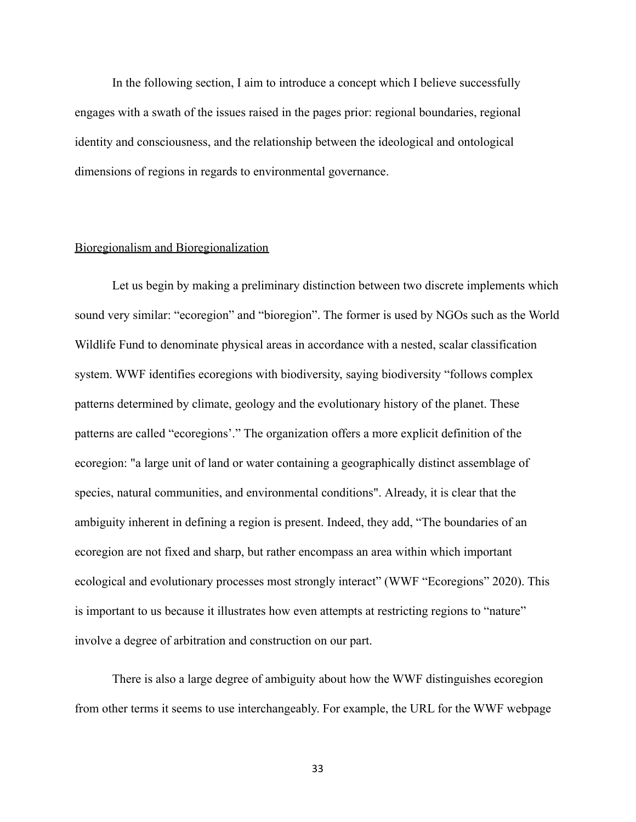In the following section, I aim to introduce a concept which I believe successfully engages with a swath of the issues raised in the pages prior: regional boundaries, regional identity and consciousness, and the relationship between the ideological and ontological dimensions of regions in regards to environmental governance.

# <span id="page-35-0"></span>Bioregionalism and Bioregionalization

Let us begin by making a preliminary distinction between two discrete implements which sound very similar: "ecoregion" and "bioregion". The former is used by NGOs such as the World Wildlife Fund to denominate physical areas in accordance with a nested, scalar classification system. WWF identifies ecoregions with biodiversity, saying biodiversity "follows complex patterns determined by climate, geology and the evolutionary history of the planet. These patterns are called "ecoregions'." The organization offers a more explicit definition of the ecoregion: "a large unit of land or water containing a geographically distinct assemblage of species, natural communities, and environmental conditions". Already, it is clear that the ambiguity inherent in defining a region is present. Indeed, they add, "The boundaries of an ecoregion are not fixed and sharp, but rather encompass an area within which important ecological and evolutionary processes most strongly interact" (WWF "Ecoregions" 2020). This is important to us because it illustrates how even attempts at restricting regions to "nature" involve a degree of arbitration and construction on our part.

There is also a large degree of ambiguity about how the WWF distinguishes ecoregion from other terms it seems to use interchangeably. For example, the URL for the WWF webpage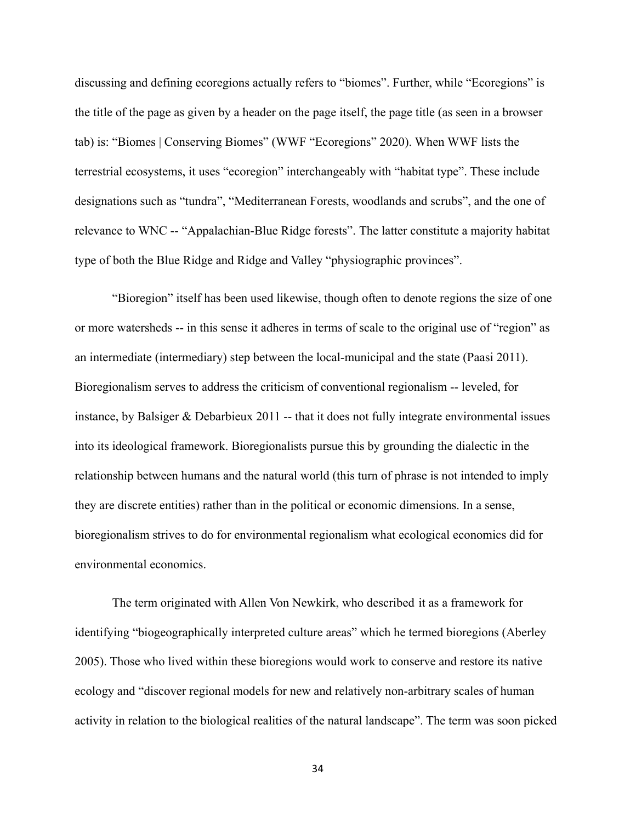discussing and defining ecoregions actually refers to "biomes". Further, while "Ecoregions" is the title of the page as given by a header on the page itself, the page title (as seen in a browser tab) is: "Biomes | Conserving Biomes" (WWF "Ecoregions" 2020). When WWF lists the terrestrial ecosystems, it uses "ecoregion" interchangeably with "habitat type". These include designations such as "tundra", "Mediterranean Forests, woodlands and scrubs", and the one of relevance to WNC -- "Appalachian-Blue Ridge forests". The latter constitute a majority habitat type of both the Blue Ridge and Ridge and Valley "physiographic provinces".

"Bioregion" itself has been used likewise, though often to denote regions the size of one or more watersheds -- in this sense it adheres in terms of scale to the original use of "region" as an intermediate (intermediary) step between the local-municipal and the state (Paasi 2011). Bioregionalism serves to address the criticism of conventional regionalism -- leveled, for instance, by Balsiger  $&$  Debarbieux 2011 -- that it does not fully integrate environmental issues into its ideological framework. Bioregionalists pursue this by grounding the dialectic in the relationship between humans and the natural world (this turn of phrase is not intended to imply they are discrete entities) rather than in the political or economic dimensions. In a sense, bioregionalism strives to do for environmental regionalism what ecological economics did for environmental economics.

The term originated with Allen Von Newkirk, who described it as a framework for identifying "biogeographically interpreted culture areas" which he termed bioregions (Aberley 2005). Those who lived within these bioregions would work to conserve and restore its native ecology and "discover regional models for new and relatively non-arbitrary scales of human activity in relation to the biological realities of the natural landscape". The term was soon picked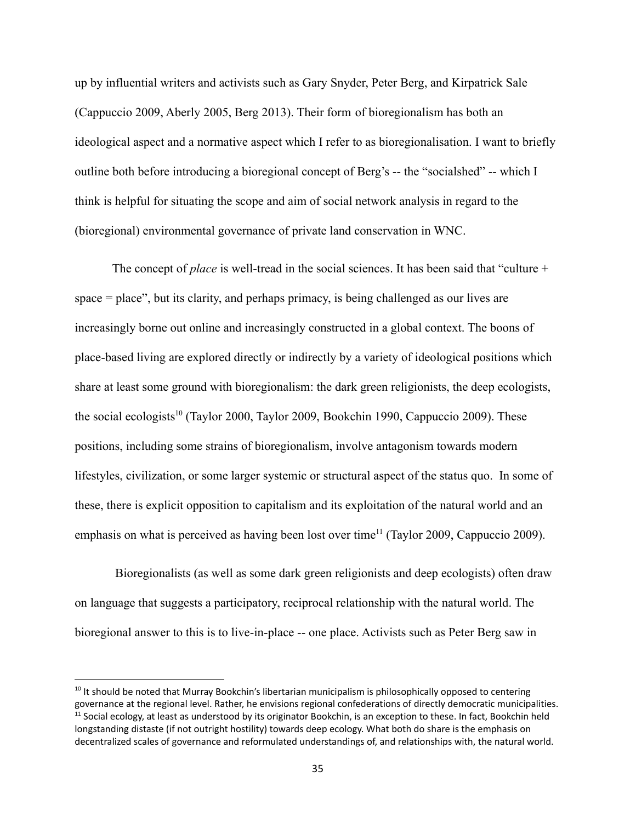up by influential writers and activists such as Gary Snyder, Peter Berg, and Kirpatrick Sale (Cappuccio 2009, Aberly 2005, Berg 2013). Their form of bioregionalism has both an ideological aspect and a normative aspect which I refer to as bioregionalisation. I want to briefly outline both before introducing a bioregional concept of Berg's -- the "socialshed" -- which I think is helpful for situating the scope and aim of social network analysis in regard to the (bioregional) environmental governance of private land conservation in WNC.

The concept of *place* is well-tread in the social sciences. It has been said that "culture + space = place", but its clarity, and perhaps primacy, is being challenged as our lives are increasingly borne out online and increasingly constructed in a global context. The boons of place-based living are explored directly or indirectly by a variety of ideological positions which share at least some ground with bioregionalism: the dark green religionists, the deep ecologists, the social ecologists<sup>10</sup> (Taylor 2000, Taylor 2009, Bookchin 1990, Cappuccio 2009). These positions, including some strains of bioregionalism, involve antagonism towards modern lifestyles, civilization, or some larger systemic or structural aspect of the status quo. In some of these, there is explicit opposition to capitalism and its exploitation of the natural world and an emphasis on what is perceived as having been lost over time<sup> $11$ </sup> (Taylor 2009, Cappuccio 2009).

Bioregionalists (as well as some dark green religionists and deep ecologists) often draw on language that suggests a participatory, reciprocal relationship with the natural world. The bioregional answer to this is to live-in-place -- one place. Activists such as Peter Berg saw in

 $11$  Social ecology, at least as understood by its originator Bookchin, is an exception to these. In fact, Bookchin held longstanding distaste (if not outright hostility) towards deep ecology. What both do share is the emphasis on decentralized scales of governance and reformulated understandings of, and relationships with, the natural world.  $10$  It should be noted that Murray Bookchin's libertarian municipalism is philosophically opposed to centering governance at the regional level. Rather, he envisions regional confederations of directly democratic municipalities.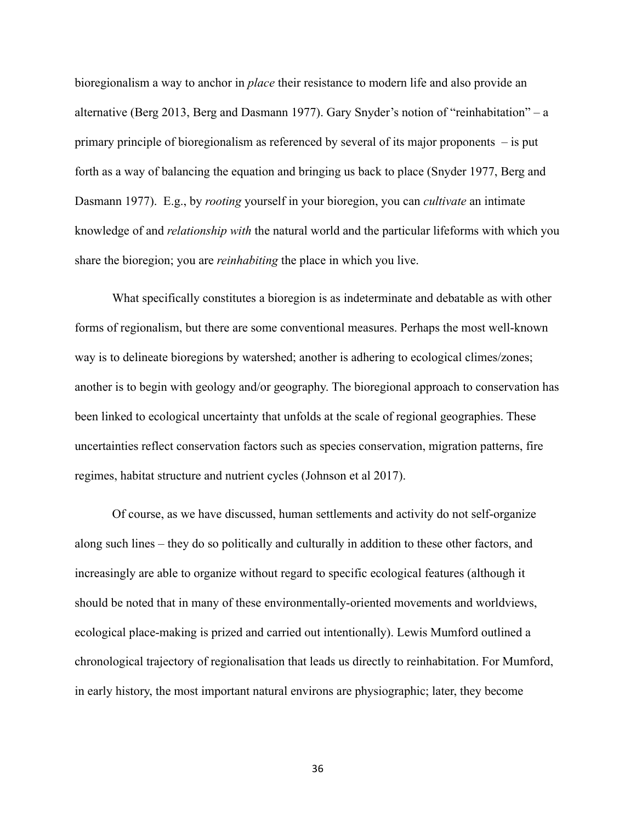bioregionalism a way to anchor in *place* their resistance to modern life and also provide an alternative (Berg 2013, Berg and Dasmann 1977). Gary Snyder's notion of "reinhabitation" – a primary principle of bioregionalism as referenced by several of its major proponents – is put forth as a way of balancing the equation and bringing us back to place (Snyder 1977, Berg and Dasmann 1977). E.g., by *rooting* yourself in your bioregion, you can *cultivate* an intimate knowledge of and *relationship with* the natural world and the particular lifeforms with which you share the bioregion; you are *reinhabiting* the place in which you live.

What specifically constitutes a bioregion is as indeterminate and debatable as with other forms of regionalism, but there are some conventional measures. Perhaps the most well-known way is to delineate bioregions by watershed; another is adhering to ecological climes/zones; another is to begin with geology and/or geography. The bioregional approach to conservation has been linked to ecological uncertainty that unfolds at the scale of regional geographies. These uncertainties reflect conservation factors such as species conservation, migration patterns, fire regimes, habitat structure and nutrient cycles (Johnson et al 2017).

Of course, as we have discussed, human settlements and activity do not self-organize along such lines – they do so politically and culturally in addition to these other factors, and increasingly are able to organize without regard to specific ecological features (although it should be noted that in many of these environmentally-oriented movements and worldviews, ecological place-making is prized and carried out intentionally). Lewis Mumford outlined a chronological trajectory of regionalisation that leads us directly to reinhabitation. For Mumford, in early history, the most important natural environs are physiographic; later, they become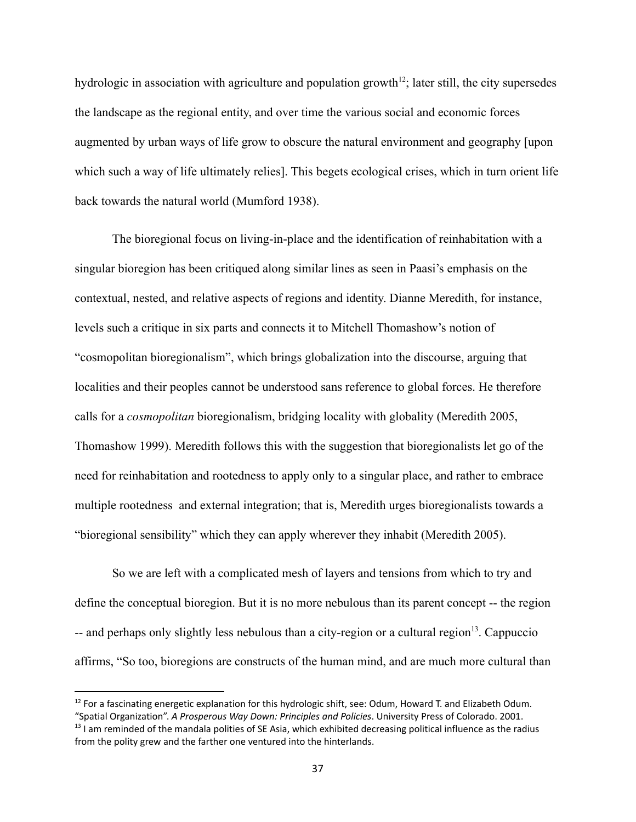hydrologic in association with agriculture and population growth<sup>12</sup>; later still, the city supersedes the landscape as the regional entity, and over time the various social and economic forces augmented by urban ways of life grow to obscure the natural environment and geography [upon which such a way of life ultimately relies]. This begets ecological crises, which in turn orient life back towards the natural world (Mumford 1938).

The bioregional focus on living-in-place and the identification of reinhabitation with a singular bioregion has been critiqued along similar lines as seen in Paasi's emphasis on the contextual, nested, and relative aspects of regions and identity. Dianne Meredith, for instance, levels such a critique in six parts and connects it to Mitchell Thomashow's notion of "cosmopolitan bioregionalism", which brings globalization into the discourse, arguing that localities and their peoples cannot be understood sans reference to global forces. He therefore calls for a *cosmopolitan* bioregionalism, bridging locality with globality (Meredith 2005, Thomashow 1999). Meredith follows this with the suggestion that bioregionalists let go of the need for reinhabitation and rootedness to apply only to a singular place, and rather to embrace multiple rootedness and external integration; that is, Meredith urges bioregionalists towards a "bioregional sensibility" which they can apply wherever they inhabit (Meredith 2005).

So we are left with a complicated mesh of layers and tensions from which to try and define the conceptual bioregion. But it is no more nebulous than its parent concept -- the region  $-$  and perhaps only slightly less nebulous than a city-region or a cultural region<sup>13</sup>. Cappuccio affirms, "So too, bioregions are constructs of the human mind, and are much more cultural than

 $12$  For a fascinating energetic explanation for this hydrologic shift, see: Odum, Howard T, and Elizabeth Odum.

 $13$  I am reminded of the mandala polities of SE Asia, which exhibited decreasing political influence as the radius from the polity grew and the farther one ventured into the hinterlands. "Spatial Organization". *A Prosperous Way Down: Principles and Policies*. University Press of Colorado. 2001.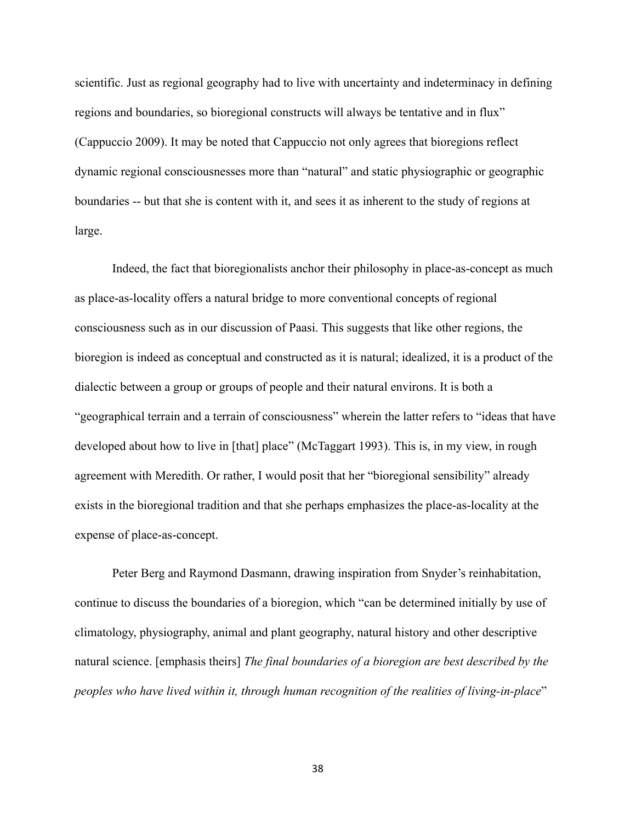scientific. Just as regional geography had to live with uncertainty and indeterminacy in defining regions and boundaries, so bioregional constructs will always be tentative and in flux" (Cappuccio 2009). It may be noted that Cappuccio not only agrees that bioregions reflect dynamic regional consciousnesses more than "natural" and static physiographic or geographic boundaries -- but that she is content with it, and sees it as inherent to the study of regions at large.

Indeed, the fact that bioregionalists anchor their philosophy in place-as-concept as much as place-as-locality offers a natural bridge to more conventional concepts of regional consciousness such as in our discussion of Paasi. This suggests that like other regions, the bioregion is indeed as conceptual and constructed as it is natural; idealized, it is a product of the dialectic between a group or groups of people and their natural environs. It is both a "geographical terrain and a terrain of consciousness" wherein the latter refers to "ideas that have developed about how to live in [that] place" (McTaggart 1993). This is, in my view, in rough agreement with Meredith. Or rather, I would posit that her "bioregional sensibility" already exists in the bioregional tradition and that she perhaps emphasizes the place-as-locality at the expense of place-as-concept.

Peter Berg and Raymond Dasmann, drawing inspiration from Snyder's reinhabitation, continue to discuss the boundaries of a bioregion, which "can be determined initially by use of climatology, physiography, animal and plant geography, natural history and other descriptive natural science. [emphasis theirs] *The final boundaries of a bioregion are best described by the peoples who have lived within it, through human recognition of the realities of living-in-place*"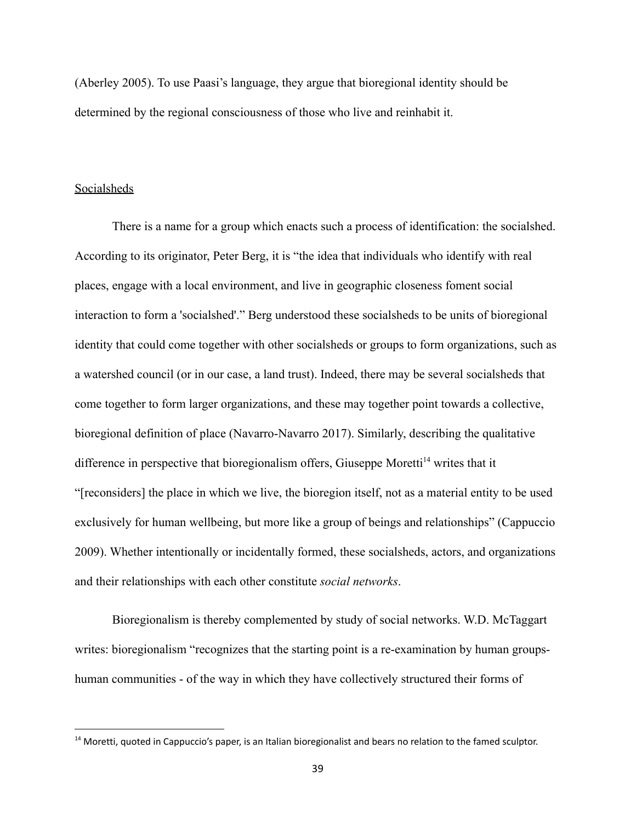(Aberley 2005). To use Paasi's language, they argue that bioregional identity should be determined by the regional consciousness of those who live and reinhabit it.

#### **Socialsheds**

There is a name for a group which enacts such a process of identification: the socialshed. According to its originator, Peter Berg, it is "the idea that individuals who identify with real places, engage with a local environment, and live in geographic closeness foment social interaction to form a 'socialshed'." Berg understood these socialsheds to be units of bioregional identity that could come together with other socialsheds or groups to form organizations, such as a watershed council (or in our case, a land trust). Indeed, there may be several socialsheds that come together to form larger organizations, and these may together point towards a collective, bioregional definition of place (Navarro-Navarro 2017). Similarly, describing the qualitative difference in perspective that bioregionalism offers, Giuseppe Moretti<sup> $14$ </sup> writes that it "[reconsiders] the place in which we live, the bioregion itself, not as a material entity to be used exclusively for human wellbeing, but more like a group of beings and relationships" (Cappuccio 2009). Whether intentionally or incidentally formed, these socialsheds, actors, and organizations and their relationships with each other constitute *social networks*.

Bioregionalism is thereby complemented by study of social networks. W.D. McTaggart writes: bioregionalism "recognizes that the starting point is a re-examination by human groupshuman communities - of the way in which they have collectively structured their forms of

<sup>&</sup>lt;sup>14</sup> Moretti, quoted in Cappuccio's paper, is an Italian bioregionalist and bears no relation to the famed sculptor.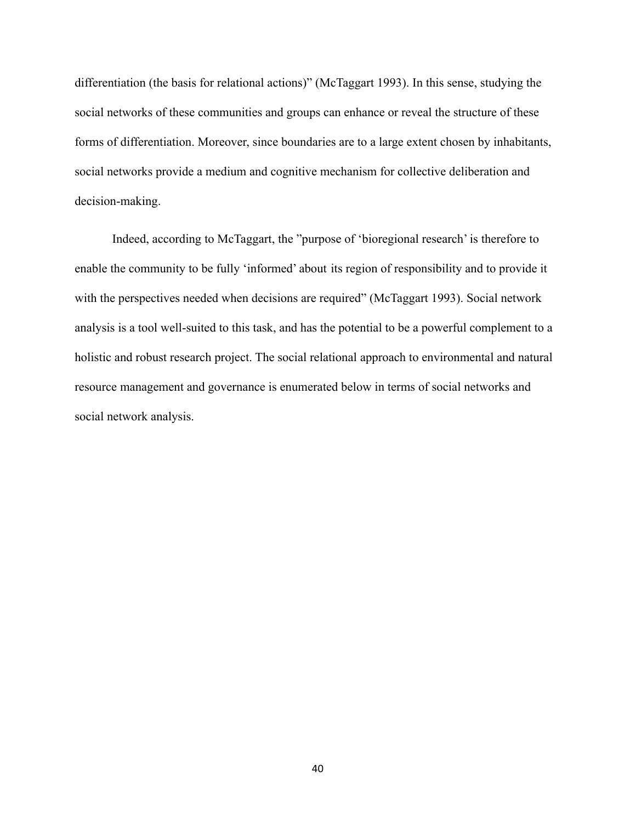differentiation (the basis for relational actions)" (McTaggart 1993). In this sense, studying the social networks of these communities and groups can enhance or reveal the structure of these forms of differentiation. Moreover, since boundaries are to a large extent chosen by inhabitants, social networks provide a medium and cognitive mechanism for collective deliberation and decision-making.

Indeed, according to McTaggart, the "purpose of 'bioregional research' is therefore to enable the community to be fully 'informed' about its region of responsibility and to provide it with the perspectives needed when decisions are required" (McTaggart 1993). Social network analysis is a tool well-suited to this task, and has the potential to be a powerful complement to a holistic and robust research project. The social relational approach to environmental and natural resource management and governance is enumerated below in terms of social networks and social network analysis.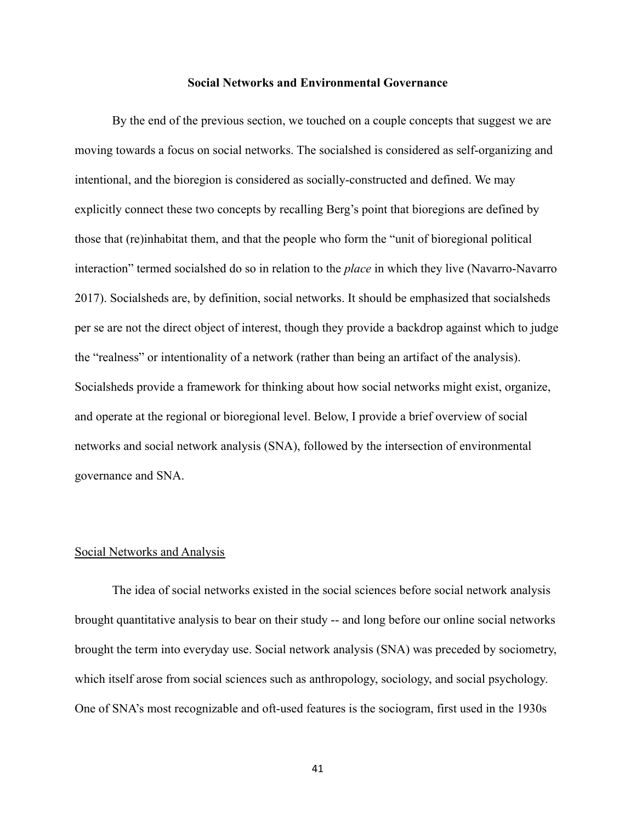#### **Social Networks and Environmental Governance**

By the end of the previous section, we touched on a couple concepts that suggest we are moving towards a focus on social networks. The socialshed is considered as self-organizing and intentional, and the bioregion is considered as socially-constructed and defined. We may explicitly connect these two concepts by recalling Berg's point that bioregions are defined by those that (re)inhabitat them, and that the people who form the "unit of bioregional political interaction" termed socialshed do so in relation to the *place* in which they live (Navarro-Navarro 2017). Socialsheds are, by definition, social networks. It should be emphasized that socialsheds per se are not the direct object of interest, though they provide a backdrop against which to judge the "realness" or intentionality of a network (rather than being an artifact of the analysis). Socialsheds provide a framework for thinking about how social networks might exist, organize, and operate at the regional or bioregional level. Below, I provide a brief overview of social networks and social network analysis (SNA), followed by the intersection of environmental governance and SNA.

#### Social Networks and Analysis

The idea of social networks existed in the social sciences before social network analysis brought quantitative analysis to bear on their study -- and long before our online social networks brought the term into everyday use. Social network analysis (SNA) was preceded by sociometry, which itself arose from social sciences such as anthropology, sociology, and social psychology. One of SNA's most recognizable and oft-used features is the sociogram, first used in the 1930s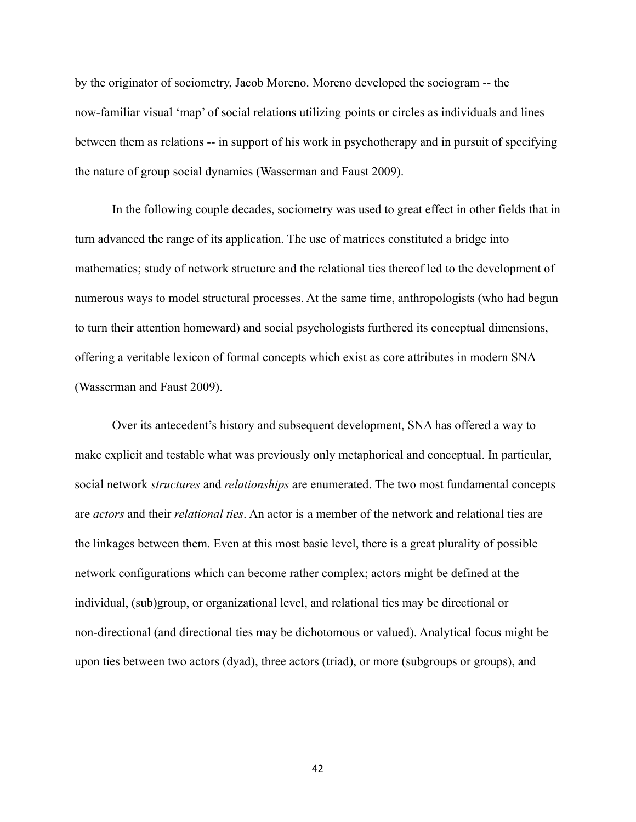by the originator of sociometry, Jacob Moreno. Moreno developed the sociogram -- the now-familiar visual 'map' of social relations utilizing points or circles as individuals and lines between them as relations -- in support of his work in psychotherapy and in pursuit of specifying the nature of group social dynamics (Wasserman and Faust 2009).

In the following couple decades, sociometry was used to great effect in other fields that in turn advanced the range of its application. The use of matrices constituted a bridge into mathematics; study of network structure and the relational ties thereof led to the development of numerous ways to model structural processes. At the same time, anthropologists (who had begun to turn their attention homeward) and social psychologists furthered its conceptual dimensions, offering a veritable lexicon of formal concepts which exist as core attributes in modern SNA (Wasserman and Faust 2009).

Over its antecedent's history and subsequent development, SNA has offered a way to make explicit and testable what was previously only metaphorical and conceptual. In particular, social network *structures* and *relationships* are enumerated. The two most fundamental concepts are *actors* and their *relational ties*. An actor is a member of the network and relational ties are the linkages between them. Even at this most basic level, there is a great plurality of possible network configurations which can become rather complex; actors might be defined at the individual, (sub)group, or organizational level, and relational ties may be directional or non-directional (and directional ties may be dichotomous or valued). Analytical focus might be upon ties between two actors (dyad), three actors (triad), or more (subgroups or groups), and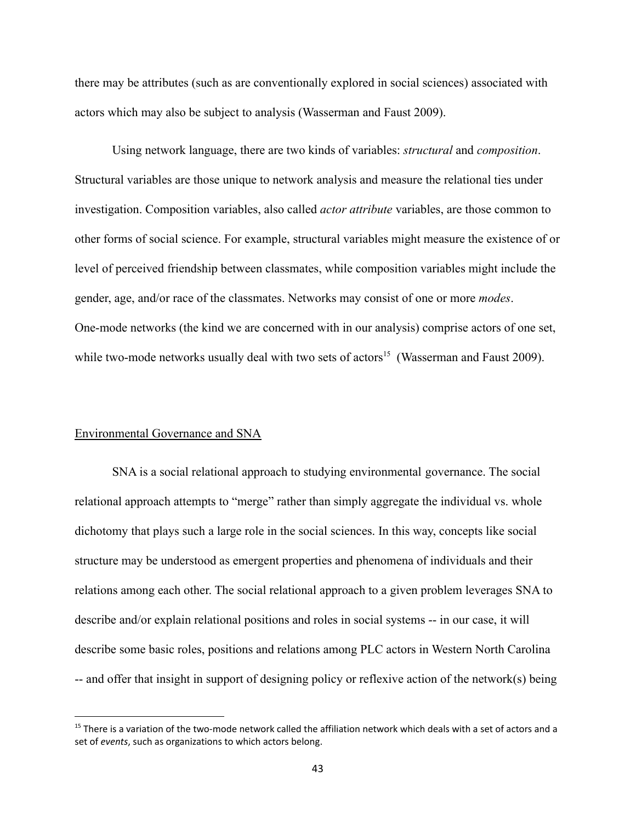there may be attributes (such as are conventionally explored in social sciences) associated with actors which may also be subject to analysis (Wasserman and Faust 2009).

Using network language, there are two kinds of variables: *structural* and *composition*. Structural variables are those unique to network analysis and measure the relational ties under investigation. Composition variables, also called *actor attribute* variables, are those common to other forms of social science. For example, structural variables might measure the existence of or level of perceived friendship between classmates, while composition variables might include the gender, age, and/or race of the classmates. Networks may consist of one or more *modes*. One-mode networks (the kind we are concerned with in our analysis) comprise actors of one set, while two-mode networks usually deal with two sets of actors<sup>15</sup> (Wasserman and Faust 2009).

#### Environmental Governance and SNA

SNA is a social relational approach to studying environmental governance. The social relational approach attempts to "merge" rather than simply aggregate the individual vs. whole dichotomy that plays such a large role in the social sciences. In this way, concepts like social structure may be understood as emergent properties and phenomena of individuals and their relations among each other. The social relational approach to a given problem leverages SNA to describe and/or explain relational positions and roles in social systems -- in our case, it will describe some basic roles, positions and relations among PLC actors in Western North Carolina -- and offer that insight in support of designing policy or reflexive action of the network(s) being

<sup>&</sup>lt;sup>15</sup> There is a variation of the two-mode network called the affiliation network which deals with a set of actors and a set of *events*, such as organizations to which actors belong.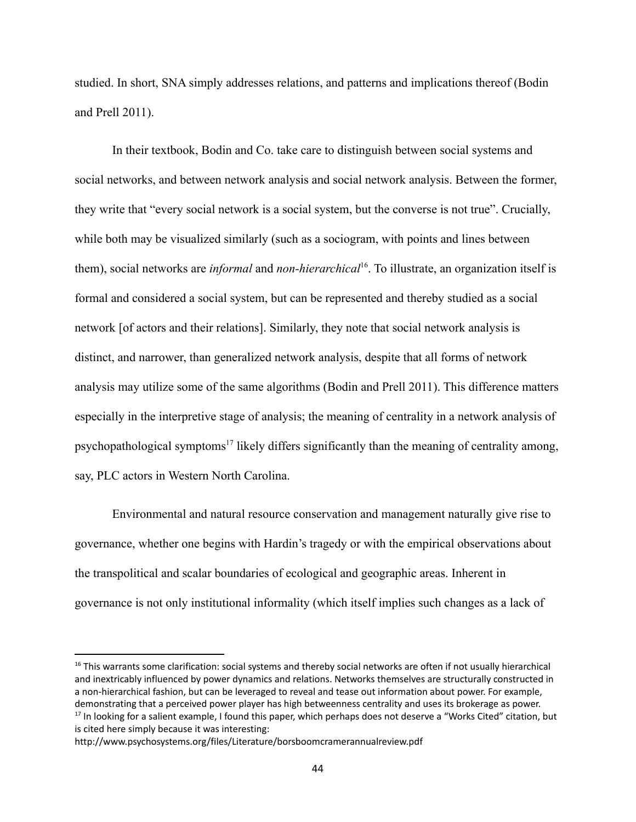studied. In short, SNA simply addresses relations, and patterns and implications thereof (Bodin and Prell 2011).

In their textbook, Bodin and Co. take care to distinguish between social systems and social networks, and between network analysis and social network analysis. Between the former, they write that "every social network is a social system, but the converse is not true". Crucially, while both may be visualized similarly (such as a sociogram, with points and lines between them), social networks are *informal* and *non-hierarchical*<sup>16</sup>. To illustrate, an organization itself is formal and considered a social system, but can be represented and thereby studied as a social network [of actors and their relations]. Similarly, they note that social network analysis is distinct, and narrower, than generalized network analysis, despite that all forms of network analysis may utilize some of the same algorithms (Bodin and Prell 2011). This difference matters especially in the interpretive stage of analysis; the meaning of centrality in a network analysis of psychopathological symptoms<sup>17</sup> likely differs significantly than the meaning of centrality among, say, PLC actors in Western North Carolina.

Environmental and natural resource conservation and management naturally give rise to governance, whether one begins with Hardin's tragedy or with the empirical observations about the transpolitical and scalar boundaries of ecological and geographic areas. Inherent in governance is not only institutional informality (which itself implies such changes as a lack of

 $17$  In looking for a salient example, I found this paper, which perhaps does not deserve a "Works Cited" citation, but is cited here simply because it was interesting:  $16$  This warrants some clarification: social systems and thereby social networks are often if not usually hierarchical and inextricably influenced by power dynamics and relations. Networks themselves are structurally constructed in a non-hierarchical fashion, but can be leveraged to reveal and tease out information about power. For example, demonstrating that a perceived power player has high betweenness centrality and uses its brokerage as power.

http://www.psychosystems.org/files/Literature/borsboomcramerannualreview.pdf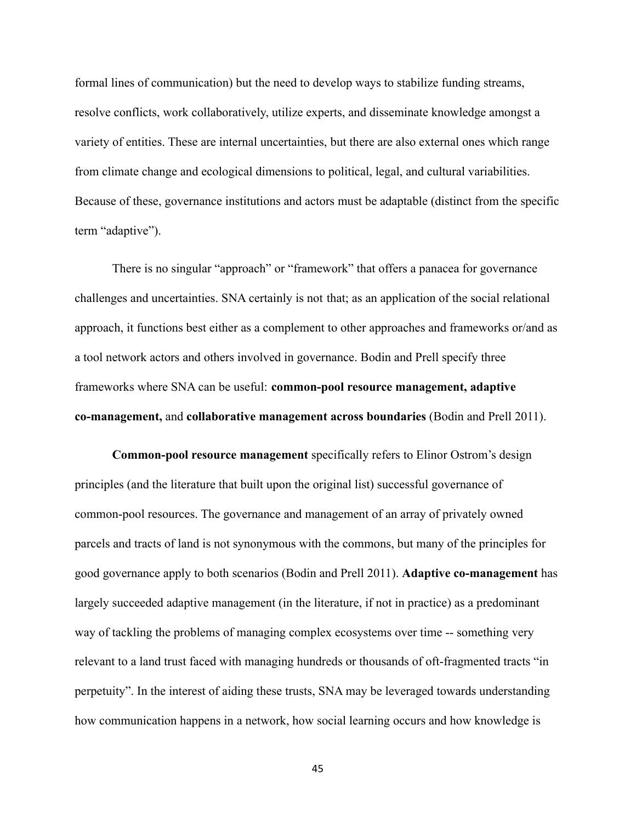formal lines of communication) but the need to develop ways to stabilize funding streams, resolve conflicts, work collaboratively, utilize experts, and disseminate knowledge amongst a variety of entities. These are internal uncertainties, but there are also external ones which range from climate change and ecological dimensions to political, legal, and cultural variabilities. Because of these, governance institutions and actors must be adaptable (distinct from the specific term "adaptive").

There is no singular "approach" or "framework" that offers a panacea for governance challenges and uncertainties. SNA certainly is not that; as an application of the social relational approach, it functions best either as a complement to other approaches and frameworks or/and as a tool network actors and others involved in governance. Bodin and Prell specify three frameworks where SNA can be useful: **common-pool resource management, adaptive co-management,** and **collaborative management across boundaries** (Bodin and Prell 2011).

**Common-pool resource management** specifically refers to Elinor Ostrom's design principles (and the literature that built upon the original list) successful governance of common-pool resources. The governance and management of an array of privately owned parcels and tracts of land is not synonymous with the commons, but many of the principles for good governance apply to both scenarios (Bodin and Prell 2011). **Adaptive co-management** has largely succeeded adaptive management (in the literature, if not in practice) as a predominant way of tackling the problems of managing complex ecosystems over time -- something very relevant to a land trust faced with managing hundreds or thousands of oft-fragmented tracts "in perpetuity". In the interest of aiding these trusts, SNA may be leveraged towards understanding how communication happens in a network, how social learning occurs and how knowledge is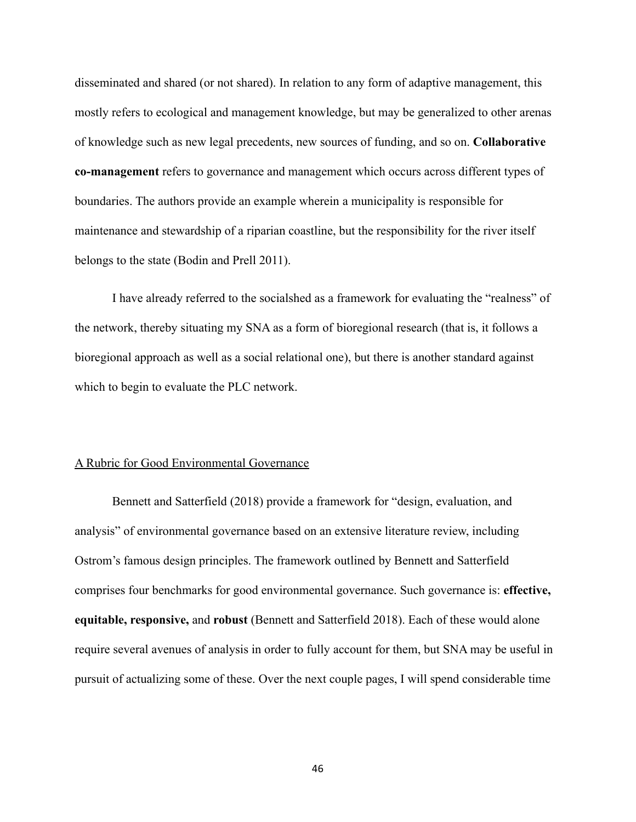disseminated and shared (or not shared). In relation to any form of adaptive management, this mostly refers to ecological and management knowledge, but may be generalized to other arenas of knowledge such as new legal precedents, new sources of funding, and so on. **Collaborative co-management** refers to governance and management which occurs across different types of boundaries. The authors provide an example wherein a municipality is responsible for maintenance and stewardship of a riparian coastline, but the responsibility for the river itself belongs to the state (Bodin and Prell 2011).

I have already referred to the socialshed as a framework for evaluating the "realness" of the network, thereby situating my SNA as a form of bioregional research (that is, it follows a bioregional approach as well as a social relational one), but there is another standard against which to begin to evaluate the PLC network.

#### A Rubric for Good Environmental Governance

Bennett and Satterfield (2018) provide a framework for "design, evaluation, and analysis" of environmental governance based on an extensive literature review, including Ostrom's famous design principles. The framework outlined by Bennett and Satterfield comprises four benchmarks for good environmental governance. Such governance is: **effective, equitable, responsive,** and **robust** (Bennett and Satterfield 2018). Each of these would alone require several avenues of analysis in order to fully account for them, but SNA may be useful in pursuit of actualizing some of these. Over the next couple pages, I will spend considerable time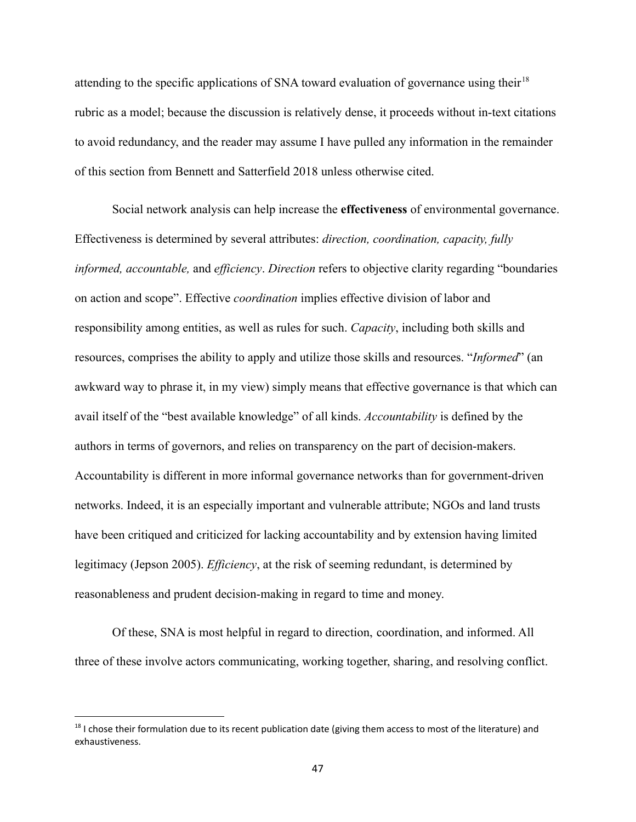attending to the specific applications of SNA toward evaluation of governance using their<sup>18</sup> rubric as a model; because the discussion is relatively dense, it proceeds without in-text citations to avoid redundancy, and the reader may assume I have pulled any information in the remainder of this section from Bennett and Satterfield 2018 unless otherwise cited.

Social network analysis can help increase the **effectiveness** of environmental governance. Effectiveness is determined by several attributes: *direction, coordination, capacity, fully informed, accountable,* and *efficiency*. *Direction* refers to objective clarity regarding "boundaries on action and scope". Effective *coordination* implies effective division of labor and responsibility among entities, as well as rules for such. *Capacity*, including both skills and resources, comprises the ability to apply and utilize those skills and resources. "*Informed*" (an awkward way to phrase it, in my view) simply means that effective governance is that which can avail itself of the "best available knowledge" of all kinds. *Accountability* is defined by the authors in terms of governors, and relies on transparency on the part of decision-makers. Accountability is different in more informal governance networks than for government-driven networks. Indeed, it is an especially important and vulnerable attribute; NGOs and land trusts have been critiqued and criticized for lacking accountability and by extension having limited legitimacy (Jepson 2005). *Efficiency*, at the risk of seeming redundant, is determined by reasonableness and prudent decision-making in regard to time and money.

Of these, SNA is most helpful in regard to direction, coordination, and informed. All three of these involve actors communicating, working together, sharing, and resolving conflict.

<sup>&</sup>lt;sup>18</sup> I chose their formulation due to its recent publication date (giving them access to most of the literature) and exhaustiveness.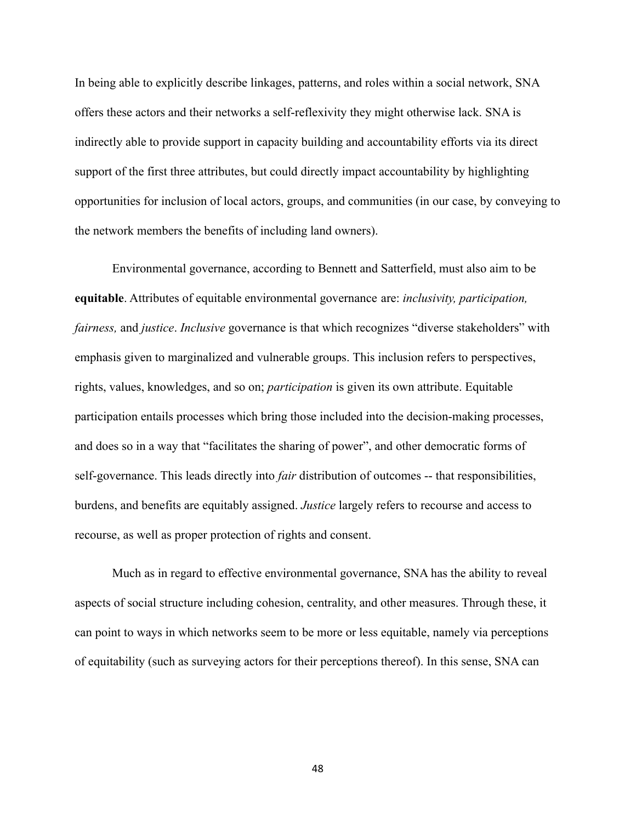In being able to explicitly describe linkages, patterns, and roles within a social network, SNA offers these actors and their networks a self-reflexivity they might otherwise lack. SNA is indirectly able to provide support in capacity building and accountability efforts via its direct support of the first three attributes, but could directly impact accountability by highlighting opportunities for inclusion of local actors, groups, and communities (in our case, by conveying to the network members the benefits of including land owners).

Environmental governance, according to Bennett and Satterfield, must also aim to be **equitable**. Attributes of equitable environmental governance are: *inclusivity, participation, fairness,* and *justice*. *Inclusive* governance is that which recognizes "diverse stakeholders" with emphasis given to marginalized and vulnerable groups. This inclusion refers to perspectives, rights, values, knowledges, and so on; *participation* is given its own attribute. Equitable participation entails processes which bring those included into the decision-making processes, and does so in a way that "facilitates the sharing of power", and other democratic forms of self-governance. This leads directly into *fair* distribution of outcomes -- that responsibilities, burdens, and benefits are equitably assigned. *Justice* largely refers to recourse and access to recourse, as well as proper protection of rights and consent.

Much as in regard to effective environmental governance, SNA has the ability to reveal aspects of social structure including cohesion, centrality, and other measures. Through these, it can point to ways in which networks seem to be more or less equitable, namely via perceptions of equitability (such as surveying actors for their perceptions thereof). In this sense, SNA can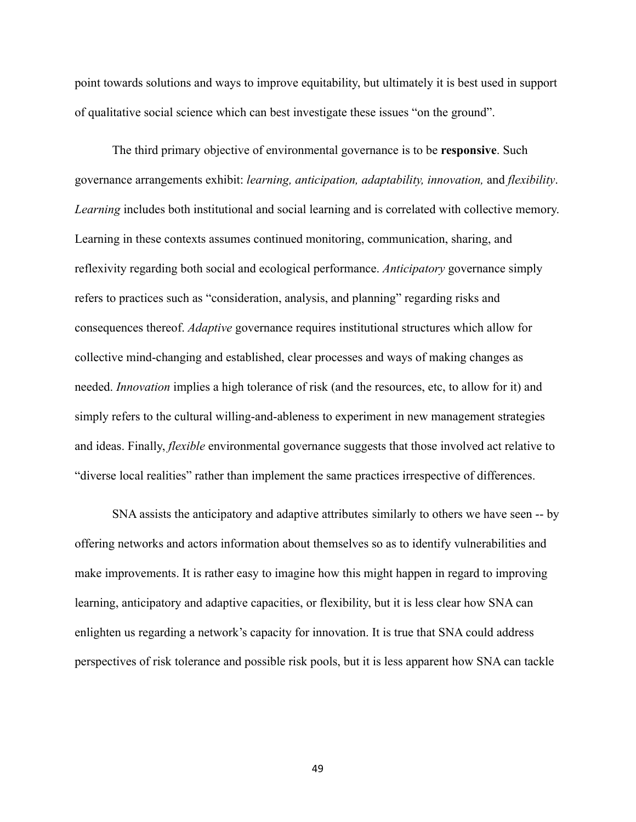point towards solutions and ways to improve equitability, but ultimately it is best used in support of qualitative social science which can best investigate these issues "on the ground".

The third primary objective of environmental governance is to be **responsive**. Such governance arrangements exhibit: *learning, anticipation, adaptability, innovation,* and *flexibility*. *Learning* includes both institutional and social learning and is correlated with collective memory. Learning in these contexts assumes continued monitoring, communication, sharing, and reflexivity regarding both social and ecological performance. *Anticipatory* governance simply refers to practices such as "consideration, analysis, and planning" regarding risks and consequences thereof. *Adaptive* governance requires institutional structures which allow for collective mind-changing and established, clear processes and ways of making changes as needed. *Innovation* implies a high tolerance of risk (and the resources, etc, to allow for it) and simply refers to the cultural willing-and-ableness to experiment in new management strategies and ideas. Finally, *flexible* environmental governance suggests that those involved act relative to "diverse local realities" rather than implement the same practices irrespective of differences.

SNA assists the anticipatory and adaptive attributes similarly to others we have seen -- by offering networks and actors information about themselves so as to identify vulnerabilities and make improvements. It is rather easy to imagine how this might happen in regard to improving learning, anticipatory and adaptive capacities, or flexibility, but it is less clear how SNA can enlighten us regarding a network's capacity for innovation. It is true that SNA could address perspectives of risk tolerance and possible risk pools, but it is less apparent how SNA can tackle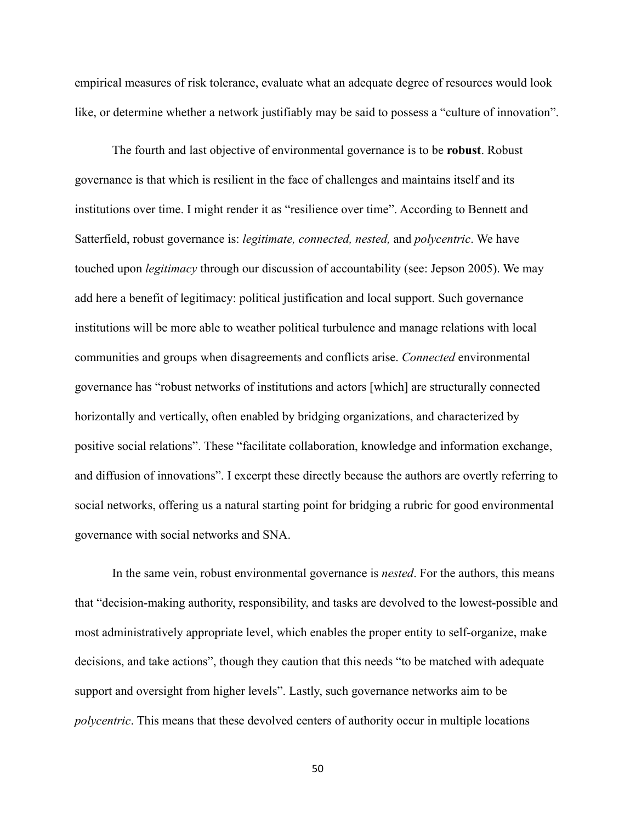empirical measures of risk tolerance, evaluate what an adequate degree of resources would look like, or determine whether a network justifiably may be said to possess a "culture of innovation".

The fourth and last objective of environmental governance is to be **robust**. Robust governance is that which is resilient in the face of challenges and maintains itself and its institutions over time. I might render it as "resilience over time". According to Bennett and Satterfield, robust governance is: *legitimate, connected, nested,* and *polycentric*. We have touched upon *legitimacy* through our discussion of accountability (see: Jepson 2005). We may add here a benefit of legitimacy: political justification and local support. Such governance institutions will be more able to weather political turbulence and manage relations with local communities and groups when disagreements and conflicts arise. *Connected* environmental governance has "robust networks of institutions and actors [which] are structurally connected horizontally and vertically, often enabled by bridging organizations, and characterized by positive social relations". These "facilitate collaboration, knowledge and information exchange, and diffusion of innovations". I excerpt these directly because the authors are overtly referring to social networks, offering us a natural starting point for bridging a rubric for good environmental governance with social networks and SNA.

In the same vein, robust environmental governance is *nested*. For the authors, this means that "decision-making authority, responsibility, and tasks are devolved to the lowest-possible and most administratively appropriate level, which enables the proper entity to self-organize, make decisions, and take actions", though they caution that this needs "to be matched with adequate support and oversight from higher levels". Lastly, such governance networks aim to be *polycentric*. This means that these devolved centers of authority occur in multiple locations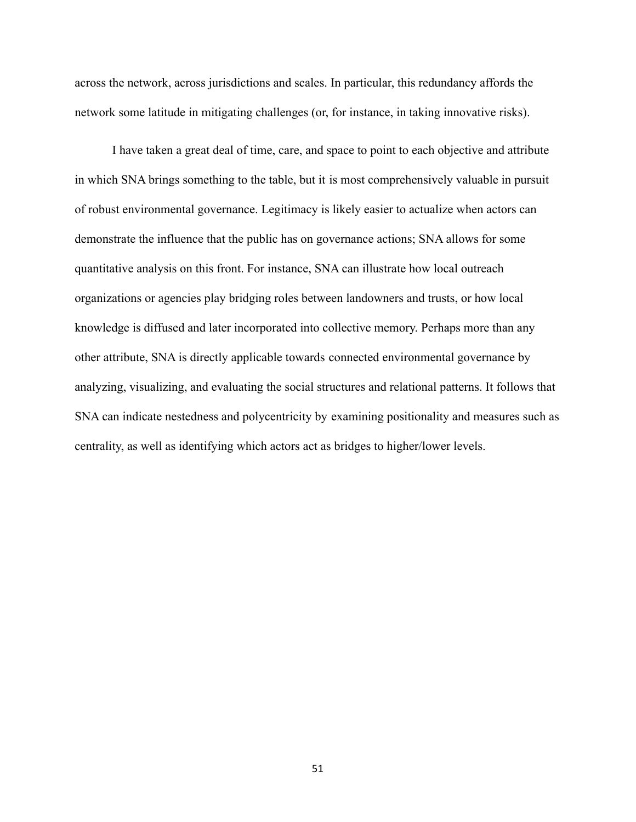across the network, across jurisdictions and scales. In particular, this redundancy affords the network some latitude in mitigating challenges (or, for instance, in taking innovative risks).

I have taken a great deal of time, care, and space to point to each objective and attribute in which SNA brings something to the table, but it is most comprehensively valuable in pursuit of robust environmental governance. Legitimacy is likely easier to actualize when actors can demonstrate the influence that the public has on governance actions; SNA allows for some quantitative analysis on this front. For instance, SNA can illustrate how local outreach organizations or agencies play bridging roles between landowners and trusts, or how local knowledge is diffused and later incorporated into collective memory. Perhaps more than any other attribute, SNA is directly applicable towards connected environmental governance by analyzing, visualizing, and evaluating the social structures and relational patterns. It follows that SNA can indicate nestedness and polycentricity by examining positionality and measures such as centrality, as well as identifying which actors act as bridges to higher/lower levels.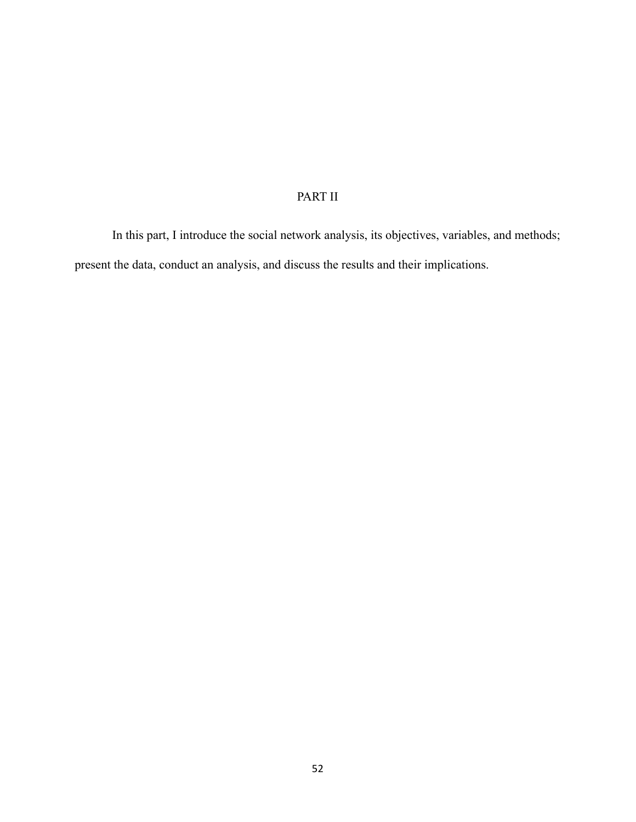# PART II

In this part, I introduce the social network analysis, its objectives, variables, and methods; present the data, conduct an analysis, and discuss the results and their implications.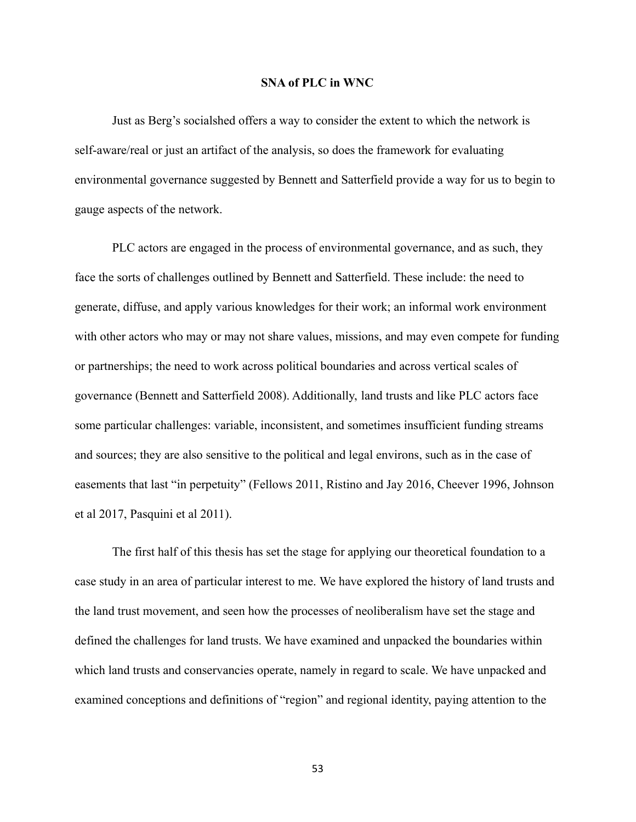#### **SNA of PLC in WNC**

Just as Berg's socialshed offers a way to consider the extent to which the network is self-aware/real or just an artifact of the analysis, so does the framework for evaluating environmental governance suggested by Bennett and Satterfield provide a way for us to begin to gauge aspects of the network.

PLC actors are engaged in the process of environmental governance, and as such, they face the sorts of challenges outlined by Bennett and Satterfield. These include: the need to generate, diffuse, and apply various knowledges for their work; an informal work environment with other actors who may or may not share values, missions, and may even compete for funding or partnerships; the need to work across political boundaries and across vertical scales of governance (Bennett and Satterfield 2008). Additionally, land trusts and like PLC actors face some particular challenges: variable, inconsistent, and sometimes insufficient funding streams and sources; they are also sensitive to the political and legal environs, such as in the case of easements that last "in perpetuity" (Fellows 2011, Ristino and Jay 2016, Cheever 1996, Johnson et al 2017, Pasquini et al 2011).

The first half of this thesis has set the stage for applying our theoretical foundation to a case study in an area of particular interest to me. We have explored the history of land trusts and the land trust movement, and seen how the processes of neoliberalism have set the stage and defined the challenges for land trusts. We have examined and unpacked the boundaries within which land trusts and conservancies operate, namely in regard to scale. We have unpacked and examined conceptions and definitions of "region" and regional identity, paying attention to the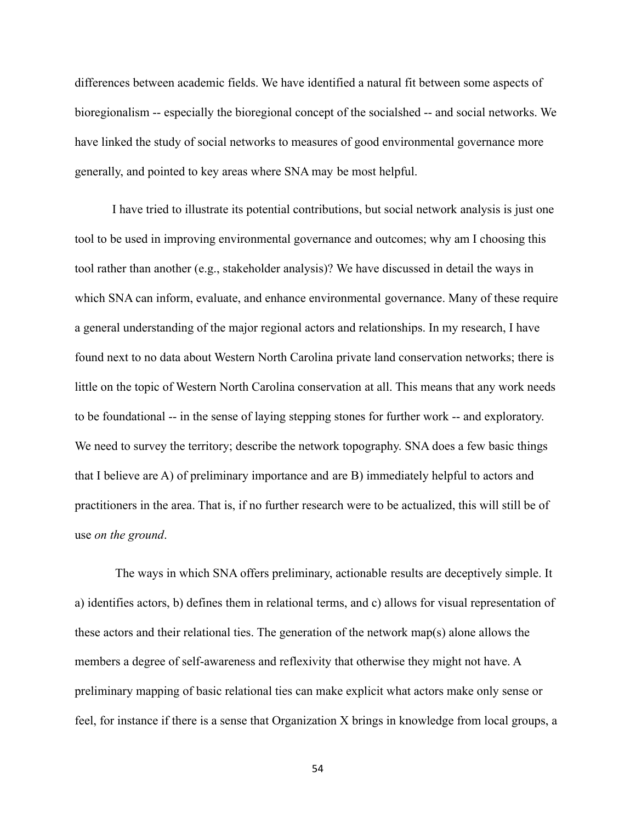differences between academic fields. We have identified a natural fit between some aspects of bioregionalism -- especially the bioregional concept of the socialshed -- and social networks. We have linked the study of social networks to measures of good environmental governance more generally, and pointed to key areas where SNA may be most helpful.

I have tried to illustrate its potential contributions, but social network analysis is just one tool to be used in improving environmental governance and outcomes; why am I choosing this tool rather than another (e.g., stakeholder analysis)? We have discussed in detail the ways in which SNA can inform, evaluate, and enhance environmental governance. Many of these require a general understanding of the major regional actors and relationships. In my research, I have found next to no data about Western North Carolina private land conservation networks; there is little on the topic of Western North Carolina conservation at all. This means that any work needs to be foundational -- in the sense of laying stepping stones for further work -- and exploratory. We need to survey the territory; describe the network topography. SNA does a few basic things that I believe are A) of preliminary importance and are B) immediately helpful to actors and practitioners in the area. That is, if no further research were to be actualized, this will still be of use *on the ground*.

The ways in which SNA offers preliminary, actionable results are deceptively simple. It a) identifies actors, b) defines them in relational terms, and c) allows for visual representation of these actors and their relational ties. The generation of the network map(s) alone allows the members a degree of self-awareness and reflexivity that otherwise they might not have. A preliminary mapping of basic relational ties can make explicit what actors make only sense or feel, for instance if there is a sense that Organization X brings in knowledge from local groups, a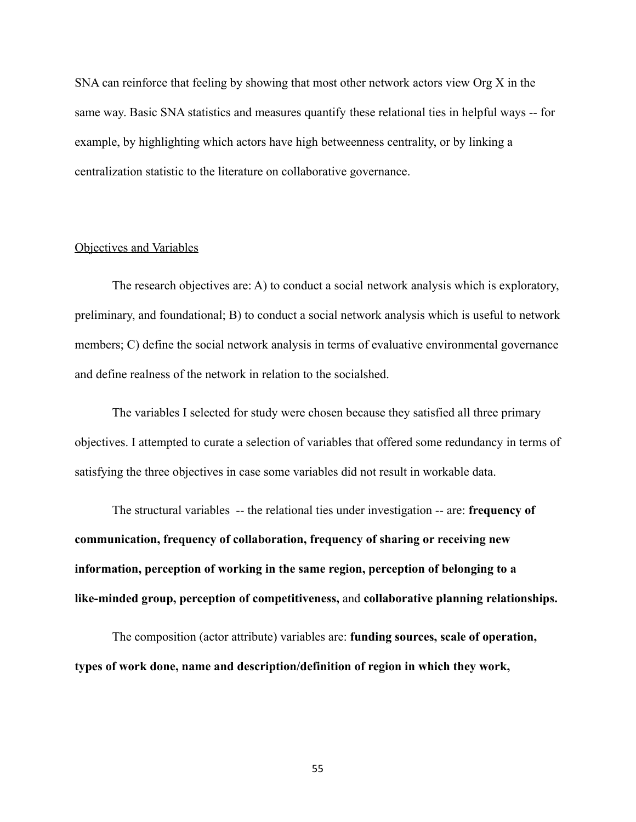SNA can reinforce that feeling by showing that most other network actors view Org X in the same way. Basic SNA statistics and measures quantify these relational ties in helpful ways -- for example, by highlighting which actors have high betweenness centrality, or by linking a centralization statistic to the literature on collaborative governance.

### Objectives and Variables

The research objectives are: A) to conduct a social network analysis which is exploratory, preliminary, and foundational; B) to conduct a social network analysis which is useful to network members; C) define the social network analysis in terms of evaluative environmental governance and define realness of the network in relation to the socialshed.

The variables I selected for study were chosen because they satisfied all three primary objectives. I attempted to curate a selection of variables that offered some redundancy in terms of satisfying the three objectives in case some variables did not result in workable data.

The structural variables -- the relational ties under investigation -- are: **frequency of communication, frequency of collaboration, frequency of sharing or receiving new information, perception of working in the same region, perception of belonging to a like-minded group, perception of competitiveness,** and **collaborative planning relationships.**

The composition (actor attribute) variables are: **funding sources, scale of operation, types of work done, name and description/definition of region in which they work,**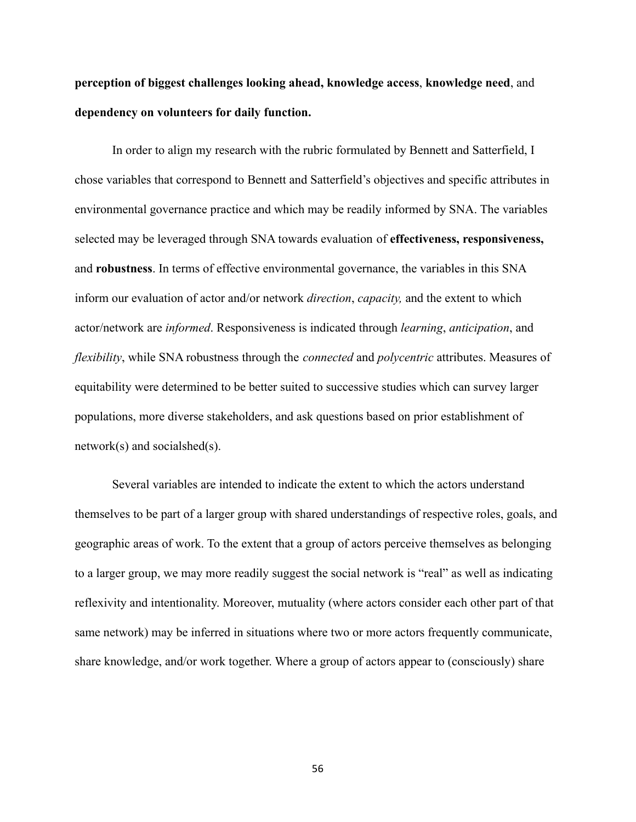**perception of biggest challenges looking ahead, knowledge access**, **knowledge need**, and **dependency on volunteers for daily function.**

In order to align my research with the rubric formulated by Bennett and Satterfield, I chose variables that correspond to Bennett and Satterfield's objectives and specific attributes in environmental governance practice and which may be readily informed by SNA. The variables selected may be leveraged through SNA towards evaluation of **effectiveness, responsiveness,** and **robustness**. In terms of effective environmental governance, the variables in this SNA inform our evaluation of actor and/or network *direction*, *capacity,* and the extent to which actor/network are *informed*. Responsiveness is indicated through *learning*, *anticipation*, and *flexibility*, while SNA robustness through the *connected* and *polycentric* attributes. Measures of equitability were determined to be better suited to successive studies which can survey larger populations, more diverse stakeholders, and ask questions based on prior establishment of network(s) and socialshed(s).

Several variables are intended to indicate the extent to which the actors understand themselves to be part of a larger group with shared understandings of respective roles, goals, and geographic areas of work. To the extent that a group of actors perceive themselves as belonging to a larger group, we may more readily suggest the social network is "real" as well as indicating reflexivity and intentionality. Moreover, mutuality (where actors consider each other part of that same network) may be inferred in situations where two or more actors frequently communicate, share knowledge, and/or work together. Where a group of actors appear to (consciously) share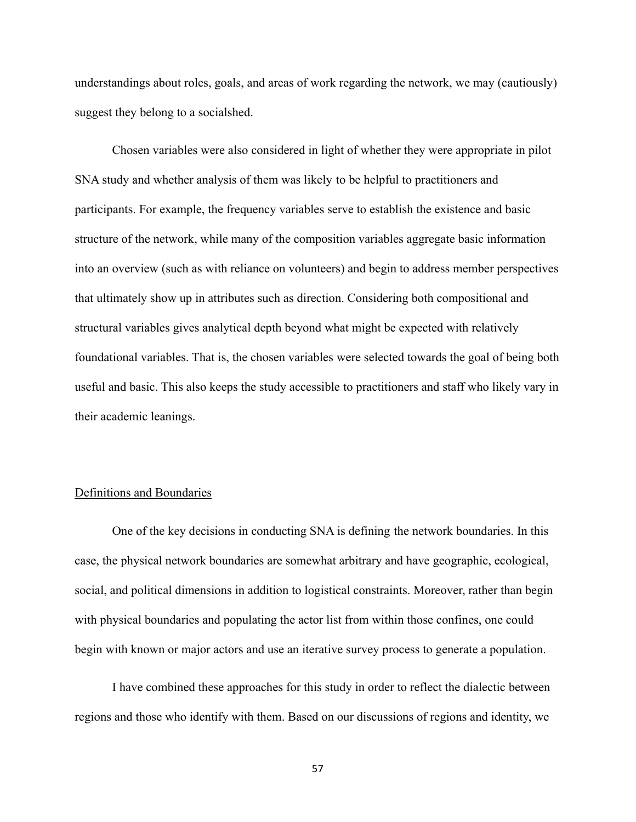understandings about roles, goals, and areas of work regarding the network, we may (cautiously) suggest they belong to a socialshed.

Chosen variables were also considered in light of whether they were appropriate in pilot SNA study and whether analysis of them was likely to be helpful to practitioners and participants. For example, the frequency variables serve to establish the existence and basic structure of the network, while many of the composition variables aggregate basic information into an overview (such as with reliance on volunteers) and begin to address member perspectives that ultimately show up in attributes such as direction. Considering both compositional and structural variables gives analytical depth beyond what might be expected with relatively foundational variables. That is, the chosen variables were selected towards the goal of being both useful and basic. This also keeps the study accessible to practitioners and staff who likely vary in their academic leanings.

#### Definitions and Boundaries

One of the key decisions in conducting SNA is defining the network boundaries. In this case, the physical network boundaries are somewhat arbitrary and have geographic, ecological, social, and political dimensions in addition to logistical constraints. Moreover, rather than begin with physical boundaries and populating the actor list from within those confines, one could begin with known or major actors and use an iterative survey process to generate a population.

I have combined these approaches for this study in order to reflect the dialectic between regions and those who identify with them. Based on our discussions of regions and identity, we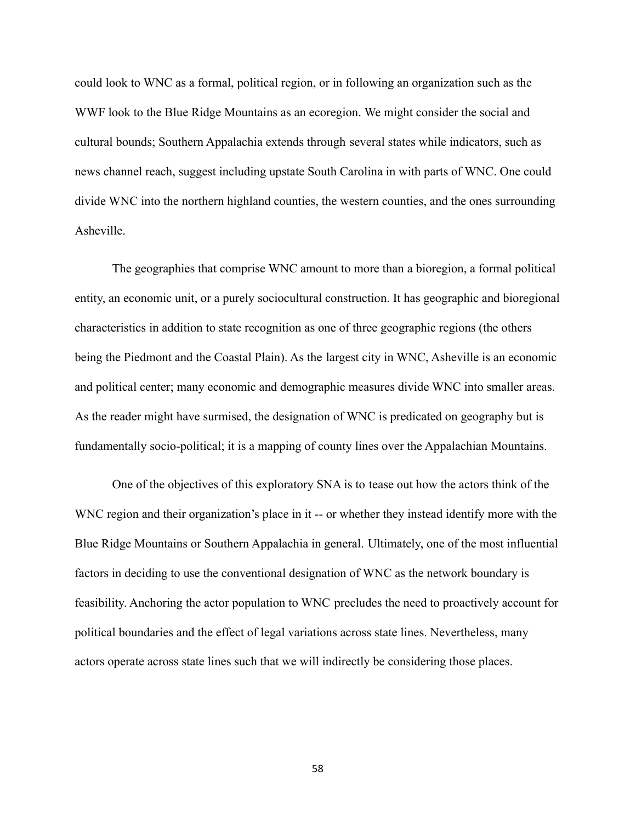could look to WNC as a formal, political region, or in following an organization such as the WWF look to the Blue Ridge Mountains as an ecoregion. We might consider the social and cultural bounds; Southern Appalachia extends through several states while indicators, such as news channel reach, suggest including upstate South Carolina in with parts of WNC. One could divide WNC into the northern highland counties, the western counties, and the ones surrounding Asheville.

The geographies that comprise WNC amount to more than a bioregion, a formal political entity, an economic unit, or a purely sociocultural construction. It has geographic and bioregional characteristics in addition to state recognition as one of three geographic regions (the others being the Piedmont and the Coastal Plain). As the largest city in WNC, Asheville is an economic and political center; many economic and demographic measures divide WNC into smaller areas. As the reader might have surmised, the designation of WNC is predicated on geography but is fundamentally socio-political; it is a mapping of county lines over the Appalachian Mountains.

One of the objectives of this exploratory SNA is to tease out how the actors think of the WNC region and their organization's place in it -- or whether they instead identify more with the Blue Ridge Mountains or Southern Appalachia in general. Ultimately, one of the most influential factors in deciding to use the conventional designation of WNC as the network boundary is feasibility. Anchoring the actor population to WNC precludes the need to proactively account for political boundaries and the effect of legal variations across state lines. Nevertheless, many actors operate across state lines such that we will indirectly be considering those places.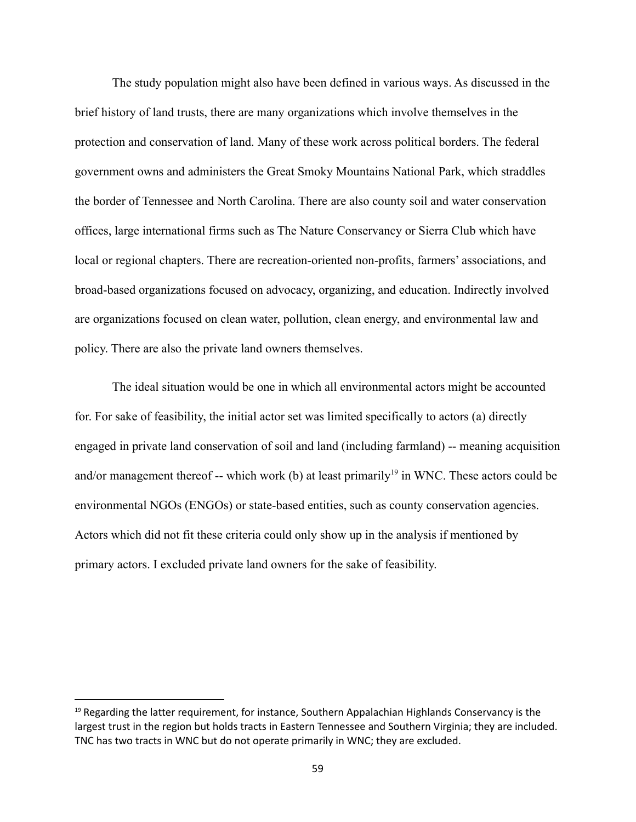The study population might also have been defined in various ways. As discussed in the brief history of land trusts, there are many organizations which involve themselves in the protection and conservation of land. Many of these work across political borders. The federal government owns and administers the Great Smoky Mountains National Park, which straddles the border of Tennessee and North Carolina. There are also county soil and water conservation offices, large international firms such as The Nature Conservancy or Sierra Club which have local or regional chapters. There are recreation-oriented non-profits, farmers' associations, and broad-based organizations focused on advocacy, organizing, and education. Indirectly involved are organizations focused on clean water, pollution, clean energy, and environmental law and policy. There are also the private land owners themselves.

The ideal situation would be one in which all environmental actors might be accounted for. For sake of feasibility, the initial actor set was limited specifically to actors (a) directly engaged in private land conservation of soil and land (including farmland) -- meaning acquisition and/or management thereof -- which work (b) at least primarily<sup>19</sup> in WNC. These actors could be environmental NGOs (ENGOs) or state-based entities, such as county conservation agencies. Actors which did not fit these criteria could only show up in the analysis if mentioned by primary actors. I excluded private land owners for the sake of feasibility.

 $19$  Regarding the latter requirement, for instance, Southern Appalachian Highlands Conservancy is the largest trust in the region but holds tracts in Eastern Tennessee and Southern Virginia; they are included. TNC has two tracts in WNC but do not operate primarily in WNC; they are excluded.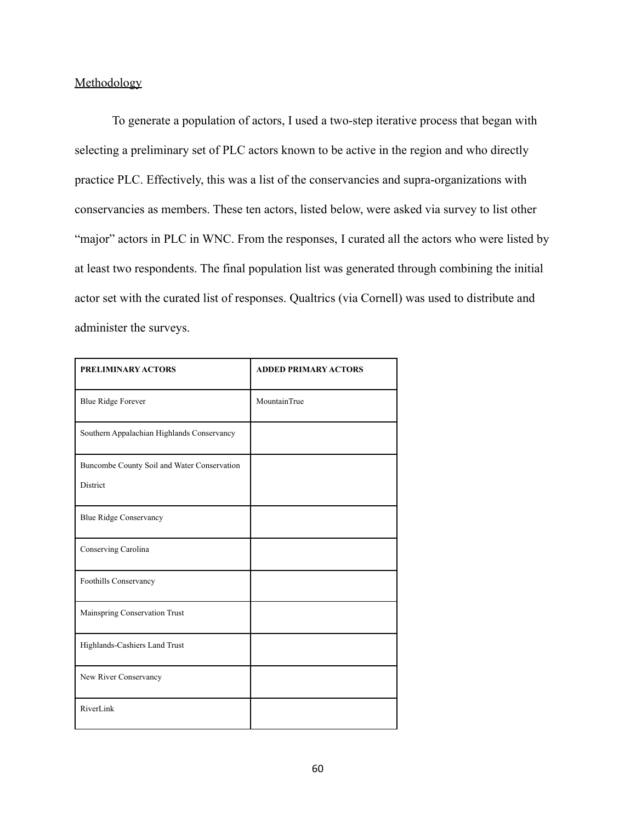### Methodology

To generate a population of actors, I used a two-step iterative process that began with selecting a preliminary set of PLC actors known to be active in the region and who directly practice PLC. Effectively, this was a list of the conservancies and supra-organizations with conservancies as members. These ten actors, listed below, were asked via survey to list other "major" actors in PLC in WNC. From the responses, I curated all the actors who were listed by at least two respondents. The final population list was generated through combining the initial actor set with the curated list of responses. Qualtrics (via Cornell) was used to distribute and administer the surveys.

| PRELIMINARY ACTORS                                      | <b>ADDED PRIMARY ACTORS</b> |
|---------------------------------------------------------|-----------------------------|
| <b>Blue Ridge Forever</b>                               | MountainTrue                |
| Southern Appalachian Highlands Conservancy              |                             |
| Buncombe County Soil and Water Conservation<br>District |                             |
| <b>Blue Ridge Conservancy</b>                           |                             |
| Conserving Carolina                                     |                             |
| Foothills Conservancy                                   |                             |
| Mainspring Conservation Trust                           |                             |
| Highlands-Cashiers Land Trust                           |                             |
| New River Conservancy                                   |                             |
| RiverLink                                               |                             |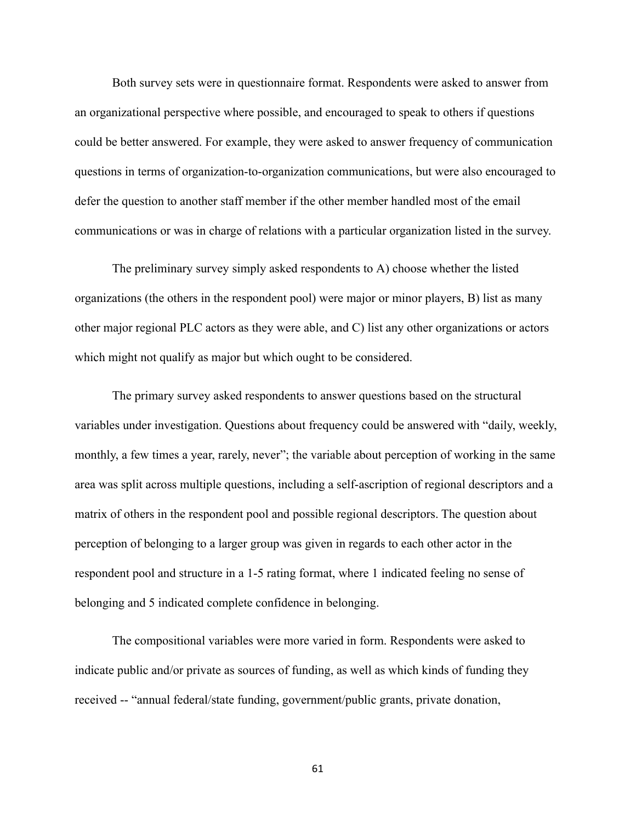Both survey sets were in questionnaire format. Respondents were asked to answer from an organizational perspective where possible, and encouraged to speak to others if questions could be better answered. For example, they were asked to answer frequency of communication questions in terms of organization-to-organization communications, but were also encouraged to defer the question to another staff member if the other member handled most of the email communications or was in charge of relations with a particular organization listed in the survey.

The preliminary survey simply asked respondents to A) choose whether the listed organizations (the others in the respondent pool) were major or minor players, B) list as many other major regional PLC actors as they were able, and C) list any other organizations or actors which might not qualify as major but which ought to be considered.

The primary survey asked respondents to answer questions based on the structural variables under investigation. Questions about frequency could be answered with "daily, weekly, monthly, a few times a year, rarely, never"; the variable about perception of working in the same area was split across multiple questions, including a self-ascription of regional descriptors and a matrix of others in the respondent pool and possible regional descriptors. The question about perception of belonging to a larger group was given in regards to each other actor in the respondent pool and structure in a 1-5 rating format, where 1 indicated feeling no sense of belonging and 5 indicated complete confidence in belonging.

The compositional variables were more varied in form. Respondents were asked to indicate public and/or private as sources of funding, as well as which kinds of funding they received -- "annual federal/state funding, government/public grants, private donation,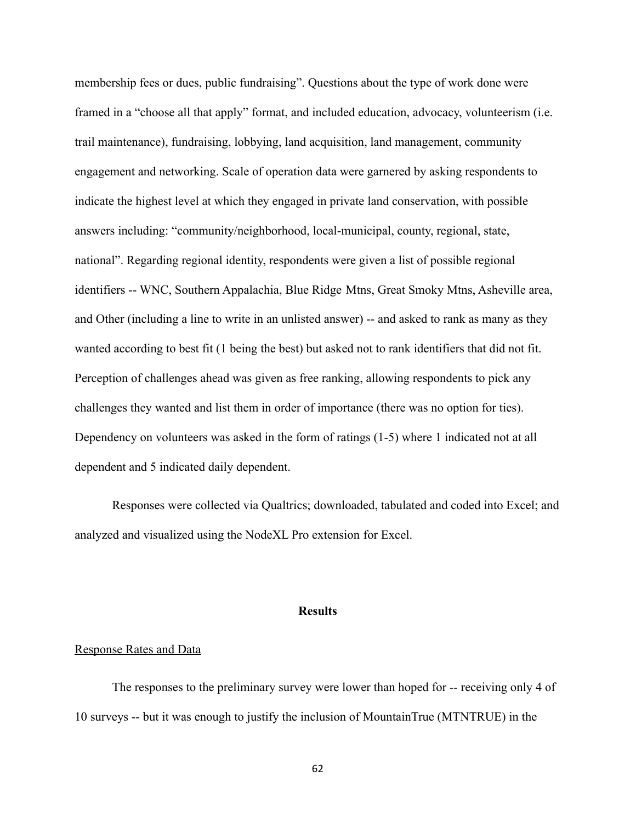membership fees or dues, public fundraising". Questions about the type of work done were framed in a "choose all that apply" format, and included education, advocacy, volunteerism (i.e. trail maintenance), fundraising, lobbying, land acquisition, land management, community engagement and networking. Scale of operation data were garnered by asking respondents to indicate the highest level at which they engaged in private land conservation, with possible answers including: "community/neighborhood, local-municipal, county, regional, state, national". Regarding regional identity, respondents were given a list of possible regional identifiers -- WNC, Southern Appalachia, Blue Ridge Mtns, Great Smoky Mtns, Asheville area, and Other (including a line to write in an unlisted answer) -- and asked to rank as many as they wanted according to best fit (1 being the best) but asked not to rank identifiers that did not fit. Perception of challenges ahead was given as free ranking, allowing respondents to pick any challenges they wanted and list them in order of importance (there was no option for ties). Dependency on volunteers was asked in the form of ratings (1-5) where 1 indicated not at all dependent and 5 indicated daily dependent.

Responses were collected via Qualtrics; downloaded, tabulated and coded into Excel; and analyzed and visualized using the NodeXL Pro extension for Excel.

### **Results**

#### Response Rates and Data

The responses to the preliminary survey were lower than hoped for -- receiving only 4 of 10 surveys -- but it was enough to justify the inclusion of MountainTrue (MTNTRUE) in the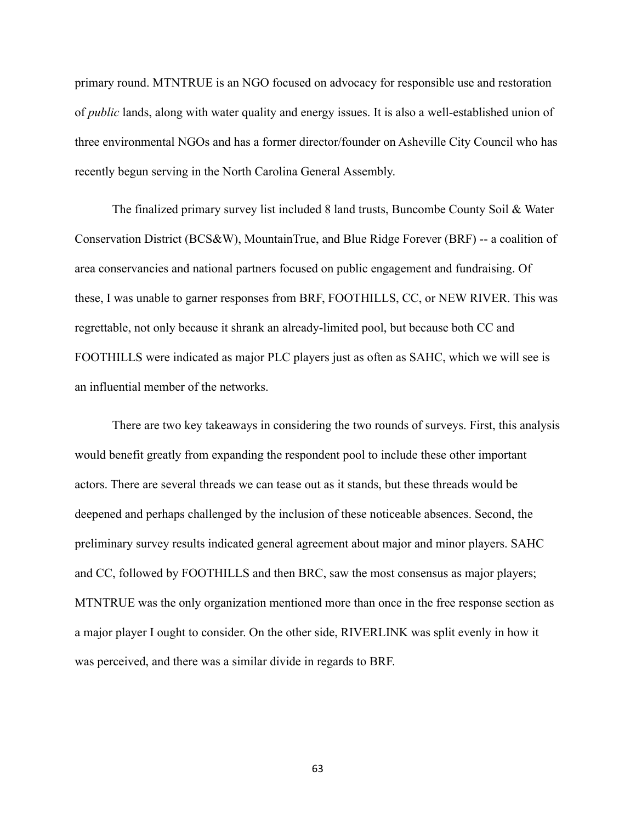primary round. MTNTRUE is an NGO focused on advocacy for responsible use and restoration of *public* lands, along with water quality and energy issues. It is also a well-established union of three environmental NGOs and has a former director/founder on Asheville City Council who has recently begun serving in the North Carolina General Assembly.

The finalized primary survey list included 8 land trusts, Buncombe County Soil & Water Conservation District (BCS&W), MountainTrue, and Blue Ridge Forever (BRF) -- a coalition of area conservancies and national partners focused on public engagement and fundraising. Of these, I was unable to garner responses from BRF, FOOTHILLS, CC, or NEW RIVER. This was regrettable, not only because it shrank an already-limited pool, but because both CC and FOOTHILLS were indicated as major PLC players just as often as SAHC, which we will see is an influential member of the networks.

There are two key takeaways in considering the two rounds of surveys. First, this analysis would benefit greatly from expanding the respondent pool to include these other important actors. There are several threads we can tease out as it stands, but these threads would be deepened and perhaps challenged by the inclusion of these noticeable absences. Second, the preliminary survey results indicated general agreement about major and minor players. SAHC and CC, followed by FOOTHILLS and then BRC, saw the most consensus as major players; MTNTRUE was the only organization mentioned more than once in the free response section as a major player I ought to consider. On the other side, RIVERLINK was split evenly in how it was perceived, and there was a similar divide in regards to BRF.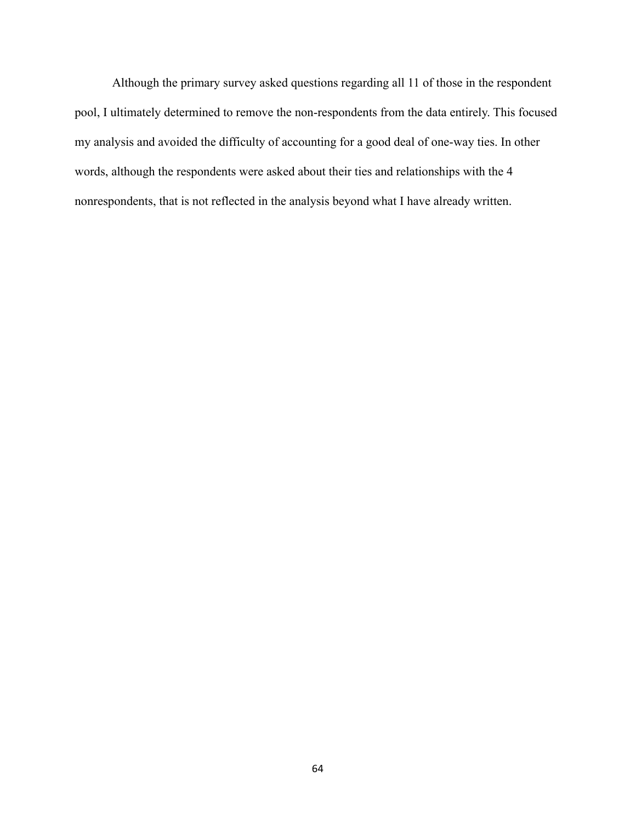Although the primary survey asked questions regarding all 11 of those in the respondent pool, I ultimately determined to remove the non-respondents from the data entirely. This focused my analysis and avoided the difficulty of accounting for a good deal of one-way ties. In other words, although the respondents were asked about their ties and relationships with the 4 nonrespondents, that is not reflected in the analysis beyond what I have already written.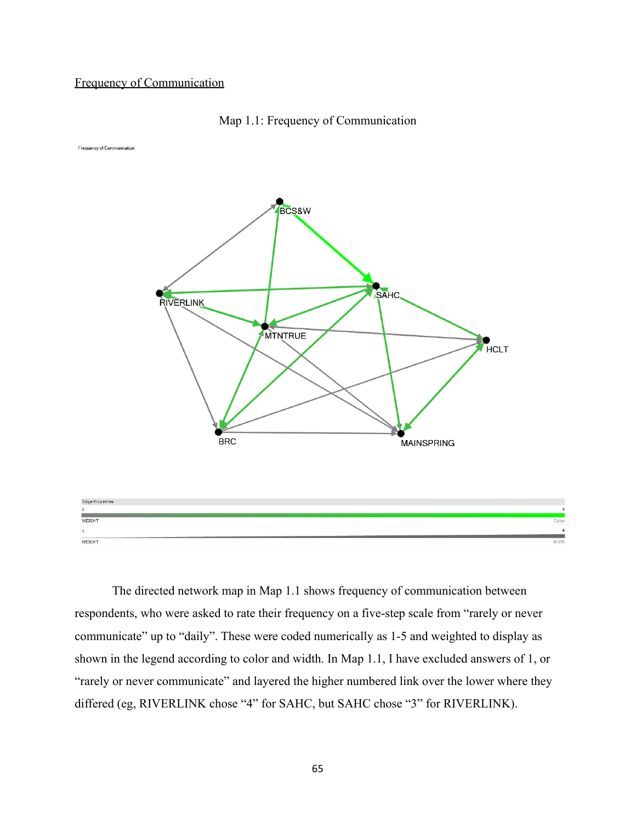## Frequency of Communication



Frequency of Communication



The directed network map in Map 1.1 shows frequency of communication between respondents, who were asked to rate their frequency on a five-step scale from "rarely or never communicate" up to "daily". These were coded numerically as 1-5 and weighted to display as shown in the legend according to color and width. In Map 1.1, I have excluded answers of 1, or "rarely or never communicate" and layered the higher numbered link over the lower where they differed (eg, RIVERLINK chose "4" for SAHC, but SAHC chose "3" for RIVERLINK).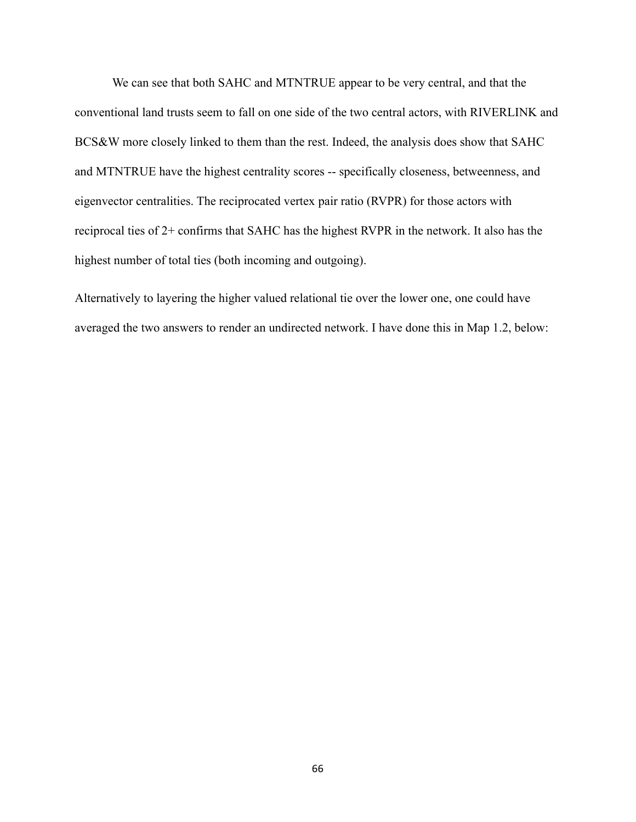We can see that both SAHC and MTNTRUE appear to be very central, and that the conventional land trusts seem to fall on one side of the two central actors, with RIVERLINK and BCS&W more closely linked to them than the rest. Indeed, the analysis does show that SAHC and MTNTRUE have the highest centrality scores -- specifically closeness, betweenness, and eigenvector centralities. The reciprocated vertex pair ratio (RVPR) for those actors with reciprocal ties of 2+ confirms that SAHC has the highest RVPR in the network. It also has the highest number of total ties (both incoming and outgoing).

Alternatively to layering the higher valued relational tie over the lower one, one could have averaged the two answers to render an undirected network. I have done this in Map 1.2, below: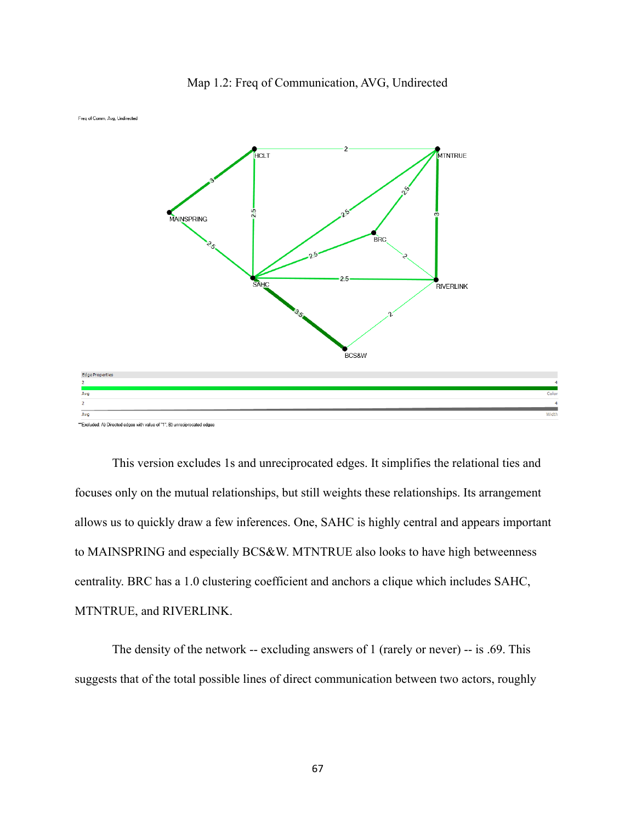

Map 1.2: Freq of Communication, AVG, Undirected

This version excludes 1s and unreciprocated edges. It simplifies the relational ties and focuses only on the mutual relationships, but still weights these relationships. Its arrangement allows us to quickly draw a few inferences. One, SAHC is highly central and appears important to MAINSPRING and especially BCS&W. MTNTRUE also looks to have high betweenness centrality. BRC has a 1.0 clustering coefficient and anchors a clique which includes SAHC, MTNTRUE, and RIVERLINK.

The density of the network -- excluding answers of 1 (rarely or never) -- is .69. This suggests that of the total possible lines of direct communication between two actors, roughly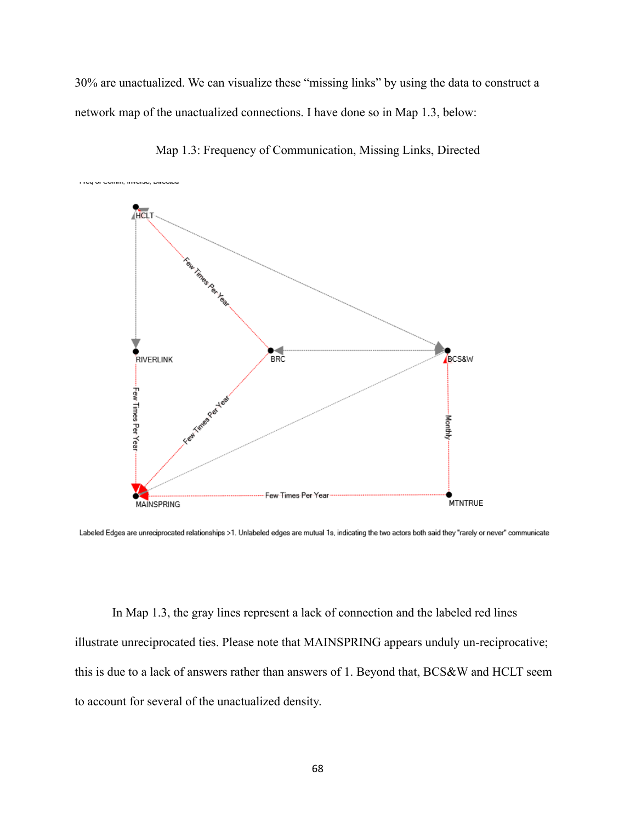30% are unactualized. We can visualize these "missing links" by using the data to construct a network map of the unactualized connections. I have done so in Map 1.3, below:



Map 1.3: Frequency of Communication, Missing Links, Directed

Labeled Edges are unreciprocated relationships >1. Unlabeled edges are mutual 1s, indicating the two actors both said they "rarely or never" communicate

In Map 1.3, the gray lines represent a lack of connection and the labeled red lines illustrate unreciprocated ties. Please note that MAINSPRING appears unduly un-reciprocative; this is due to a lack of answers rather than answers of 1. Beyond that, BCS&W and HCLT seem to account for several of the unactualized density.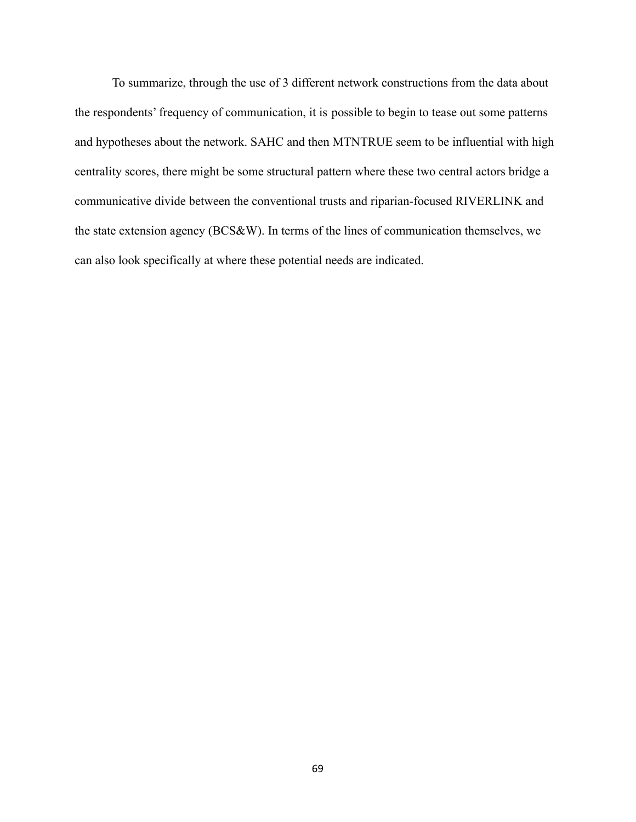To summarize, through the use of 3 different network constructions from the data about the respondents' frequency of communication, it is possible to begin to tease out some patterns and hypotheses about the network. SAHC and then MTNTRUE seem to be influential with high centrality scores, there might be some structural pattern where these two central actors bridge a communicative divide between the conventional trusts and riparian-focused RIVERLINK and the state extension agency (BCS&W). In terms of the lines of communication themselves, we can also look specifically at where these potential needs are indicated.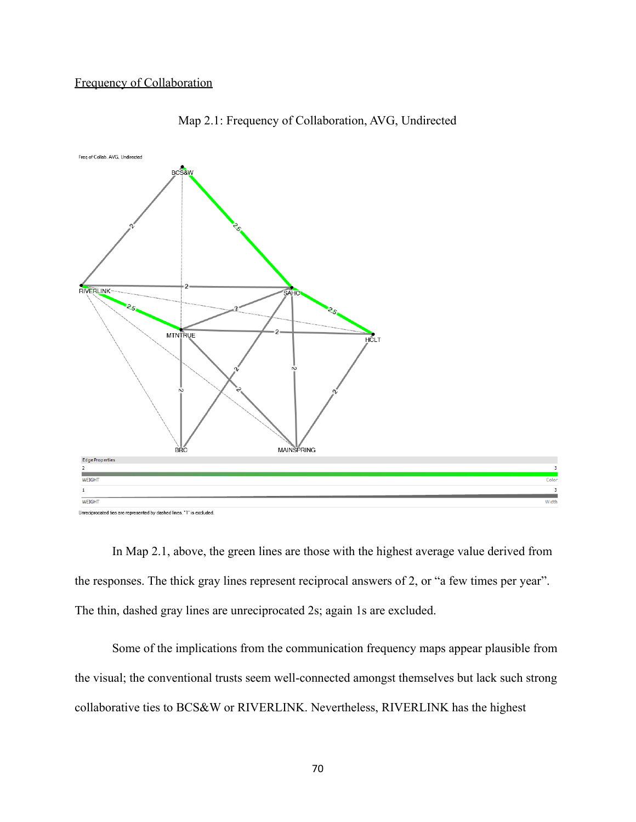

Map 2.1: Frequency of Collaboration, AVG, Undirected

Unreciprocated ties are represented by dashed lines. "1" is excluded.

In Map 2.1, above, the green lines are those with the highest average value derived from the responses. The thick gray lines represent reciprocal answers of 2, or "a few times per year". The thin, dashed gray lines are unreciprocated 2s; again 1s are excluded.

Some of the implications from the communication frequency maps appear plausible from the visual; the conventional trusts seem well-connected amongst themselves but lack such strong collaborative ties to BCS&W or RIVERLINK. Nevertheless, RIVERLINK has the highest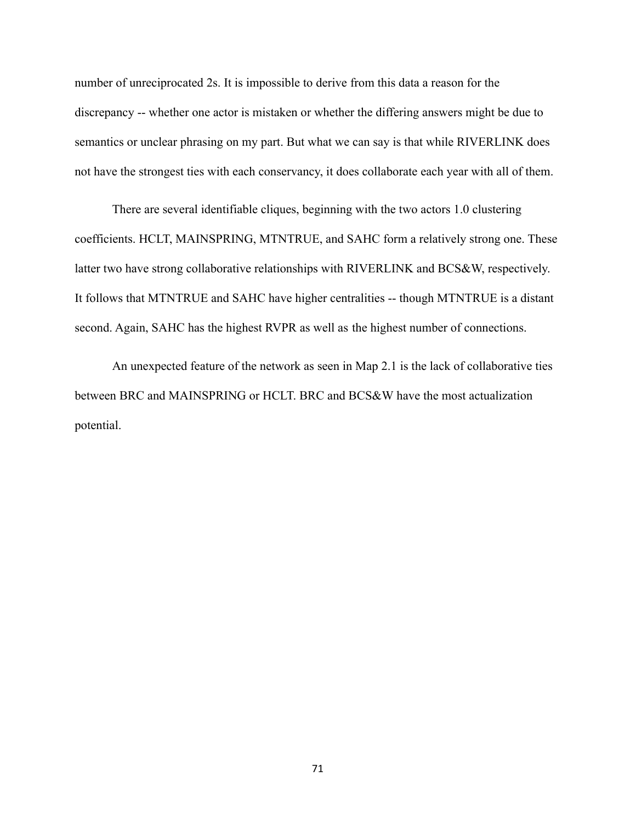number of unreciprocated 2s. It is impossible to derive from this data a reason for the discrepancy -- whether one actor is mistaken or whether the differing answers might be due to semantics or unclear phrasing on my part. But what we can say is that while RIVERLINK does not have the strongest ties with each conservancy, it does collaborate each year with all of them.

There are several identifiable cliques, beginning with the two actors 1.0 clustering coefficients. HCLT, MAINSPRING, MTNTRUE, and SAHC form a relatively strong one. These latter two have strong collaborative relationships with RIVERLINK and BCS&W, respectively. It follows that MTNTRUE and SAHC have higher centralities -- though MTNTRUE is a distant second. Again, SAHC has the highest RVPR as well as the highest number of connections.

An unexpected feature of the network as seen in Map 2.1 is the lack of collaborative ties between BRC and MAINSPRING or HCLT. BRC and BCS&W have the most actualization potential.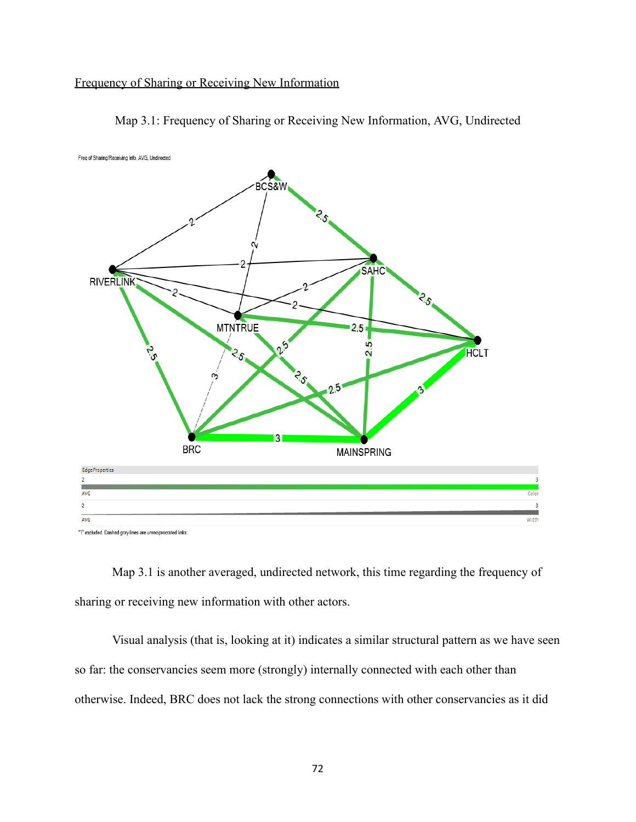# Frequency of Sharing or Receiving New Information



Map 3.1: Frequency of Sharing or Receiving New Information, AVG, Undirected

"1" excluded. Dashed gray lines are unreciprocrated links.

Map 3.1 is another averaged, undirected network, this time regarding the frequency of sharing or receiving new information with other actors.

Visual analysis (that is, looking at it) indicates a similar structural pattern as we have seen so far: the conservancies seem more (strongly) internally connected with each other than otherwise. Indeed, BRC does not lack the strong connections with other conservancies as it did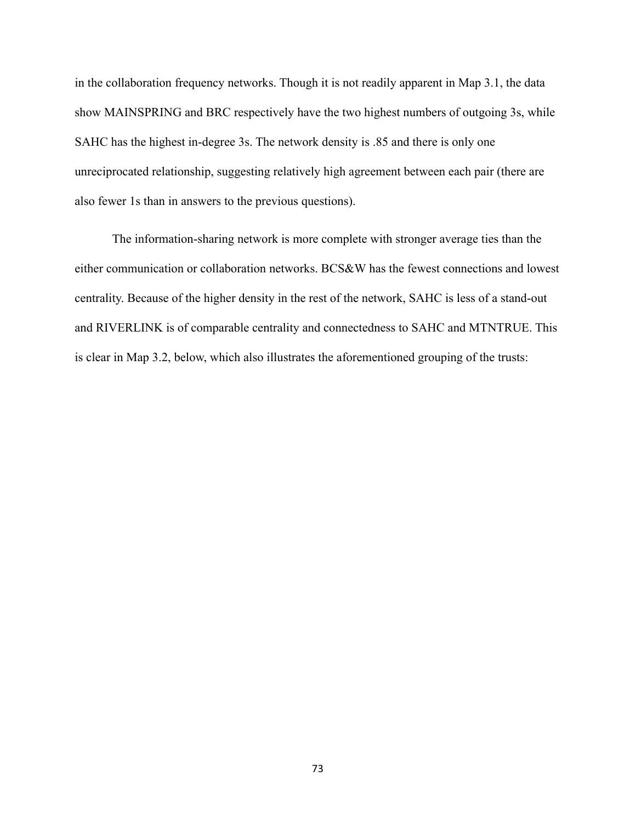in the collaboration frequency networks. Though it is not readily apparent in Map 3.1, the data show MAINSPRING and BRC respectively have the two highest numbers of outgoing 3s, while SAHC has the highest in-degree 3s. The network density is .85 and there is only one unreciprocated relationship, suggesting relatively high agreement between each pair (there are also fewer 1s than in answers to the previous questions).

The information-sharing network is more complete with stronger average ties than the either communication or collaboration networks. BCS&W has the fewest connections and lowest centrality. Because of the higher density in the rest of the network, SAHC is less of a stand-out and RIVERLINK is of comparable centrality and connectedness to SAHC and MTNTRUE. This is clear in Map 3.2, below, which also illustrates the aforementioned grouping of the trusts: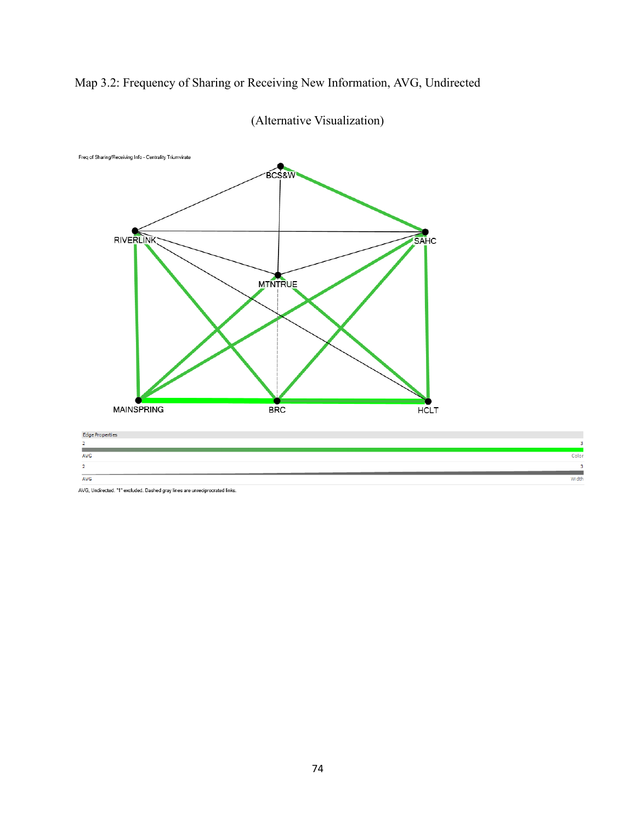Map 3.2: Frequency of Sharing or Receiving New Information, AVG, Undirected



(Alternative Visualization)

| <b>AVG</b>     |                                                                                 |  |  |
|----------------|---------------------------------------------------------------------------------|--|--|
|                |                                                                                 |  |  |
| $\overline{2}$ |                                                                                 |  |  |
|                |                                                                                 |  |  |
| AVG            |                                                                                 |  |  |
|                | the contract of the contract of the contract of the contract of the contract of |  |  |

AVG, Und ded. Dashed gray lines are unreciprocrated links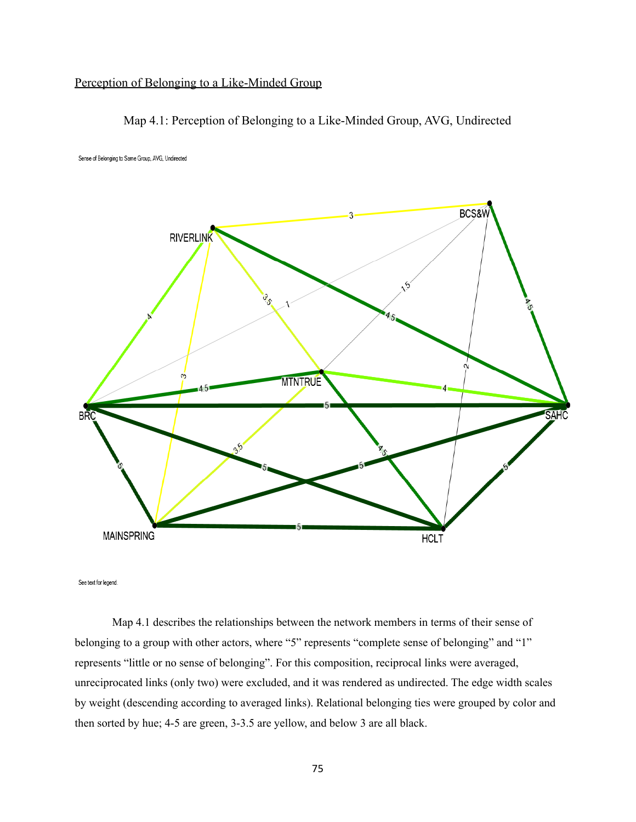## Perception of Belonging to a Like-Minded Group





Sense of Belonging to Same Group, AVG, Undirected

See text for legend.

Map 4.1 describes the relationships between the network members in terms of their sense of belonging to a group with other actors, where "5" represents "complete sense of belonging" and "1" represents "little or no sense of belonging". For this composition, reciprocal links were averaged, unreciprocated links (only two) were excluded, and it was rendered as undirected. The edge width scales by weight (descending according to averaged links). Relational belonging ties were grouped by color and then sorted by hue; 4-5 are green, 3-3.5 are yellow, and below 3 are all black.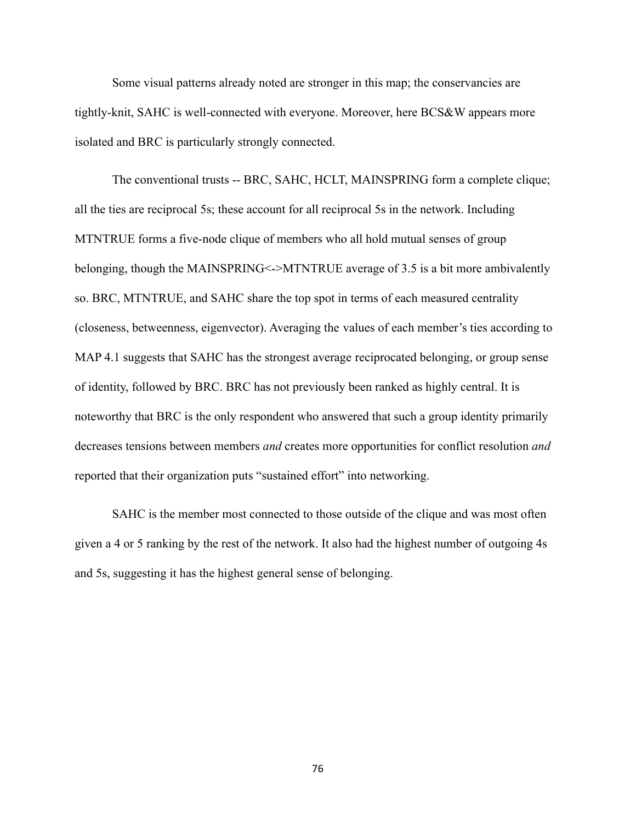Some visual patterns already noted are stronger in this map; the conservancies are tightly-knit, SAHC is well-connected with everyone. Moreover, here BCS&W appears more isolated and BRC is particularly strongly connected.

The conventional trusts -- BRC, SAHC, HCLT, MAINSPRING form a complete clique; all the ties are reciprocal 5s; these account for all reciprocal 5s in the network. Including MTNTRUE forms a five-node clique of members who all hold mutual senses of group belonging, though the MAINSPRING<->MTNTRUE average of 3.5 is a bit more ambivalently so. BRC, MTNTRUE, and SAHC share the top spot in terms of each measured centrality (closeness, betweenness, eigenvector). Averaging the values of each member's ties according to MAP 4.1 suggests that SAHC has the strongest average reciprocated belonging, or group sense of identity, followed by BRC. BRC has not previously been ranked as highly central. It is noteworthy that BRC is the only respondent who answered that such a group identity primarily decreases tensions between members *and* creates more opportunities for conflict resolution *and* reported that their organization puts "sustained effort" into networking.

SAHC is the member most connected to those outside of the clique and was most often given a 4 or 5 ranking by the rest of the network. It also had the highest number of outgoing 4s and 5s, suggesting it has the highest general sense of belonging.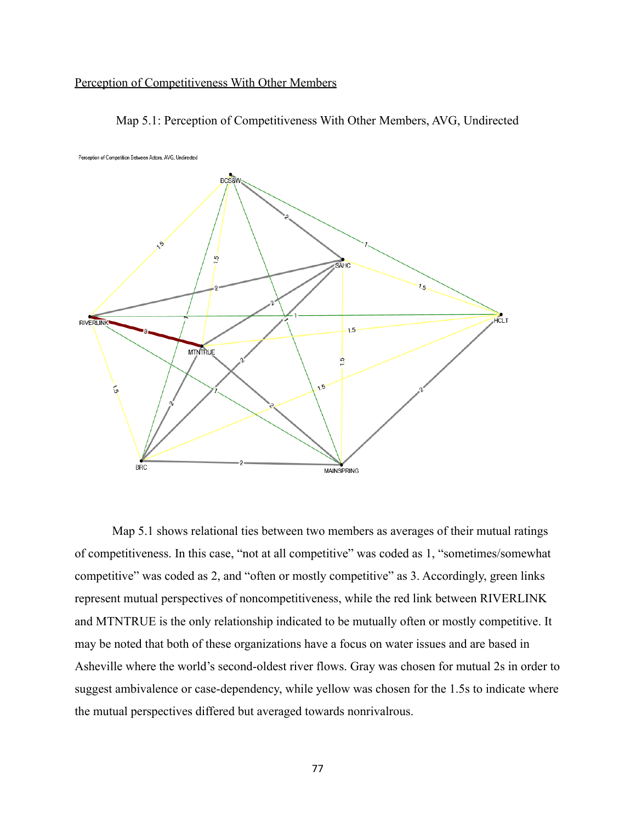## Perception of Competitiveness With Other Members



Map 5.1: Perception of Competitiveness With Other Members, AVG, Undirected

Map 5.1 shows relational ties between two members as averages of their mutual ratings of competitiveness. In this case, "not at all competitive" was coded as 1, "sometimes/somewhat competitive" was coded as 2, and "often or mostly competitive" as 3. Accordingly, green links represent mutual perspectives of noncompetitiveness, while the red link between RIVERLINK and MTNTRUE is the only relationship indicated to be mutually often or mostly competitive. It may be noted that both of these organizations have a focus on water issues and are based in Asheville where the world's second-oldest river flows. Gray was chosen for mutual 2s in order to suggest ambivalence or case-dependency, while yellow was chosen for the 1.5s to indicate where the mutual perspectives differed but averaged towards nonrivalrous.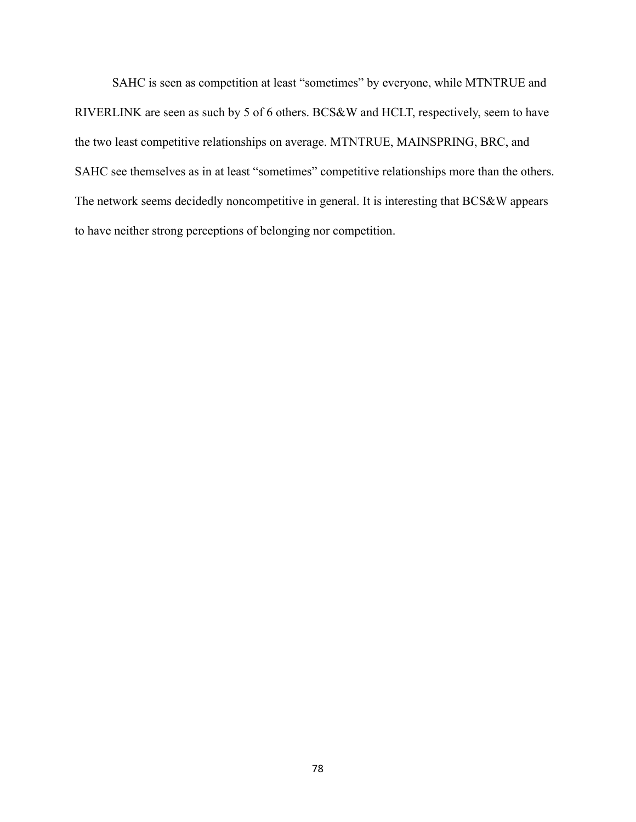SAHC is seen as competition at least "sometimes" by everyone, while MTNTRUE and RIVERLINK are seen as such by 5 of 6 others. BCS&W and HCLT, respectively, seem to have the two least competitive relationships on average. MTNTRUE, MAINSPRING, BRC, and SAHC see themselves as in at least "sometimes" competitive relationships more than the others. The network seems decidedly noncompetitive in general. It is interesting that BCS&W appears to have neither strong perceptions of belonging nor competition.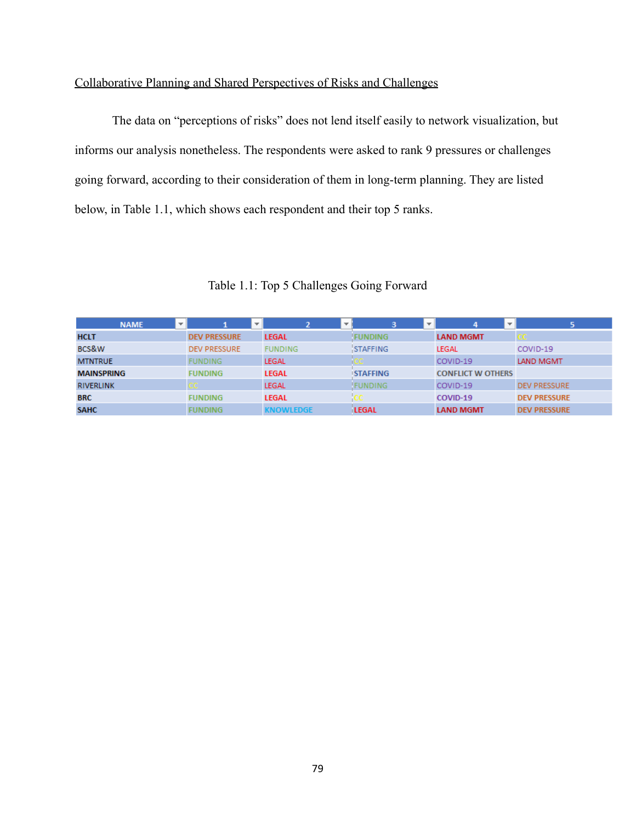# Collaborative Planning and Shared Perspectives of Risks and Challenges

The data on "perceptions of risks" does not lend itself easily to network visualization, but informs our analysis nonetheless. The respondents were asked to rank 9 pressures or challenges going forward, according to their consideration of them in long-term planning. They are listed below, in Table 1.1, which shows each respondent and their top 5 ranks.

| <b>NAME</b>       | $\overline{\phantom{a}}$ |                     | $\equiv$ | 2                |  | з               | $\overline{\phantom{a}}$ | 4                        | $\sim$ | 5                   |
|-------------------|--------------------------|---------------------|----------|------------------|--|-----------------|--------------------------|--------------------------|--------|---------------------|
| <b>HCLT</b>       |                          | <b>DEV PRESSURE</b> |          | <b>LEGAL</b>     |  | <b>FUNDING</b>  |                          | <b>LAND MGMT</b>         |        |                     |
| BCS&W             |                          | <b>DEV PRESSURE</b> |          | <b>FUNDING</b>   |  | STAFFING        |                          | <b>LEGAL</b>             |        | COVID-19            |
| <b>MTNTRUE</b>    |                          | <b>FUNDING</b>      |          | <b>LEGAL</b>     |  | an part of      |                          | COVID-19                 |        | <b>LAND MGMT</b>    |
| <b>MAINSPRING</b> |                          | <b>FUNDING</b>      |          | <b>LEGAL</b>     |  | <b>STAFFING</b> |                          | <b>CONFLICT W OTHERS</b> |        |                     |
| <b>RIVERLINK</b>  |                          | cc .                |          | <b>LEGAL</b>     |  | <b>FUNDING</b>  |                          | COVID-19                 |        | <b>DEV PRESSURE</b> |
| <b>BRC</b>        |                          | <b>FUNDING</b>      |          | <b>LEGAL</b>     |  | cc.             |                          | COVID-19                 |        | <b>DEV PRESSURE</b> |
| <b>SAHC</b>       |                          | <b>FUNDING</b>      |          | <b>KNOWLEDGE</b> |  | <b>LEGAL</b>    |                          | <b>LAND MGMT</b>         |        | <b>DEV PRESSURE</b> |

Table 1.1: Top 5 Challenges Going Forward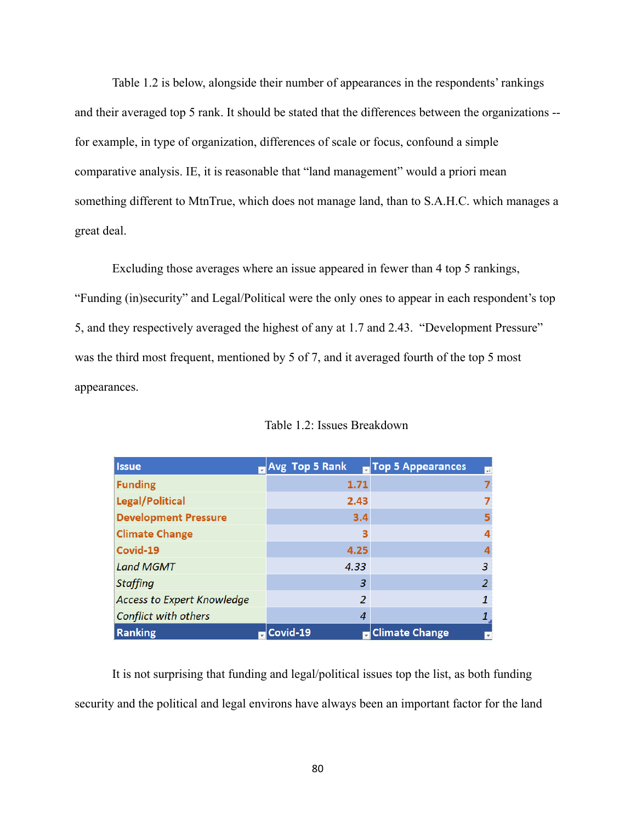Table 1.2 is below, alongside their number of appearances in the respondents' rankings and their averaged top 5 rank. It should be stated that the differences between the organizations - for example, in type of organization, differences of scale or focus, confound a simple comparative analysis. IE, it is reasonable that "land management" would a priori mean something different to MtnTrue, which does not manage land, than to S.A.H.C. which manages a great deal.

Excluding those averages where an issue appeared in fewer than 4 top 5 rankings, "Funding (in)security" and Legal/Political were the only ones to appear in each respondent's top 5, and they respectively averaged the highest of any at 1.7 and 2.43. "Development Pressure" was the third most frequent, mentioned by 5 of 7, and it averaged fourth of the top 5 most appearances.

| <b>Issue</b>                      | <b>No. 18 Top 5 Rank</b> | Top 5 Appearances<br>$\overline{\phantom{0}}$ |
|-----------------------------------|--------------------------|-----------------------------------------------|
| <b>Funding</b>                    | 1.71                     |                                               |
| Legal/Political                   | 2.43                     |                                               |
| <b>Development Pressure</b>       | 3.4                      |                                               |
| <b>Climate Change</b>             | з                        |                                               |
| Covid-19                          | 4.25                     |                                               |
| <b>Land MGMT</b>                  | 4.33                     | 3                                             |
| <b>Staffing</b>                   | 3                        | 2                                             |
| <b>Access to Expert Knowledge</b> | 2                        |                                               |
| Conflict with others              | 4                        |                                               |
| Ranking                           | Covid-19                 | <b>Climate Change</b><br>$\mathbf{v}$         |

Table 1.2: Issues Breakdown

It is not surprising that funding and legal/political issues top the list, as both funding security and the political and legal environs have always been an important factor for the land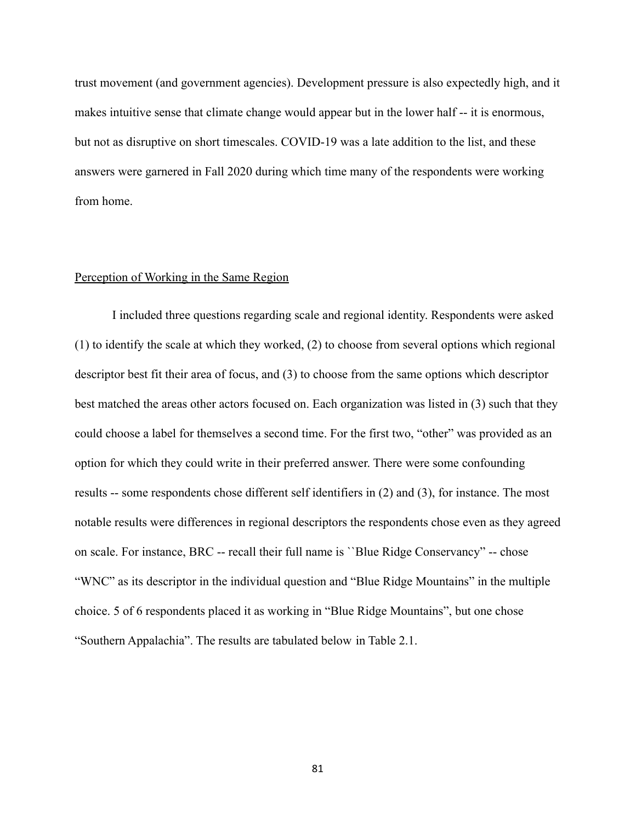trust movement (and government agencies). Development pressure is also expectedly high, and it makes intuitive sense that climate change would appear but in the lower half -- it is enormous, but not as disruptive on short timescales. COVID-19 was a late addition to the list, and these answers were garnered in Fall 2020 during which time many of the respondents were working from home.

### Perception of Working in the Same Region

I included three questions regarding scale and regional identity. Respondents were asked (1) to identify the scale at which they worked, (2) to choose from several options which regional descriptor best fit their area of focus, and (3) to choose from the same options which descriptor best matched the areas other actors focused on. Each organization was listed in (3) such that they could choose a label for themselves a second time. For the first two, "other" was provided as an option for which they could write in their preferred answer. There were some confounding results -- some respondents chose different self identifiers in (2) and (3), for instance. The most notable results were differences in regional descriptors the respondents chose even as they agreed on scale. For instance, BRC -- recall their full name is ``Blue Ridge Conservancy" -- chose "WNC" as its descriptor in the individual question and "Blue Ridge Mountains" in the multiple choice. 5 of 6 respondents placed it as working in "Blue Ridge Mountains", but one chose "Southern Appalachia". The results are tabulated below in Table 2.1.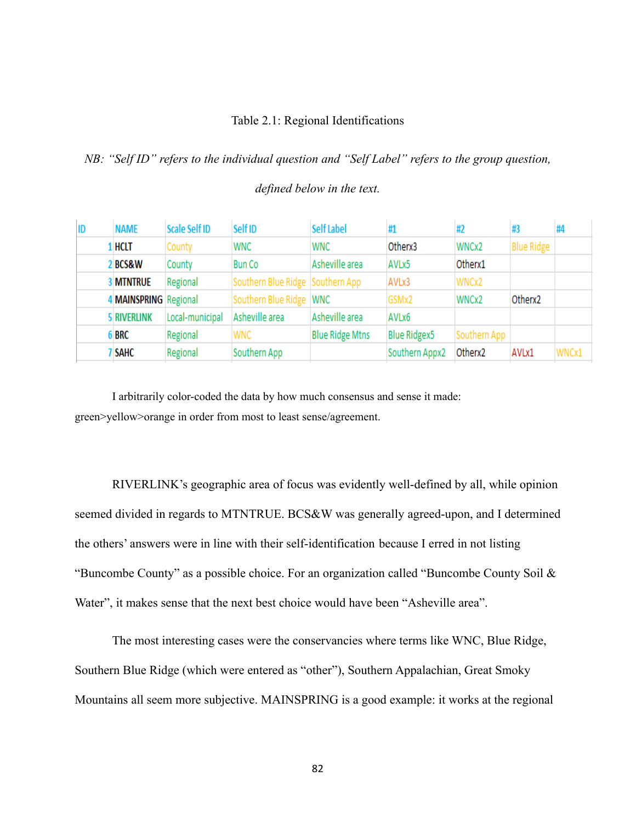### Table 2.1: Regional Identifications

*NB: "Self ID" refers to the individual question and "Self Label" refers to the group question,*

*defined below in the text.*

| ID | <b>NAME</b>           | <b>Scale Self ID</b> | Self ID                          | <b>Self Label</b>      |                     | #2           | #3                  | #4    |
|----|-----------------------|----------------------|----------------------------------|------------------------|---------------------|--------------|---------------------|-------|
|    | l HCLT                | County               | <b>WNC</b>                       | <b>WNC</b>             | Otherx3             | WNCx2        | <b>Blue Ridge</b>   |       |
|    | <b>BCS&amp;W</b>      | County               | <b>Bun Co</b>                    | Asheville area         | AVLx5               | Otherx1      |                     |       |
|    | <b>MTNTRUE</b>        | Regional             | Southern Blue Ridge Southern App |                        | AVLx3               | WNCx2        |                     |       |
|    | 4 MAINSPRING Regional |                      | Southern Blue Ridge WNC          |                        | GSMx2               | WNCx2        | Otherx <sub>2</sub> |       |
|    | <b>5 RIVERLINK</b>    | Local-municipal      | Asheville area                   | Asheville area         | AVLx6               |              |                     |       |
|    | 5 BRC                 | Regional             | <b>WNC</b>                       | <b>Blue Ridge Mtns</b> | <b>Blue Ridgex5</b> | Southern App |                     |       |
|    | <b>SAHC</b>           | Regional             | Southern App                     |                        | Southern Appx2      | Otherx2      | AVLx1               | WNCx1 |

I arbitrarily color-coded the data by how much consensus and sense it made: green>yellow>orange in order from most to least sense/agreement.

RIVERLINK's geographic area of focus was evidently well-defined by all, while opinion seemed divided in regards to MTNTRUE. BCS&W was generally agreed-upon, and I determined the others' answers were in line with their self-identification because I erred in not listing "Buncombe County" as a possible choice. For an organization called "Buncombe County Soil & Water", it makes sense that the next best choice would have been "Asheville area".

The most interesting cases were the conservancies where terms like WNC, Blue Ridge, Southern Blue Ridge (which were entered as "other"), Southern Appalachian, Great Smoky Mountains all seem more subjective. MAINSPRING is a good example: it works at the regional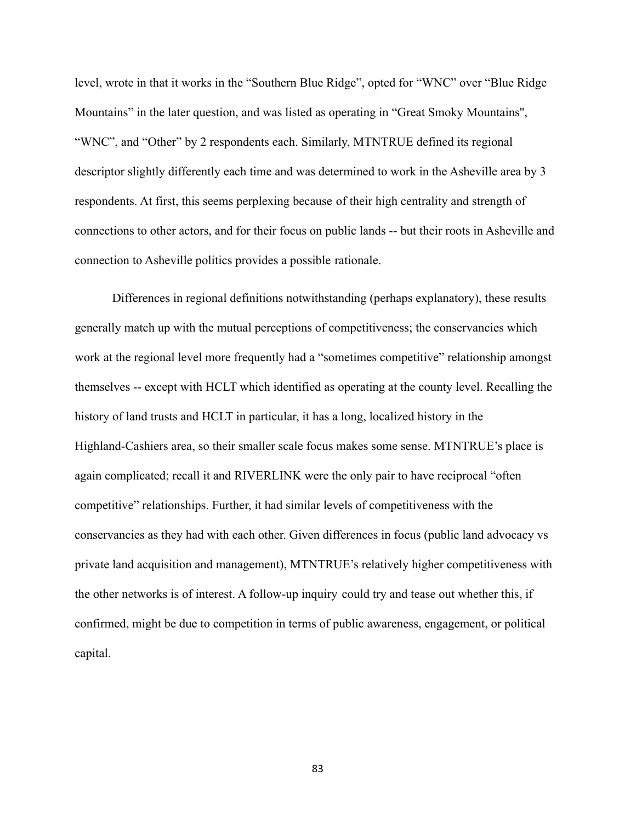level, wrote in that it works in the "Southern Blue Ridge", opted for "WNC" over "Blue Ridge Mountains" in the later question, and was listed as operating in "Great Smoky Mountains'', "WNC", and "Other" by 2 respondents each. Similarly, MTNTRUE defined its regional descriptor slightly differently each time and was determined to work in the Asheville area by 3 respondents. At first, this seems perplexing because of their high centrality and strength of connections to other actors, and for their focus on public lands -- but their roots in Asheville and connection to Asheville politics provides a possible rationale.

Differences in regional definitions notwithstanding (perhaps explanatory), these results generally match up with the mutual perceptions of competitiveness; the conservancies which work at the regional level more frequently had a "sometimes competitive" relationship amongst themselves -- except with HCLT which identified as operating at the county level. Recalling the history of land trusts and HCLT in particular, it has a long, localized history in the Highland-Cashiers area, so their smaller scale focus makes some sense. MTNTRUE's place is again complicated; recall it and RIVERLINK were the only pair to have reciprocal "often competitive" relationships. Further, it had similar levels of competitiveness with the conservancies as they had with each other. Given differences in focus (public land advocacy vs private land acquisition and management), MTNTRUE's relatively higher competitiveness with the other networks is of interest. A follow-up inquiry could try and tease out whether this, if confirmed, might be due to competition in terms of public awareness, engagement, or political capital.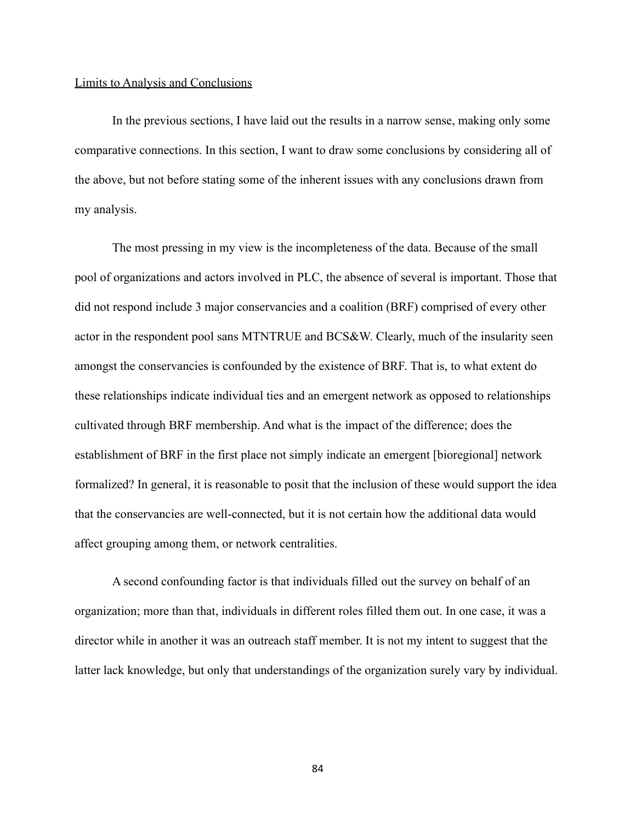#### Limits to Analysis and Conclusions

In the previous sections, I have laid out the results in a narrow sense, making only some comparative connections. In this section, I want to draw some conclusions by considering all of the above, but not before stating some of the inherent issues with any conclusions drawn from my analysis.

The most pressing in my view is the incompleteness of the data. Because of the small pool of organizations and actors involved in PLC, the absence of several is important. Those that did not respond include 3 major conservancies and a coalition (BRF) comprised of every other actor in the respondent pool sans MTNTRUE and BCS&W. Clearly, much of the insularity seen amongst the conservancies is confounded by the existence of BRF. That is, to what extent do these relationships indicate individual ties and an emergent network as opposed to relationships cultivated through BRF membership. And what is the impact of the difference; does the establishment of BRF in the first place not simply indicate an emergent [bioregional] network formalized? In general, it is reasonable to posit that the inclusion of these would support the idea that the conservancies are well-connected, but it is not certain how the additional data would affect grouping among them, or network centralities.

A second confounding factor is that individuals filled out the survey on behalf of an organization; more than that, individuals in different roles filled them out. In one case, it was a director while in another it was an outreach staff member. It is not my intent to suggest that the latter lack knowledge, but only that understandings of the organization surely vary by individual.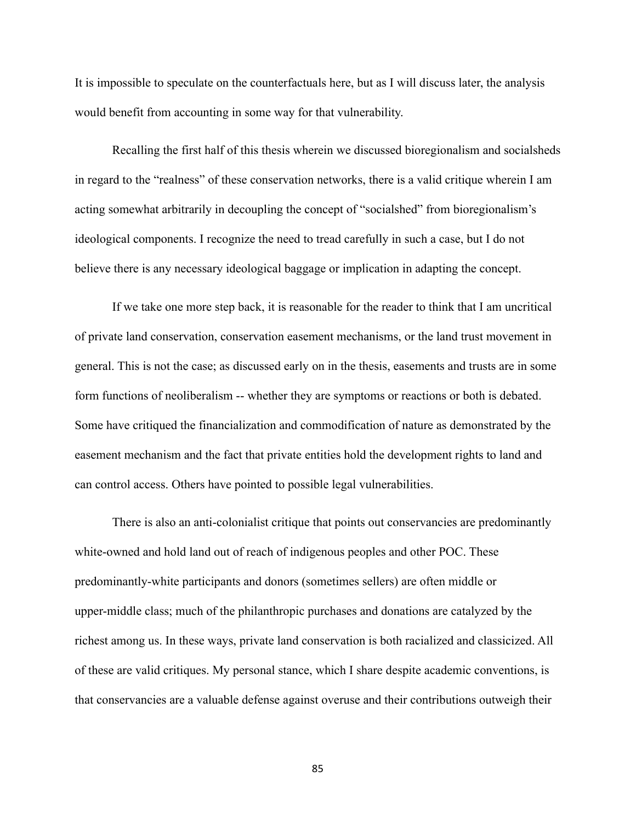It is impossible to speculate on the counterfactuals here, but as I will discuss later, the analysis would benefit from accounting in some way for that vulnerability.

Recalling the first half of this thesis wherein we discussed bioregionalism and socialsheds in regard to the "realness" of these conservation networks, there is a valid critique wherein I am acting somewhat arbitrarily in decoupling the concept of "socialshed" from bioregionalism's ideological components. I recognize the need to tread carefully in such a case, but I do not believe there is any necessary ideological baggage or implication in adapting the concept.

If we take one more step back, it is reasonable for the reader to think that I am uncritical of private land conservation, conservation easement mechanisms, or the land trust movement in general. This is not the case; as discussed early on in the thesis, easements and trusts are in some form functions of neoliberalism -- whether they are symptoms or reactions or both is debated. Some have critiqued the financialization and commodification of nature as demonstrated by the easement mechanism and the fact that private entities hold the development rights to land and can control access. Others have pointed to possible legal vulnerabilities.

There is also an anti-colonialist critique that points out conservancies are predominantly white-owned and hold land out of reach of indigenous peoples and other POC. These predominantly-white participants and donors (sometimes sellers) are often middle or upper-middle class; much of the philanthropic purchases and donations are catalyzed by the richest among us. In these ways, private land conservation is both racialized and classicized. All of these are valid critiques. My personal stance, which I share despite academic conventions, is that conservancies are a valuable defense against overuse and their contributions outweigh their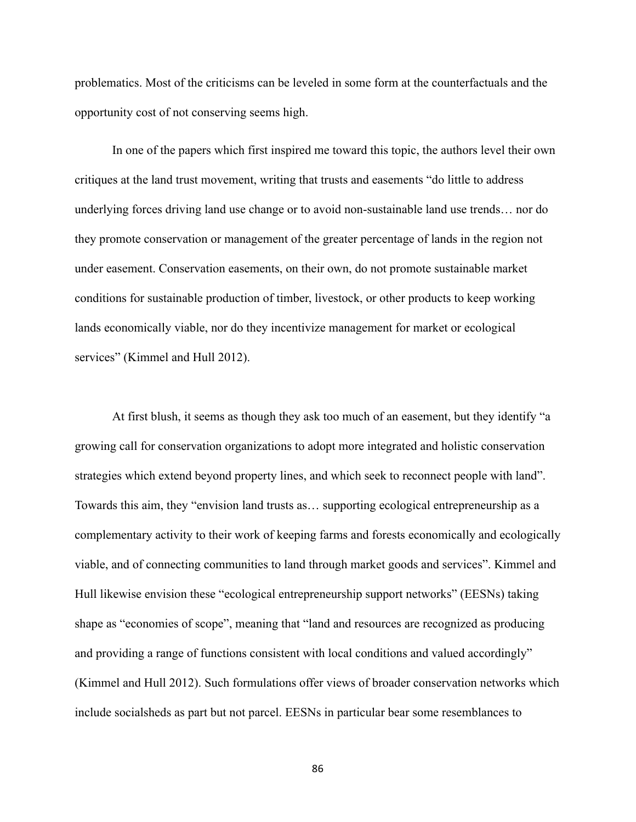problematics. Most of the criticisms can be leveled in some form at the counterfactuals and the opportunity cost of not conserving seems high.

In one of the papers which first inspired me toward this topic, the authors level their own critiques at the land trust movement, writing that trusts and easements "do little to address underlying forces driving land use change or to avoid non-sustainable land use trends… nor do they promote conservation or management of the greater percentage of lands in the region not under easement. Conservation easements, on their own, do not promote sustainable market conditions for sustainable production of timber, livestock, or other products to keep working lands economically viable, nor do they incentivize management for market or ecological services" (Kimmel and Hull 2012).

At first blush, it seems as though they ask too much of an easement, but they identify "a growing call for conservation organizations to adopt more integrated and holistic conservation strategies which extend beyond property lines, and which seek to reconnect people with land". Towards this aim, they "envision land trusts as… supporting ecological entrepreneurship as a complementary activity to their work of keeping farms and forests economically and ecologically viable, and of connecting communities to land through market goods and services". Kimmel and Hull likewise envision these "ecological entrepreneurship support networks" (EESNs) taking shape as "economies of scope", meaning that "land and resources are recognized as producing and providing a range of functions consistent with local conditions and valued accordingly" (Kimmel and Hull 2012). Such formulations offer views of broader conservation networks which include socialsheds as part but not parcel. EESNs in particular bear some resemblances to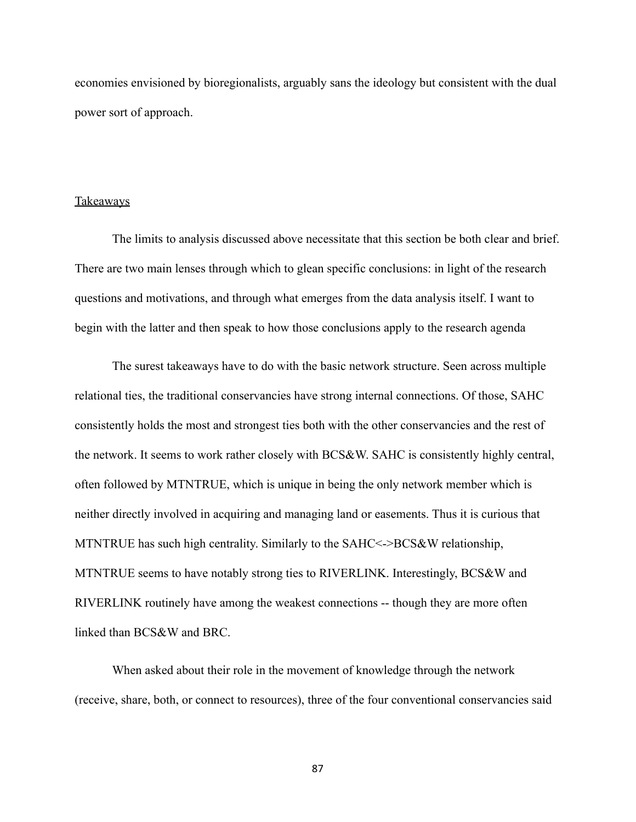economies envisioned by bioregionalists, arguably sans the ideology but consistent with the dual power sort of approach.

#### Takeaways

The limits to analysis discussed above necessitate that this section be both clear and brief. There are two main lenses through which to glean specific conclusions: in light of the research questions and motivations, and through what emerges from the data analysis itself. I want to begin with the latter and then speak to how those conclusions apply to the research agenda

The surest takeaways have to do with the basic network structure. Seen across multiple relational ties, the traditional conservancies have strong internal connections. Of those, SAHC consistently holds the most and strongest ties both with the other conservancies and the rest of the network. It seems to work rather closely with BCS&W. SAHC is consistently highly central, often followed by MTNTRUE, which is unique in being the only network member which is neither directly involved in acquiring and managing land or easements. Thus it is curious that MTNTRUE has such high centrality. Similarly to the SAHC<->BCS&W relationship, MTNTRUE seems to have notably strong ties to RIVERLINK. Interestingly, BCS&W and RIVERLINK routinely have among the weakest connections -- though they are more often linked than BCS&W and BRC.

When asked about their role in the movement of knowledge through the network (receive, share, both, or connect to resources), three of the four conventional conservancies said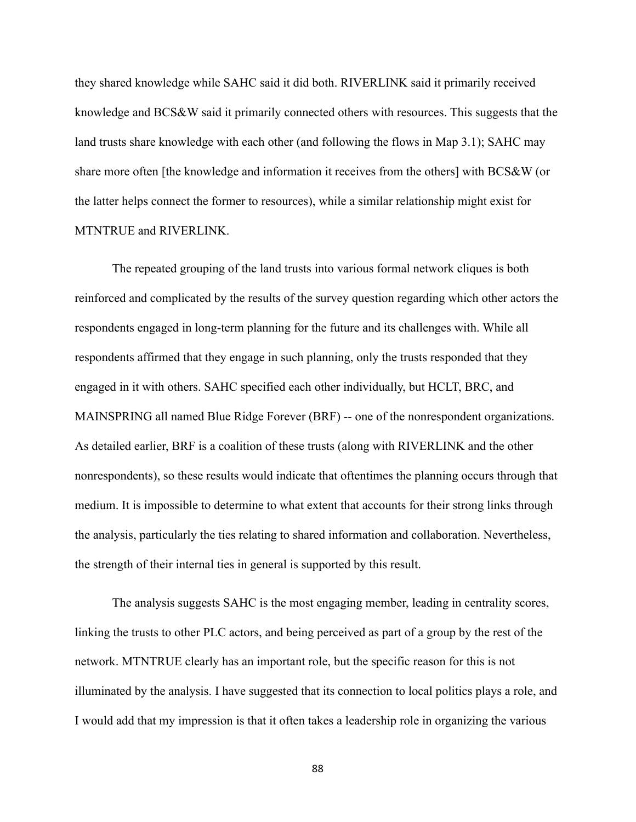they shared knowledge while SAHC said it did both. RIVERLINK said it primarily received knowledge and BCS&W said it primarily connected others with resources. This suggests that the land trusts share knowledge with each other (and following the flows in Map 3.1); SAHC may share more often [the knowledge and information it receives from the others] with BCS&W (or the latter helps connect the former to resources), while a similar relationship might exist for MTNTRUE and RIVERLINK.

The repeated grouping of the land trusts into various formal network cliques is both reinforced and complicated by the results of the survey question regarding which other actors the respondents engaged in long-term planning for the future and its challenges with. While all respondents affirmed that they engage in such planning, only the trusts responded that they engaged in it with others. SAHC specified each other individually, but HCLT, BRC, and MAINSPRING all named Blue Ridge Forever (BRF) -- one of the nonrespondent organizations. As detailed earlier, BRF is a coalition of these trusts (along with RIVERLINK and the other nonrespondents), so these results would indicate that oftentimes the planning occurs through that medium. It is impossible to determine to what extent that accounts for their strong links through the analysis, particularly the ties relating to shared information and collaboration. Nevertheless, the strength of their internal ties in general is supported by this result.

The analysis suggests SAHC is the most engaging member, leading in centrality scores, linking the trusts to other PLC actors, and being perceived as part of a group by the rest of the network. MTNTRUE clearly has an important role, but the specific reason for this is not illuminated by the analysis. I have suggested that its connection to local politics plays a role, and I would add that my impression is that it often takes a leadership role in organizing the various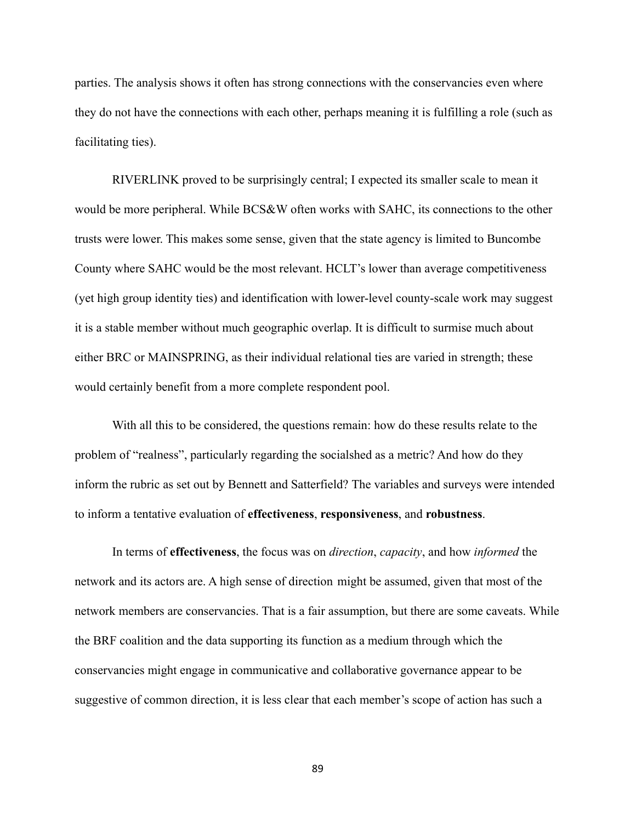parties. The analysis shows it often has strong connections with the conservancies even where they do not have the connections with each other, perhaps meaning it is fulfilling a role (such as facilitating ties).

RIVERLINK proved to be surprisingly central; I expected its smaller scale to mean it would be more peripheral. While BCS&W often works with SAHC, its connections to the other trusts were lower. This makes some sense, given that the state agency is limited to Buncombe County where SAHC would be the most relevant. HCLT's lower than average competitiveness (yet high group identity ties) and identification with lower-level county-scale work may suggest it is a stable member without much geographic overlap. It is difficult to surmise much about either BRC or MAINSPRING, as their individual relational ties are varied in strength; these would certainly benefit from a more complete respondent pool.

With all this to be considered, the questions remain: how do these results relate to the problem of "realness", particularly regarding the socialshed as a metric? And how do they inform the rubric as set out by Bennett and Satterfield? The variables and surveys were intended to inform a tentative evaluation of **effectiveness**, **responsiveness**, and **robustness**.

In terms of **effectiveness**, the focus was on *direction*, *capacity*, and how *informed* the network and its actors are. A high sense of direction might be assumed, given that most of the network members are conservancies. That is a fair assumption, but there are some caveats. While the BRF coalition and the data supporting its function as a medium through which the conservancies might engage in communicative and collaborative governance appear to be suggestive of common direction, it is less clear that each member's scope of action has such a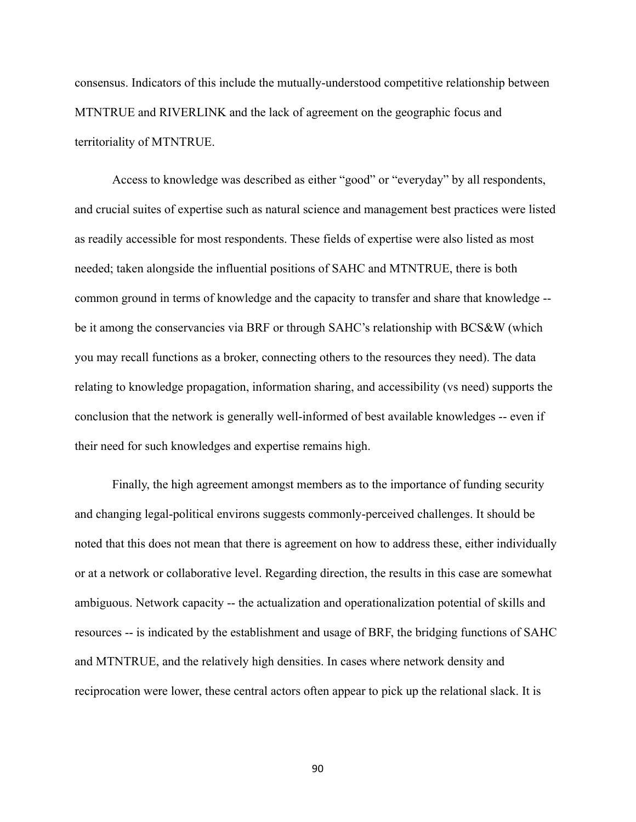consensus. Indicators of this include the mutually-understood competitive relationship between MTNTRUE and RIVERLINK and the lack of agreement on the geographic focus and territoriality of MTNTRUE.

Access to knowledge was described as either "good" or "everyday" by all respondents, and crucial suites of expertise such as natural science and management best practices were listed as readily accessible for most respondents. These fields of expertise were also listed as most needed; taken alongside the influential positions of SAHC and MTNTRUE, there is both common ground in terms of knowledge and the capacity to transfer and share that knowledge - be it among the conservancies via BRF or through SAHC's relationship with BCS&W (which you may recall functions as a broker, connecting others to the resources they need). The data relating to knowledge propagation, information sharing, and accessibility (vs need) supports the conclusion that the network is generally well-informed of best available knowledges -- even if their need for such knowledges and expertise remains high.

Finally, the high agreement amongst members as to the importance of funding security and changing legal-political environs suggests commonly-perceived challenges. It should be noted that this does not mean that there is agreement on how to address these, either individually or at a network or collaborative level. Regarding direction, the results in this case are somewhat ambiguous. Network capacity -- the actualization and operationalization potential of skills and resources -- is indicated by the establishment and usage of BRF, the bridging functions of SAHC and MTNTRUE, and the relatively high densities. In cases where network density and reciprocation were lower, these central actors often appear to pick up the relational slack. It is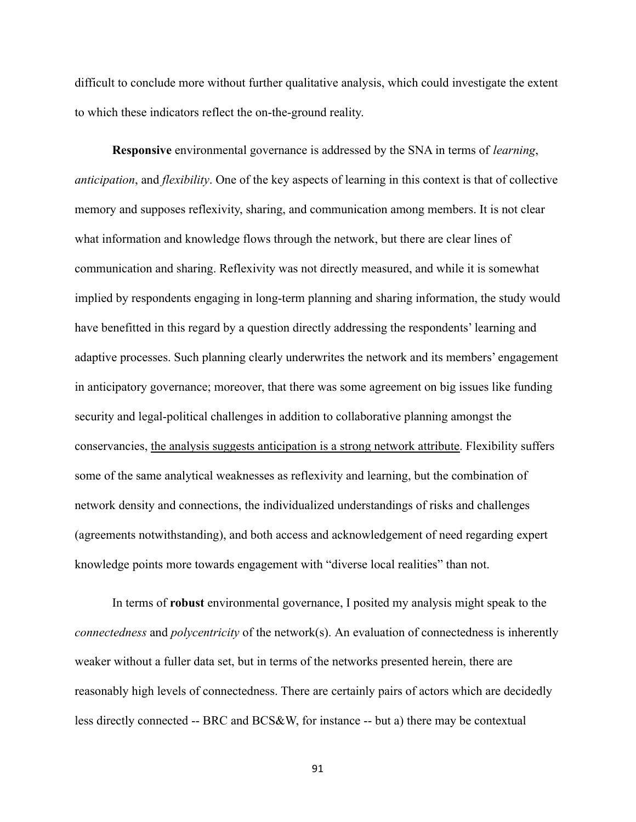difficult to conclude more without further qualitative analysis, which could investigate the extent to which these indicators reflect the on-the-ground reality.

**Responsive** environmental governance is addressed by the SNA in terms of *learning*, *anticipation*, and *flexibility*. One of the key aspects of learning in this context is that of collective memory and supposes reflexivity, sharing, and communication among members. It is not clear what information and knowledge flows through the network, but there are clear lines of communication and sharing. Reflexivity was not directly measured, and while it is somewhat implied by respondents engaging in long-term planning and sharing information, the study would have benefitted in this regard by a question directly addressing the respondents' learning and adaptive processes. Such planning clearly underwrites the network and its members' engagement in anticipatory governance; moreover, that there was some agreement on big issues like funding security and legal-political challenges in addition to collaborative planning amongst the conservancies, the analysis suggests anticipation is a strong network attribute. Flexibility suffers some of the same analytical weaknesses as reflexivity and learning, but the combination of network density and connections, the individualized understandings of risks and challenges (agreements notwithstanding), and both access and acknowledgement of need regarding expert knowledge points more towards engagement with "diverse local realities" than not.

In terms of **robust** environmental governance, I posited my analysis might speak to the *connectedness* and *polycentricity* of the network(s). An evaluation of connectedness is inherently weaker without a fuller data set, but in terms of the networks presented herein, there are reasonably high levels of connectedness. There are certainly pairs of actors which are decidedly less directly connected -- BRC and BCS&W, for instance -- but a) there may be contextual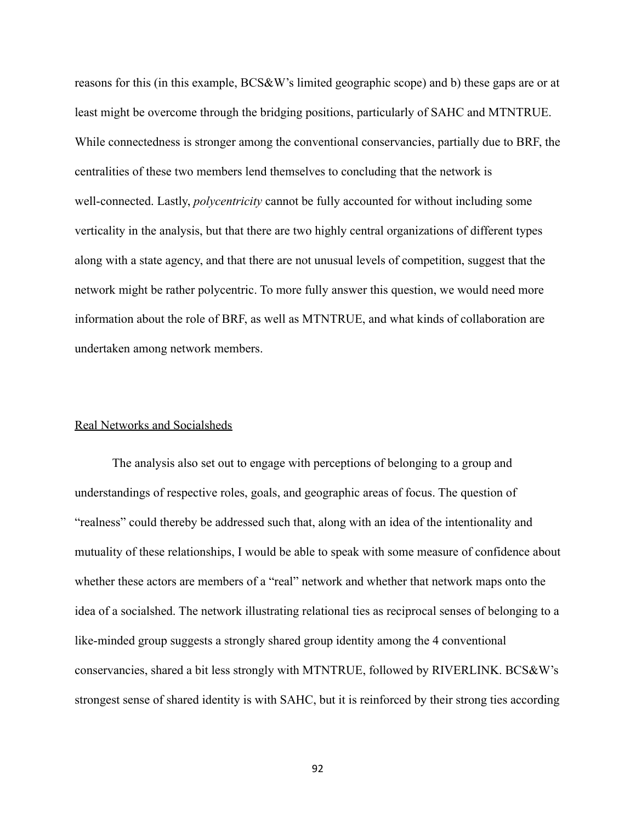reasons for this (in this example, BCS&W's limited geographic scope) and b) these gaps are or at least might be overcome through the bridging positions, particularly of SAHC and MTNTRUE. While connectedness is stronger among the conventional conservancies, partially due to BRF, the centralities of these two members lend themselves to concluding that the network is well-connected. Lastly, *polycentricity* cannot be fully accounted for without including some verticality in the analysis, but that there are two highly central organizations of different types along with a state agency, and that there are not unusual levels of competition, suggest that the network might be rather polycentric. To more fully answer this question, we would need more information about the role of BRF, as well as MTNTRUE, and what kinds of collaboration are undertaken among network members.

### Real Networks and Socialsheds

The analysis also set out to engage with perceptions of belonging to a group and understandings of respective roles, goals, and geographic areas of focus. The question of "realness" could thereby be addressed such that, along with an idea of the intentionality and mutuality of these relationships, I would be able to speak with some measure of confidence about whether these actors are members of a "real" network and whether that network maps onto the idea of a socialshed. The network illustrating relational ties as reciprocal senses of belonging to a like-minded group suggests a strongly shared group identity among the 4 conventional conservancies, shared a bit less strongly with MTNTRUE, followed by RIVERLINK. BCS&W's strongest sense of shared identity is with SAHC, but it is reinforced by their strong ties according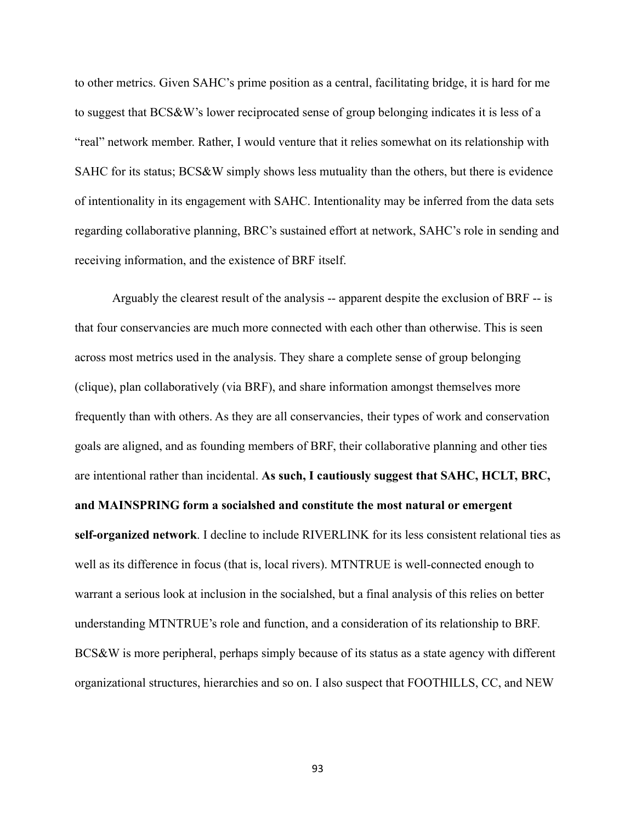to other metrics. Given SAHC's prime position as a central, facilitating bridge, it is hard for me to suggest that BCS&W's lower reciprocated sense of group belonging indicates it is less of a "real" network member. Rather, I would venture that it relies somewhat on its relationship with SAHC for its status; BCS&W simply shows less mutuality than the others, but there is evidence of intentionality in its engagement with SAHC. Intentionality may be inferred from the data sets regarding collaborative planning, BRC's sustained effort at network, SAHC's role in sending and receiving information, and the existence of BRF itself.

Arguably the clearest result of the analysis -- apparent despite the exclusion of BRF -- is that four conservancies are much more connected with each other than otherwise. This is seen across most metrics used in the analysis. They share a complete sense of group belonging (clique), plan collaboratively (via BRF), and share information amongst themselves more frequently than with others. As they are all conservancies, their types of work and conservation goals are aligned, and as founding members of BRF, their collaborative planning and other ties are intentional rather than incidental. **As such, I cautiously suggest that SAHC, HCLT, BRC, and MAINSPRING form a socialshed and constitute the most natural or emergent self-organized network**. I decline to include RIVERLINK for its less consistent relational ties as well as its difference in focus (that is, local rivers). MTNTRUE is well-connected enough to warrant a serious look at inclusion in the socialshed, but a final analysis of this relies on better understanding MTNTRUE's role and function, and a consideration of its relationship to BRF. BCS&W is more peripheral, perhaps simply because of its status as a state agency with different organizational structures, hierarchies and so on. I also suspect that FOOTHILLS, CC, and NEW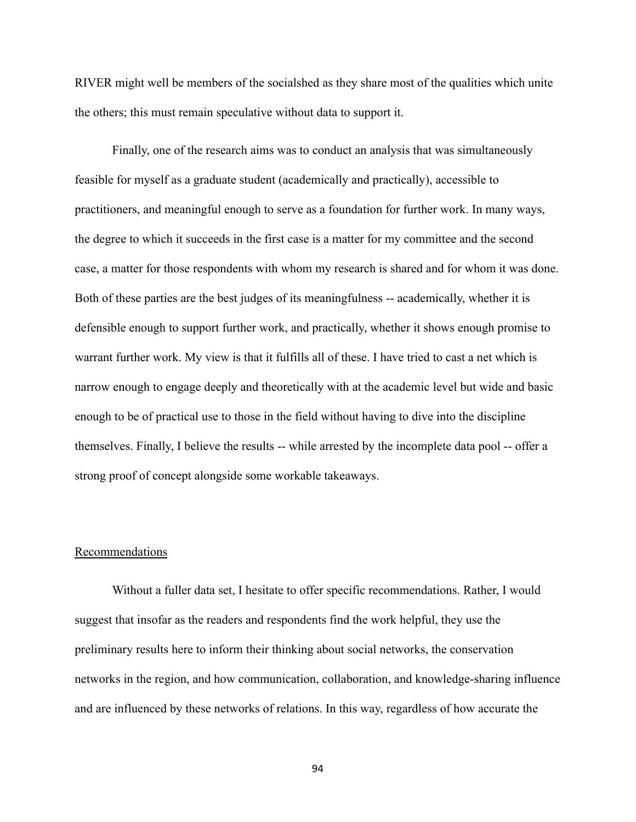RIVER might well be members of the socialshed as they share most of the qualities which unite the others; this must remain speculative without data to support it.

Finally, one of the research aims was to conduct an analysis that was simultaneously feasible for myself as a graduate student (academically and practically), accessible to practitioners, and meaningful enough to serve as a foundation for further work. In many ways, the degree to which it succeeds in the first case is a matter for my committee and the second case, a matter for those respondents with whom my research is shared and for whom it was done. Both of these parties are the best judges of its meaningfulness -- academically, whether it is defensible enough to support further work, and practically, whether it shows enough promise to warrant further work. My view is that it fulfills all of these. I have tried to cast a net which is narrow enough to engage deeply and theoretically with at the academic level but wide and basic enough to be of practical use to those in the field without having to dive into the discipline themselves. Finally, I believe the results -- while arrested by the incomplete data pool -- offer a strong proof of concept alongside some workable takeaways.

#### Recommendations

Without a fuller data set, I hesitate to offer specific recommendations. Rather, I would suggest that insofar as the readers and respondents find the work helpful, they use the preliminary results here to inform their thinking about social networks, the conservation networks in the region, and how communication, collaboration, and knowledge-sharing influence and are influenced by these networks of relations. In this way, regardless of how accurate the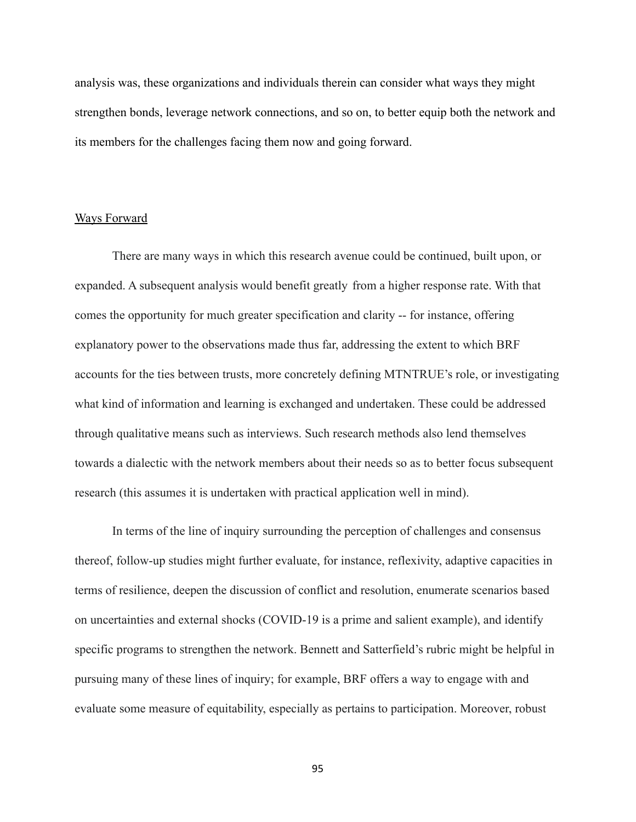analysis was, these organizations and individuals therein can consider what ways they might strengthen bonds, leverage network connections, and so on, to better equip both the network and its members for the challenges facing them now and going forward.

### Ways Forward

There are many ways in which this research avenue could be continued, built upon, or expanded. A subsequent analysis would benefit greatly from a higher response rate. With that comes the opportunity for much greater specification and clarity -- for instance, offering explanatory power to the observations made thus far, addressing the extent to which BRF accounts for the ties between trusts, more concretely defining MTNTRUE's role, or investigating what kind of information and learning is exchanged and undertaken. These could be addressed through qualitative means such as interviews. Such research methods also lend themselves towards a dialectic with the network members about their needs so as to better focus subsequent research (this assumes it is undertaken with practical application well in mind).

In terms of the line of inquiry surrounding the perception of challenges and consensus thereof, follow-up studies might further evaluate, for instance, reflexivity, adaptive capacities in terms of resilience, deepen the discussion of conflict and resolution, enumerate scenarios based on uncertainties and external shocks (COVID-19 is a prime and salient example), and identify specific programs to strengthen the network. Bennett and Satterfield's rubric might be helpful in pursuing many of these lines of inquiry; for example, BRF offers a way to engage with and evaluate some measure of equitability, especially as pertains to participation. Moreover, robust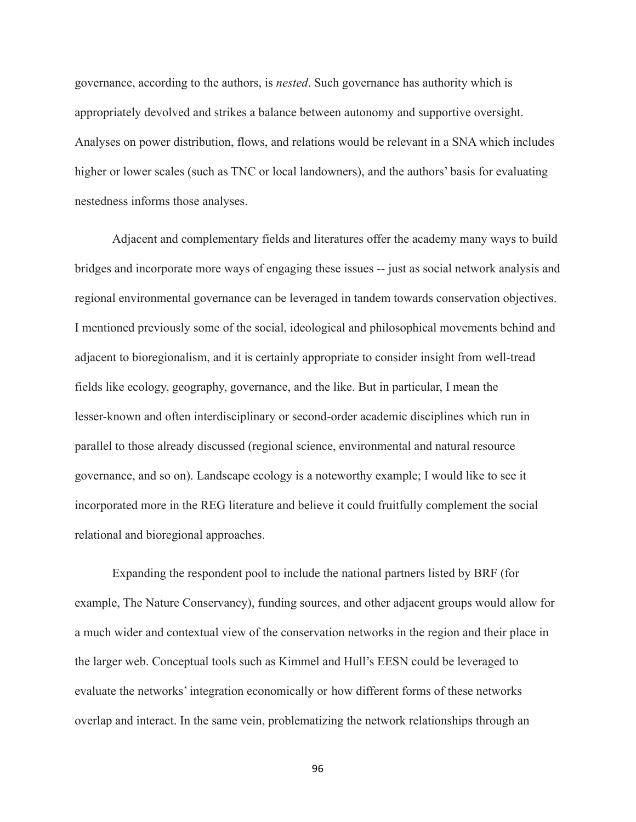governance, according to the authors, is *nested*. Such governance has authority which is appropriately devolved and strikes a balance between autonomy and supportive oversight. Analyses on power distribution, flows, and relations would be relevant in a SNA which includes higher or lower scales (such as TNC or local landowners), and the authors' basis for evaluating nestedness informs those analyses.

Adjacent and complementary fields and literatures offer the academy many ways to build bridges and incorporate more ways of engaging these issues -- just as social network analysis and regional environmental governance can be leveraged in tandem towards conservation objectives. I mentioned previously some of the social, ideological and philosophical movements behind and adjacent to bioregionalism, and it is certainly appropriate to consider insight from well-tread fields like ecology, geography, governance, and the like. But in particular, I mean the lesser-known and often interdisciplinary or second-order academic disciplines which run in parallel to those already discussed (regional science, environmental and natural resource governance, and so on). Landscape ecology is a noteworthy example; I would like to see it incorporated more in the REG literature and believe it could fruitfully complement the social relational and bioregional approaches.

Expanding the respondent pool to include the national partners listed by BRF (for example, The Nature Conservancy), funding sources, and other adjacent groups would allow for a much wider and contextual view of the conservation networks in the region and their place in the larger web. Conceptual tools such as Kimmel and Hull's EESN could be leveraged to evaluate the networks' integration economically or how different forms of these networks overlap and interact. In the same vein, problematizing the network relationships through an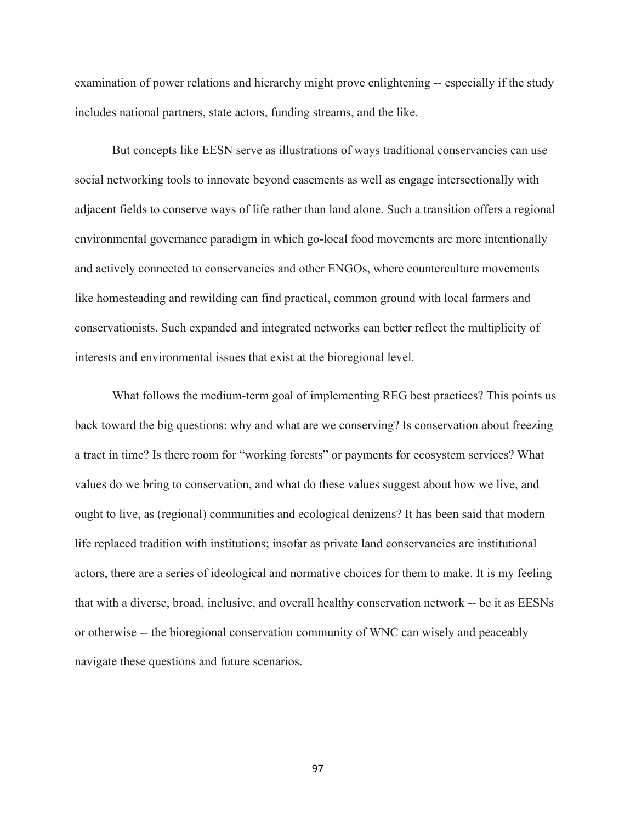examination of power relations and hierarchy might prove enlightening -- especially if the study includes national partners, state actors, funding streams, and the like.

But concepts like EESN serve as illustrations of ways traditional conservancies can use social networking tools to innovate beyond easements as well as engage intersectionally with adjacent fields to conserve ways of life rather than land alone. Such a transition offers a regional environmental governance paradigm in which go-local food movements are more intentionally and actively connected to conservancies and other ENGOs, where counterculture movements like homesteading and rewilding can find practical, common ground with local farmers and conservationists. Such expanded and integrated networks can better reflect the multiplicity of interests and environmental issues that exist at the bioregional level.

What follows the medium-term goal of implementing REG best practices? This points us back toward the big questions: why and what are we conserving? Is conservation about freezing a tract in time? Is there room for "working forests" or payments for ecosystem services? What values do we bring to conservation, and what do these values suggest about how we live, and ought to live, as (regional) communities and ecological denizens? It has been said that modern life replaced tradition with institutions; insofar as private land conservancies are institutional actors, there are a series of ideological and normative choices for them to make. It is my feeling that with a diverse, broad, inclusive, and overall healthy conservation network -- be it as EESNs or otherwise -- the bioregional conservation community of WNC can wisely and peaceably navigate these questions and future scenarios.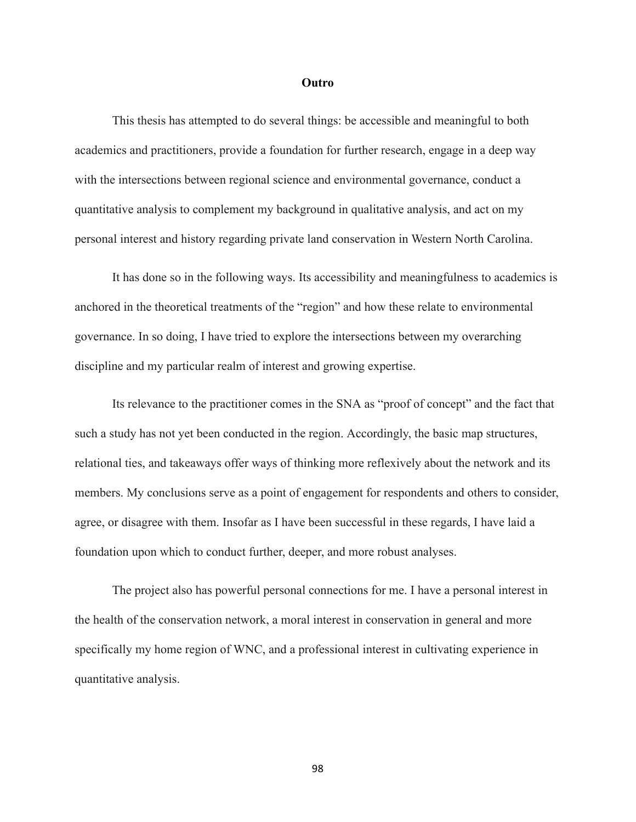#### **Outro**

This thesis has attempted to do several things: be accessible and meaningful to both academics and practitioners, provide a foundation for further research, engage in a deep way with the intersections between regional science and environmental governance, conduct a quantitative analysis to complement my background in qualitative analysis, and act on my personal interest and history regarding private land conservation in Western North Carolina.

It has done so in the following ways. Its accessibility and meaningfulness to academics is anchored in the theoretical treatments of the "region" and how these relate to environmental governance. In so doing, I have tried to explore the intersections between my overarching discipline and my particular realm of interest and growing expertise.

Its relevance to the practitioner comes in the SNA as "proof of concept" and the fact that such a study has not yet been conducted in the region. Accordingly, the basic map structures, relational ties, and takeaways offer ways of thinking more reflexively about the network and its members. My conclusions serve as a point of engagement for respondents and others to consider, agree, or disagree with them. Insofar as I have been successful in these regards, I have laid a foundation upon which to conduct further, deeper, and more robust analyses.

The project also has powerful personal connections for me. I have a personal interest in the health of the conservation network, a moral interest in conservation in general and more specifically my home region of WNC, and a professional interest in cultivating experience in quantitative analysis.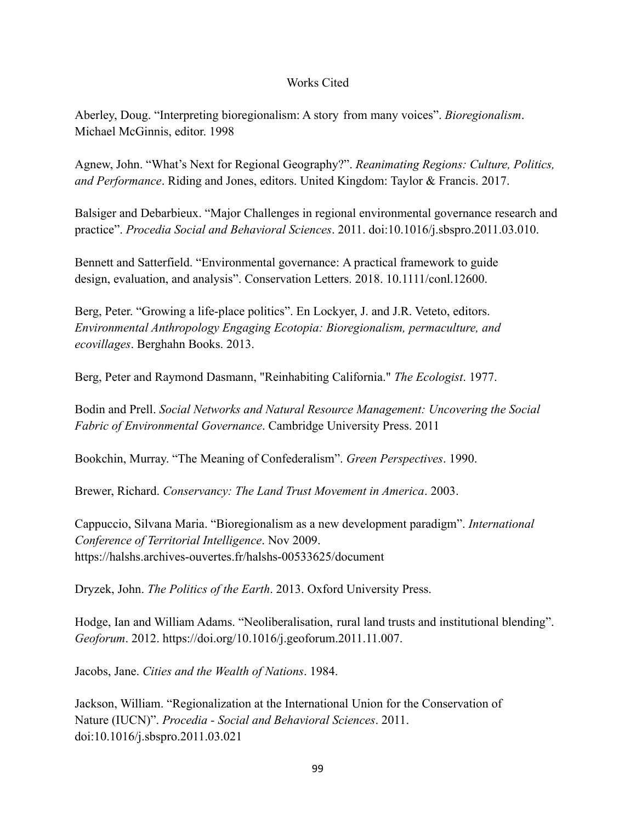## Works Cited

Aberley, Doug. "Interpreting bioregionalism: A story from many voices". *Bioregionalism*. Michael McGinnis, editor. 1998

Agnew, John. "What's Next for Regional Geography?". *Reanimating Regions: Culture, Politics, and Performance*. Riding and Jones, editors. United Kingdom: Taylor & Francis. 2017.

Balsiger and Debarbieux. "Major Challenges in regional environmental governance research and practice". *Procedia Social and Behavioral Sciences*. 2011. doi:10.1016/j.sbspro.2011.03.010.

Bennett and Satterfield. "Environmental governance: A practical framework to guide design, evaluation, and analysis". Conservation Letters. 2018. 10.1111/conl.12600.

Berg, Peter. "Growing a life-place politics". En Lockyer, J. and J.R. Veteto, editors. *Environmental Anthropology Engaging Ecotopia: Bioregionalism, permaculture, and ecovillages*. Berghahn Books. 2013.

Berg, Peter and Raymond Dasmann, "Reinhabiting California." *The Ecologist*. 1977.

Bodin and Prell. *Social Networks and Natural Resource Management: Uncovering the Social Fabric of Environmental Governance*. Cambridge University Press. 2011

Bookchin, Murray. "The Meaning of Confederalism". *Green Perspectives*. 1990.

Brewer, Richard. *Conservancy: The Land Trust Movement in America*. 2003.

Cappuccio, Silvana Maria. "Bioregionalism as a new development paradigm". *International Conference of Territorial Intelligence*. Nov 2009. https://halshs.archives-ouvertes.fr/halshs-00533625/document

Dryzek, John. *The Politics of the Earth*. 2013. Oxford University Press.

Hodge, Ian and William Adams. "Neoliberalisation, rural land trusts and institutional blending". *Geoforum*. 2012. https://doi.org/10.1016/j.geoforum.2011.11.007.

Jacobs, Jane. *Cities and the Wealth of Nations*. 1984.

Jackson, William. "Regionalization at the International Union for the Conservation of Nature (IUCN)". *Procedia - Social and Behavioral Sciences*. 2011. doi:10.1016/j.sbspro.2011.03.021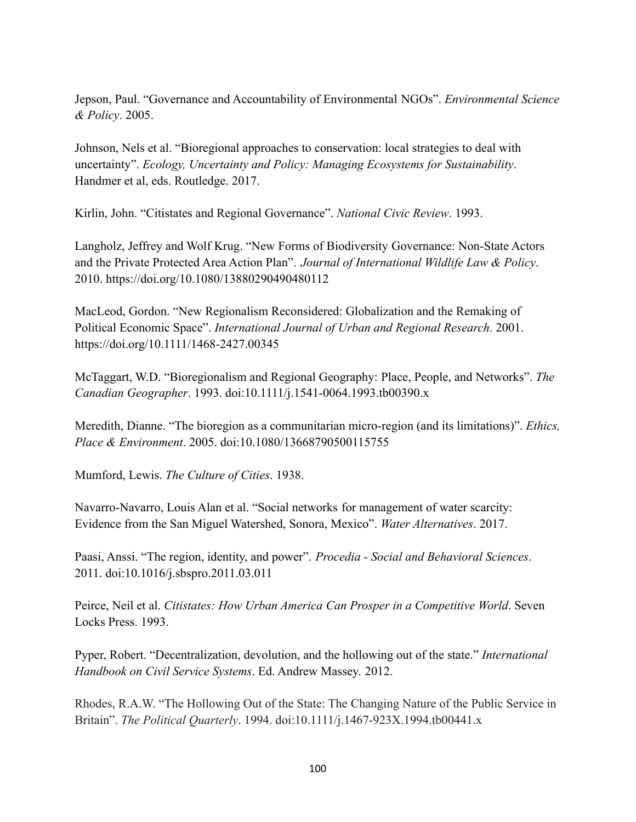Jepson, Paul. "Governance and Accountability of Environmental NGOs". *Environmental Science & Policy*. 2005.

Johnson, Nels et al. "Bioregional approaches to conservation: local strategies to deal with uncertainty". *Ecology, Uncertainty and Policy: Managing Ecosystems for Sustainability*. Handmer et al, eds. Routledge. 2017.

Kirlin, John. "Citistates and Regional Governance". *National Civic Review*. 1993.

Langholz, Jeffrey and Wolf Krug. "New Forms of Biodiversity Governance: Non-State Actors and the Private Protected Area Action Plan". *Journal of International Wildlife Law & Policy*. 2010. https://doi.org/10.1080/13880290490480112

MacLeod, Gordon. "New Regionalism Reconsidered: Globalization and the Remaking of Political Economic Space". *International Journal of Urban and Regional Research*. 2001. https://doi.org/10.1111/1468-2427.00345

McTaggart, W.D. "Bioregionalism and Regional Geography: Place, People, and Networks". *The Canadian Geographer*. 1993. doi:10.1111/j.1541-0064.1993.tb00390.x

Meredith, Dianne. "The bioregion as a communitarian micro-region (and its limitations)". *Ethics, Place & Environment*. 2005. doi:10.1080/13668790500115755

Mumford, Lewis. *The Culture of Cities*. 1938.

Navarro-Navarro, Louis Alan et al. "Social networks for management of water scarcity: Evidence from the San Miguel Watershed, Sonora, Mexico". *Water Alternatives*. 2017.

Paasi, Anssi. "The region, identity, and power". *Procedia - Social and Behavioral Sciences*. 2011. doi:10.1016/j.sbspro.2011.03.011

Peirce, Neil et al. *Citistates: How Urban America Can Prosper in a Competitive World*. Seven Locks Press. 1993.

Pyper, Robert. "Decentralization, devolution, and the hollowing out of the state." *International Handbook on Civil Service Systems*. Ed. Andrew Massey. 2012.

Rhodes, R.A.W. "The Hollowing Out of the State: The Changing Nature of the Public Service in Britain". *The Political Quarterly*. 1994. doi:10.1111/j.1467-923X.1994.tb00441.x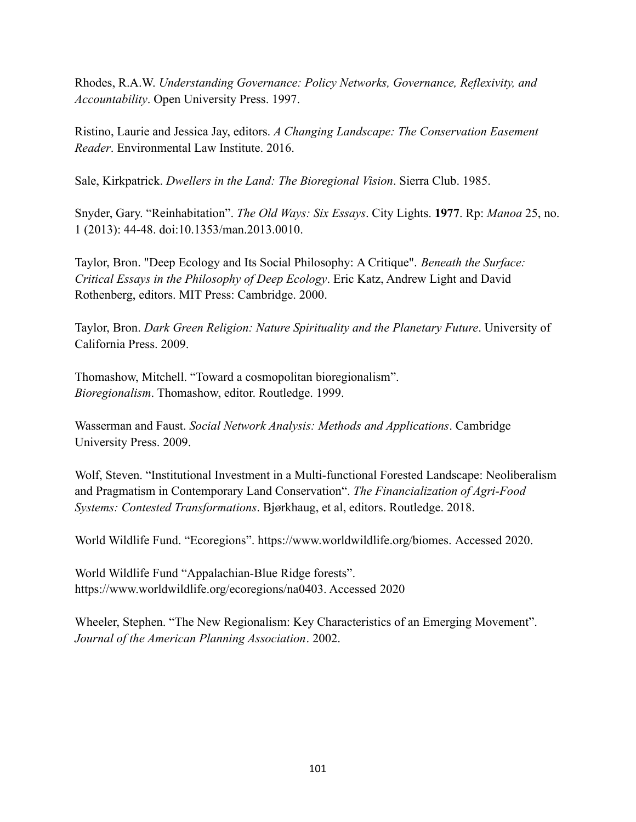Rhodes, R.A.W. *Understanding Governance: Policy Networks, Governance, Reflexivity, and Accountability*. Open University Press. 1997.

Ristino, Laurie and Jessica Jay, editors. *A Changing Landscape: The Conservation Easement Reader*. Environmental Law Institute. 2016.

Sale, Kirkpatrick. *Dwellers in the Land: The Bioregional Vision*. Sierra Club. 1985.

Snyder, Gary. "Reinhabitation". *The Old Ways: Six Essays*. City Lights. **1977**. Rp: *Manoa* 25, no. 1 (2013): 44-48. doi:10.1353/man.2013.0010.

Taylor, Bron. "Deep Ecology and Its Social Philosophy: A Critique". *Beneath the Surface: Critical Essays in the Philosophy of Deep Ecology*. Eric Katz, Andrew Light and David Rothenberg, editors. MIT Press: Cambridge. 2000.

Taylor, Bron. *Dark Green Religion: Nature Spirituality and the Planetary Future*. University of California Press. 2009.

Thomashow, Mitchell. "Toward a cosmopolitan bioregionalism". *Bioregionalism*. Thomashow, editor. Routledge. 1999.

Wasserman and Faust. *Social Network Analysis: Methods and Applications*. Cambridge University Press. 2009.

Wolf, Steven. "Institutional Investment in a Multi-functional Forested Landscape: Neoliberalism and Pragmatism in Contemporary Land Conservation". *The Financialization of Agri-Food Systems: Contested Transformations*. Bjørkhaug, et al, editors. Routledge. 2018.

World Wildlife Fund. "Ecoregions". https://www.worldwildlife.org/biomes. Accessed 2020.

World Wildlife Fund "Appalachian-Blue Ridge forests". https://www.worldwildlife.org/ecoregions/na0403. Accessed 2020

Wheeler, Stephen. "The New Regionalism: Key Characteristics of an Emerging Movement". *Journal of the American Planning Association*. 2002.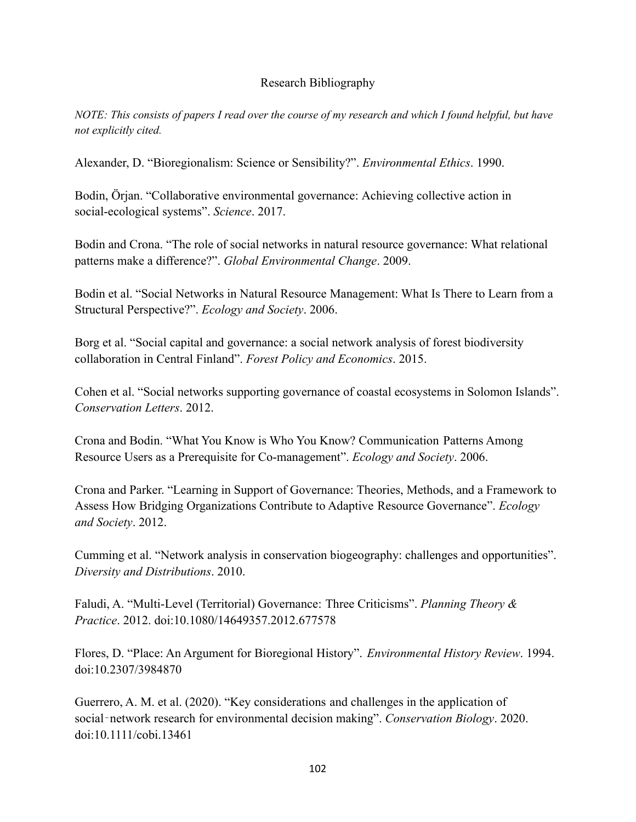# Research Bibliography

NOTE: This consists of papers I read over the course of my research and which I found helpful, but have *not explicitly cited.*

Alexander, D. "Bioregionalism: Science or Sensibility?". *Environmental Ethics*. 1990.

Bodin, Örjan. "Collaborative environmental governance: Achieving collective action in social-ecological systems". *Science*. 2017.

Bodin and Crona. "The role of social networks in natural resource governance: What relational patterns make a difference?". *Global Environmental Change*. 2009.

Bodin et al. "Social Networks in Natural Resource Management: What Is There to Learn from a Structural Perspective?". *Ecology and Society*. 2006.

Borg et al. "Social capital and governance: a social network analysis of forest biodiversity collaboration in Central Finland". *Forest Policy and Economics*. 2015.

Cohen et al. "Social networks supporting governance of coastal ecosystems in Solomon Islands". *Conservation Letters*. 2012.

Crona and Bodin. "What You Know is Who You Know? Communication Patterns Among Resource Users as a Prerequisite for Co-management". *Ecology and Society*. 2006.

Crona and Parker. "Learning in Support of Governance: Theories, Methods, and a Framework to Assess How Bridging Organizations Contribute to Adaptive Resource Governance". *Ecology and Society*. 2012.

Cumming et al. "Network analysis in conservation biogeography: challenges and opportunities". *Diversity and Distributions*. 2010.

Faludi, A. "Multi-Level (Territorial) Governance: Three Criticisms". *Planning Theory & Practice*. 2012. doi:10.1080/14649357.2012.677578

Flores, D. "Place: An Argument for Bioregional History". *Environmental History Review*. 1994. doi:10.2307/3984870

Guerrero, A. M. et al. (2020). "Key considerations and challenges in the application of social‐network research for environmental decision making". *Conservation Biology*. 2020. doi:10.1111/cobi.13461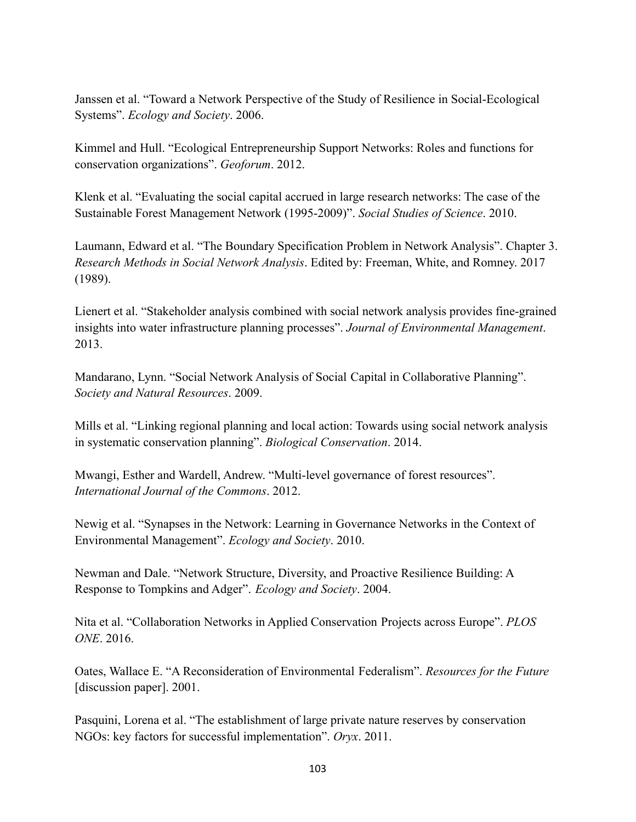Janssen et al. "Toward a Network Perspective of the Study of Resilience in Social-Ecological Systems". *Ecology and Society*. 2006.

Kimmel and Hull. "Ecological Entrepreneurship Support Networks: Roles and functions for conservation organizations". *Geoforum*. 2012.

Klenk et al. "Evaluating the social capital accrued in large research networks: The case of the Sustainable Forest Management Network (1995-2009)". *Social Studies of Science*. 2010.

Laumann, Edward et al. "The Boundary Specification Problem in Network Analysis". Chapter 3. *Research Methods in Social Network Analysis*. Edited by: Freeman, White, and Romney. 2017 (1989).

Lienert et al. "Stakeholder analysis combined with social network analysis provides fine-grained insights into water infrastructure planning processes". *Journal of Environmental Management*. 2013.

Mandarano, Lynn. "Social Network Analysis of Social Capital in Collaborative Planning". *Society and Natural Resources*. 2009.

Mills et al. "Linking regional planning and local action: Towards using social network analysis in systematic conservation planning". *Biological Conservation*. 2014.

Mwangi, Esther and Wardell, Andrew. "Multi-level governance of forest resources". *International Journal of the Commons*. 2012.

Newig et al. "Synapses in the Network: Learning in Governance Networks in the Context of Environmental Management". *Ecology and Society*. 2010.

Newman and Dale. "Network Structure, Diversity, and Proactive Resilience Building: A Response to Tompkins and Adger". *Ecology and Society*. 2004.

Nita et al. "Collaboration Networks in Applied Conservation Projects across Europe". *PLOS ONE*. 2016.

Oates, Wallace E. "A Reconsideration of Environmental Federalism". *Resources for the Future* [discussion paper]. 2001.

Pasquini, Lorena et al. "The establishment of large private nature reserves by conservation NGOs: key factors for successful implementation". *Oryx*. 2011.